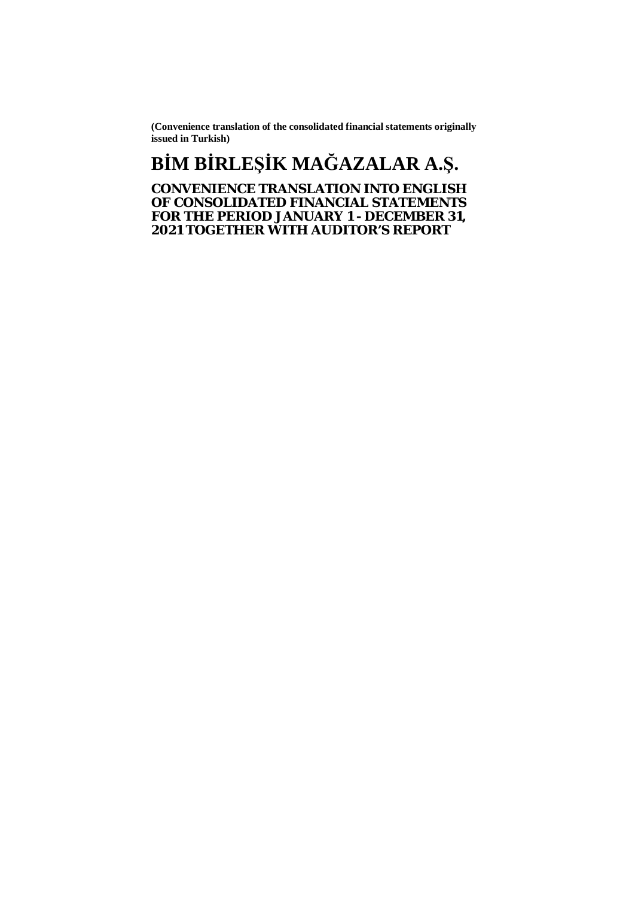# **BİM BİRLEŞİK MAĞAZALAR A.Ş.**

**CONVENIENCE TRANSLATION INTO ENGLISH OF CONSOLIDATED FINANCIAL STATEMENTS FOR THE PERIOD JANUARY 1 - DECEMBER 31, 2021 TOGETHER WITH AUDITOR'S REPORT**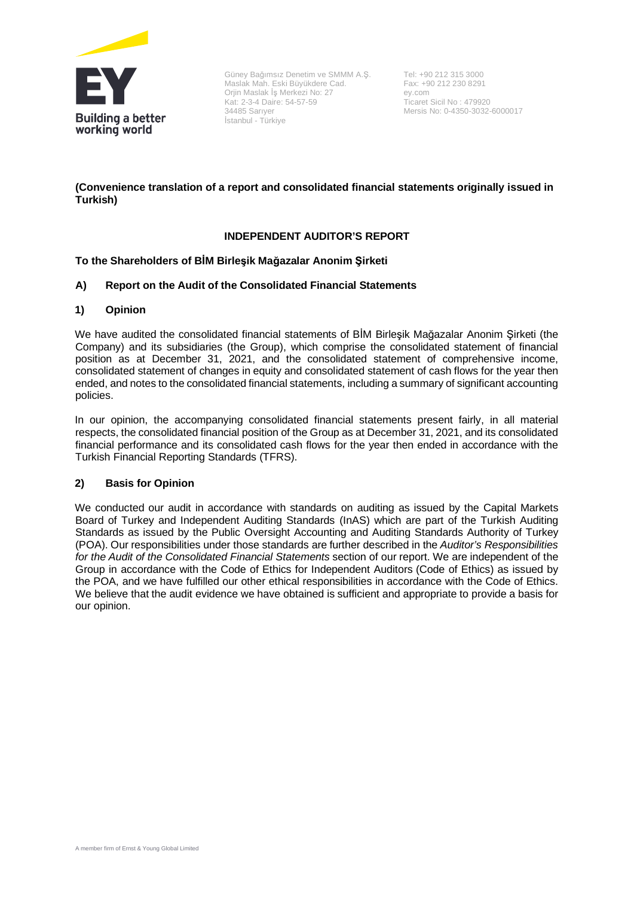

Güney Bağımsız Denetim ve SMMM A.Ş. Maslak Mah. Eski Büyükdere Cad. Orjin Maslak İş Merkezi No: 27 Kat: 2-3-4 Daire: 54-57-59 34485 Sarıyer İstanbul - Türkiye

Tel: +90 212 315 3000 Fax: +90 212 230 8291 ey.com Ticaret Sicil No : 479920 Mersis No: 0-4350-3032-6000017

**(Convenience translation of a report and consolidated financial statements originally issued in Turkish)**

## **INDEPENDENT AUDITOR'S REPORT**

## **To the Shareholders of BİM Birleşik Mağazalar Anonim Şirketi**

## **A) Report on the Audit of the Consolidated Financial Statements**

#### **1) Opinion**

We have audited the consolidated financial statements of BİM Birleşik Mağazalar Anonim Şirketi (the Company) and its subsidiaries (the Group), which comprise the consolidated statement of financial position as at December 31, 2021, and the consolidated statement of comprehensive income, consolidated statement of changes in equity and consolidated statement of cash flows for the year then ended, and notes to the consolidated financial statements, including a summary of significant accounting policies.

In our opinion, the accompanying consolidated financial statements present fairly, in all material respects, the consolidated financial position of the Group as at December 31, 2021, and its consolidated financial performance and its consolidated cash flows for the year then ended in accordance with the Turkish Financial Reporting Standards (TFRS).

#### **2) Basis for Opinion**

We conducted our audit in accordance with standards on auditing as issued by the Capital Markets Board of Turkey and Independent Auditing Standards (InAS) which are part of the Turkish Auditing Standards as issued by the Public Oversight Accounting and Auditing Standards Authority of Turkey (POA). Our responsibilities under those standards are further described in the *Auditor's Responsibilities for the Audit of the Consolidated Financial Statements* section of our report. We are independent of the Group in accordance with the Code of Ethics for Independent Auditors (Code of Ethics) as issued by the POA, and we have fulfilled our other ethical responsibilities in accordance with the Code of Ethics. We believe that the audit evidence we have obtained is sufficient and appropriate to provide a basis for our opinion.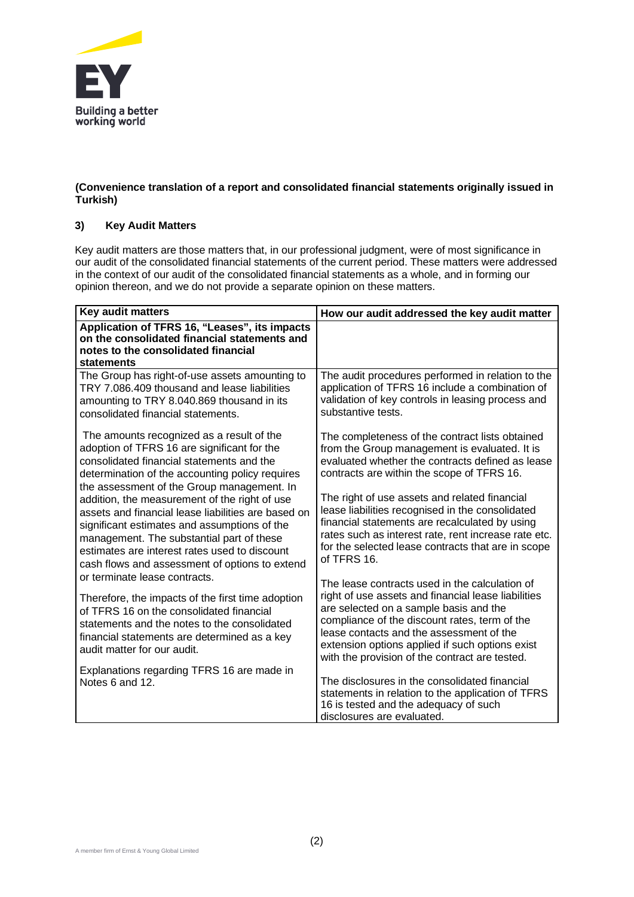

## **3) Key Audit Matters**

Key audit matters are those matters that, in our professional judgment, were of most significance in our audit of the consolidated financial statements of the current period. These matters were addressed in the context of our audit of the consolidated financial statements as a whole, and in forming our opinion thereon, and we do not provide a separate opinion on these matters.

| <b>Key audit matters</b>                                                                                                                                                                                                                                                                                    | How our audit addressed the key audit matter                                                                                                                                                                                                                                                                                                      |
|-------------------------------------------------------------------------------------------------------------------------------------------------------------------------------------------------------------------------------------------------------------------------------------------------------------|---------------------------------------------------------------------------------------------------------------------------------------------------------------------------------------------------------------------------------------------------------------------------------------------------------------------------------------------------|
| Application of TFRS 16, "Leases", its impacts<br>on the consolidated financial statements and<br>notes to the consolidated financial<br>statements                                                                                                                                                          |                                                                                                                                                                                                                                                                                                                                                   |
| The Group has right-of-use assets amounting to<br>TRY 7.086.409 thousand and lease liabilities<br>amounting to TRY 8.040.869 thousand in its<br>consolidated financial statements.                                                                                                                          | The audit procedures performed in relation to the<br>application of TFRS 16 include a combination of<br>validation of key controls in leasing process and<br>substantive tests.                                                                                                                                                                   |
| The amounts recognized as a result of the<br>adoption of TFRS 16 are significant for the<br>consolidated financial statements and the<br>determination of the accounting policy requires<br>the assessment of the Group management. In                                                                      | The completeness of the contract lists obtained<br>from the Group management is evaluated. It is<br>evaluated whether the contracts defined as lease<br>contracts are within the scope of TFRS 16.                                                                                                                                                |
| addition, the measurement of the right of use<br>assets and financial lease liabilities are based on<br>significant estimates and assumptions of the<br>management. The substantial part of these<br>estimates are interest rates used to discount<br>cash flows and assessment of options to extend        | The right of use assets and related financial<br>lease liabilities recognised in the consolidated<br>financial statements are recalculated by using<br>rates such as interest rate, rent increase rate etc.<br>for the selected lease contracts that are in scope<br>of TFRS 16.                                                                  |
| or terminate lease contracts.<br>Therefore, the impacts of the first time adoption<br>of TFRS 16 on the consolidated financial<br>statements and the notes to the consolidated<br>financial statements are determined as a key<br>audit matter for our audit.<br>Explanations regarding TFRS 16 are made in | The lease contracts used in the calculation of<br>right of use assets and financial lease liabilities<br>are selected on a sample basis and the<br>compliance of the discount rates, term of the<br>lease contacts and the assessment of the<br>extension options applied if such options exist<br>with the provision of the contract are tested. |
| Notes 6 and 12.                                                                                                                                                                                                                                                                                             | The disclosures in the consolidated financial<br>statements in relation to the application of TFRS<br>16 is tested and the adequacy of such<br>disclosures are evaluated.                                                                                                                                                                         |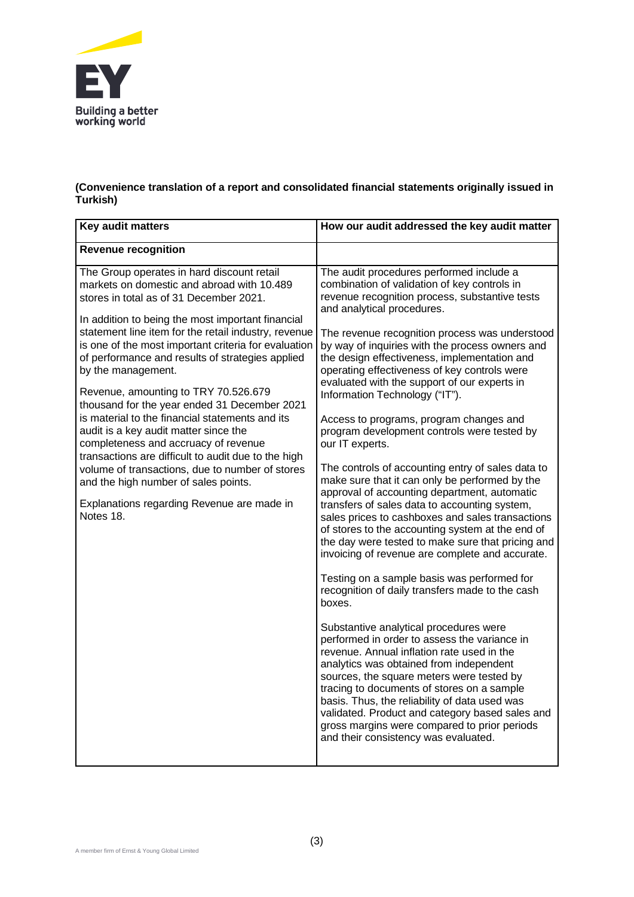

| Key audit matters                                                                                                                                                                                                                                                                                                                                                                                                                                                                                                                                                                                                                                                                                                                                                                                                           | How our audit addressed the key audit matter                                                                                                                                                                                                                                                                                                                                                                                                                                                                                                                                                                                                                                                                                                                                                                                                                                                                                                                                                                                                                                                                                                                                                                                                                                                                                                                                                                                                                                                                                                                                               |
|-----------------------------------------------------------------------------------------------------------------------------------------------------------------------------------------------------------------------------------------------------------------------------------------------------------------------------------------------------------------------------------------------------------------------------------------------------------------------------------------------------------------------------------------------------------------------------------------------------------------------------------------------------------------------------------------------------------------------------------------------------------------------------------------------------------------------------|--------------------------------------------------------------------------------------------------------------------------------------------------------------------------------------------------------------------------------------------------------------------------------------------------------------------------------------------------------------------------------------------------------------------------------------------------------------------------------------------------------------------------------------------------------------------------------------------------------------------------------------------------------------------------------------------------------------------------------------------------------------------------------------------------------------------------------------------------------------------------------------------------------------------------------------------------------------------------------------------------------------------------------------------------------------------------------------------------------------------------------------------------------------------------------------------------------------------------------------------------------------------------------------------------------------------------------------------------------------------------------------------------------------------------------------------------------------------------------------------------------------------------------------------------------------------------------------------|
| <b>Revenue recognition</b>                                                                                                                                                                                                                                                                                                                                                                                                                                                                                                                                                                                                                                                                                                                                                                                                  |                                                                                                                                                                                                                                                                                                                                                                                                                                                                                                                                                                                                                                                                                                                                                                                                                                                                                                                                                                                                                                                                                                                                                                                                                                                                                                                                                                                                                                                                                                                                                                                            |
| The Group operates in hard discount retail<br>markets on domestic and abroad with 10.489<br>stores in total as of 31 December 2021.<br>In addition to being the most important financial<br>statement line item for the retail industry, revenue<br>is one of the most important criteria for evaluation<br>of performance and results of strategies applied<br>by the management.<br>Revenue, amounting to TRY 70.526.679<br>thousand for the year ended 31 December 2021<br>is material to the financial statements and its<br>audit is a key audit matter since the<br>completeness and accruacy of revenue<br>transactions are difficult to audit due to the high<br>volume of transactions, due to number of stores<br>and the high number of sales points.<br>Explanations regarding Revenue are made in<br>Notes 18. | The audit procedures performed include a<br>combination of validation of key controls in<br>revenue recognition process, substantive tests<br>and analytical procedures.<br>The revenue recognition process was understood<br>by way of inquiries with the process owners and<br>the design effectiveness, implementation and<br>operating effectiveness of key controls were<br>evaluated with the support of our experts in<br>Information Technology ("IT").<br>Access to programs, program changes and<br>program development controls were tested by<br>our IT experts.<br>The controls of accounting entry of sales data to<br>make sure that it can only be performed by the<br>approval of accounting department, automatic<br>transfers of sales data to accounting system,<br>sales prices to cashboxes and sales transactions<br>of stores to the accounting system at the end of<br>the day were tested to make sure that pricing and<br>invoicing of revenue are complete and accurate.<br>Testing on a sample basis was performed for<br>recognition of daily transfers made to the cash<br>boxes.<br>Substantive analytical procedures were<br>performed in order to assess the variance in<br>revenue. Annual inflation rate used in the<br>analytics was obtained from independent<br>sources, the square meters were tested by<br>tracing to documents of stores on a sample<br>basis. Thus, the reliability of data used was<br>validated. Product and category based sales and<br>gross margins were compared to prior periods<br>and their consistency was evaluated. |
|                                                                                                                                                                                                                                                                                                                                                                                                                                                                                                                                                                                                                                                                                                                                                                                                                             |                                                                                                                                                                                                                                                                                                                                                                                                                                                                                                                                                                                                                                                                                                                                                                                                                                                                                                                                                                                                                                                                                                                                                                                                                                                                                                                                                                                                                                                                                                                                                                                            |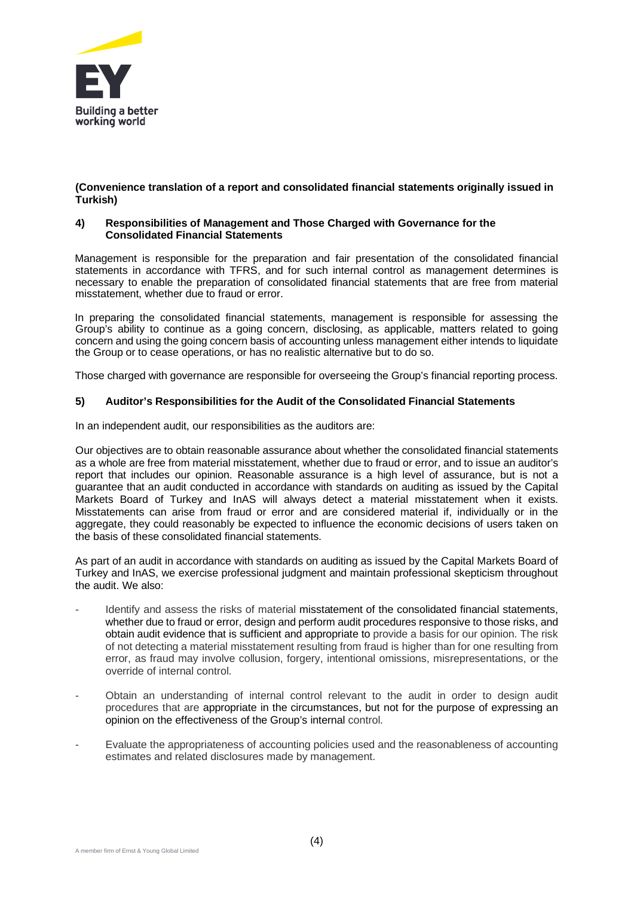

## **4) Responsibilities of Management and Those Charged with Governance for the Consolidated Financial Statements**

Management is responsible for the preparation and fair presentation of the consolidated financial statements in accordance with TFRS, and for such internal control as management determines is necessary to enable the preparation of consolidated financial statements that are free from material misstatement, whether due to fraud or error.

In preparing the consolidated financial statements, management is responsible for assessing the Group's ability to continue as a going concern, disclosing, as applicable, matters related to going concern and using the going concern basis of accounting unless management either intends to liquidate the Group or to cease operations, or has no realistic alternative but to do so.

Those charged with governance are responsible for overseeing the Group's financial reporting process.

## **5) Auditor's Responsibilities for the Audit of the Consolidated Financial Statements**

In an independent audit, our responsibilities as the auditors are:

Our objectives are to obtain reasonable assurance about whether the consolidated financial statements as a whole are free from material misstatement, whether due to fraud or error, and to issue an auditor's report that includes our opinion. Reasonable assurance is a high level of assurance, but is not a guarantee that an audit conducted in accordance with standards on auditing as issued by the Capital Markets Board of Turkey and InAS will always detect a material misstatement when it exists. Misstatements can arise from fraud or error and are considered material if, individually or in the aggregate, they could reasonably be expected to influence the economic decisions of users taken on the basis of these consolidated financial statements.

As part of an audit in accordance with standards on auditing as issued by the Capital Markets Board of Turkey and InAS, we exercise professional judgment and maintain professional skepticism throughout the audit. We also:

- Identify and assess the risks of material misstatement of the consolidated financial statements, whether due to fraud or error, design and perform audit procedures responsive to those risks, and obtain audit evidence that is sufficient and appropriate to provide a basis for our opinion. The risk of not detecting a material misstatement resulting from fraud is higher than for one resulting from error, as fraud may involve collusion, forgery, intentional omissions, misrepresentations, or the override of internal control.
- Obtain an understanding of internal control relevant to the audit in order to design audit procedures that are appropriate in the circumstances, but not for the purpose of expressing an opinion on the effectiveness of the Group's internal control.
- Evaluate the appropriateness of accounting policies used and the reasonableness of accounting estimates and related disclosures made by management.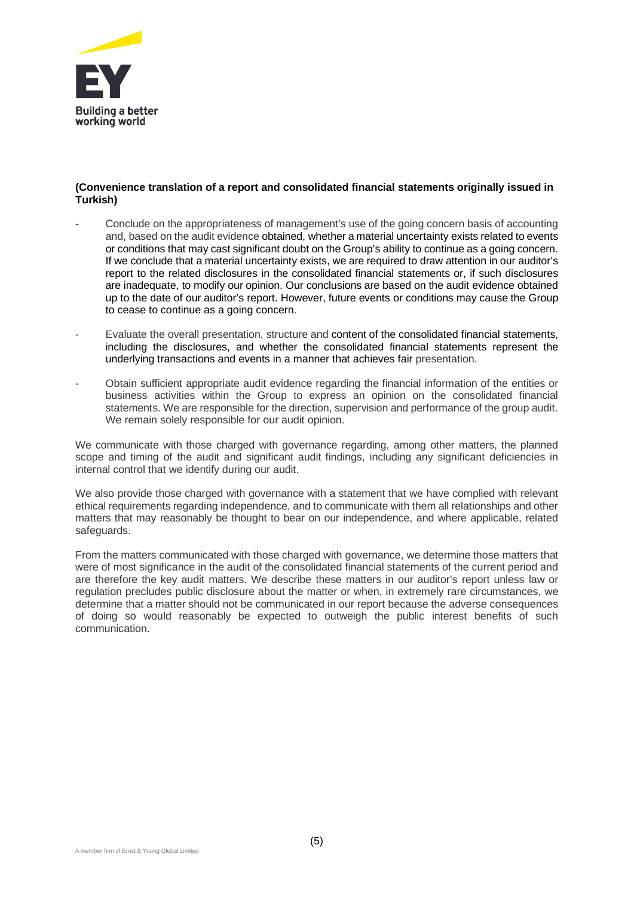

- Conclude on the appropriateness of management's use of the going concern basis of accounting and, based on the audit evidence obtained, whether a material uncertainty exists related to events or conditions that may cast significant doubt on the Group's ability to continue as a going concern. If we conclude that a material uncertainty exists, we are required to draw attention in our auditor's report to the related disclosures in the consolidated financial statements or, if such disclosures are inadequate, to modify our opinion. Our conclusions are based on the audit evidence obtained up to the date of our auditor's report. However, future events or conditions may cause the Group to cease to continue as a going concern.
- Evaluate the overall presentation, structure and content of the consolidated financial statements, including the disclosures, and whether the consolidated financial statements represent the underlying transactions and events in a manner that achieves fair presentation.
- Obtain sufficient appropriate audit evidence regarding the financial information of the entities or business activities within the Group to express an opinion on the consolidated financial statements. We are responsible for the direction, supervision and performance of the group audit. We remain solely responsible for our audit opinion.

We communicate with those charged with governance regarding, among other matters, the planned scope and timing of the audit and significant audit findings, including any significant deficiencies in internal control that we identify during our audit.

We also provide those charged with governance with a statement that we have complied with relevant ethical requirements regarding independence, and to communicate with them all relationships and other matters that may reasonably be thought to bear on our independence, and where applicable, related safeguards.

From the matters communicated with those charged with governance, we determine those matters that were of most significance in the audit of the consolidated financial statements of the current period and are therefore the key audit matters. We describe these matters in our auditor's report unless law or regulation precludes public disclosure about the matter or when, in extremely rare circumstances, we determine that a matter should not be communicated in our report because the adverse consequences of doing so would reasonably be expected to outweigh the public interest benefits of such communication.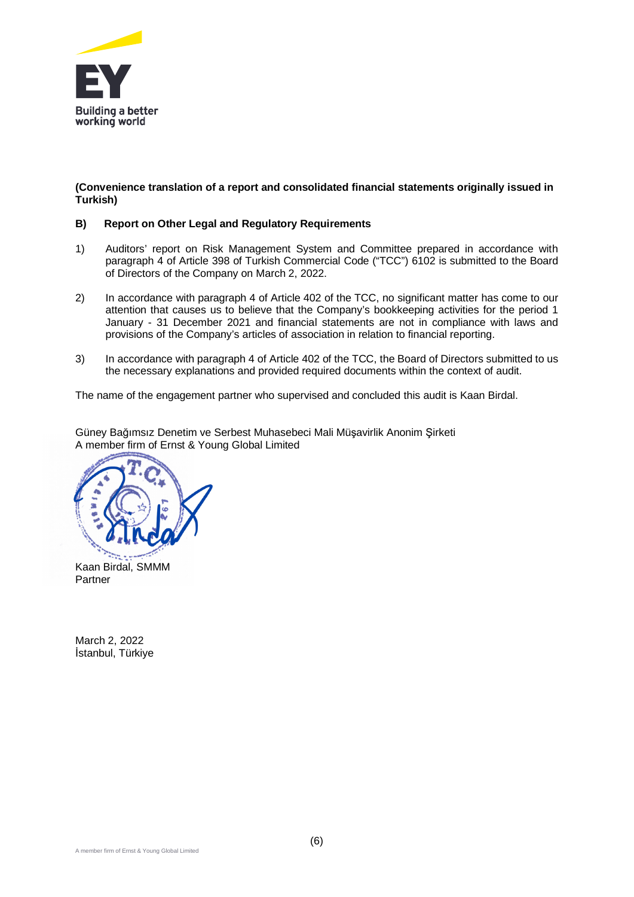

## **B) Report on Other Legal and Regulatory Requirements**

- 1) Auditors' report on Risk Management System and Committee prepared in accordance with paragraph 4 of Article 398 of Turkish Commercial Code ("TCC") 6102 is submitted to the Board of Directors of the Company on March 2, 2022.
- 2) In accordance with paragraph 4 of Article 402 of the TCC, no significant matter has come to our attention that causes us to believe that the Company's bookkeeping activities for the period 1 January - 31 December 2021 and financial statements are not in compliance with laws and provisions of the Company's articles of association in relation to financial reporting.
- 3) In accordance with paragraph 4 of Article 402 of the TCC, the Board of Directors submitted to us the necessary explanations and provided required documents within the context of audit.

The name of the engagement partner who supervised and concluded this audit is Kaan Birdal.

Güney Bağımsız Denetim ve Serbest Muhasebeci Mali Müşavirlik Anonim Şirketi A member firm of Ernst & Young Global Limited



Kaan Birdal, SMMM Partner

March 2, 2022 İstanbul, Türkiye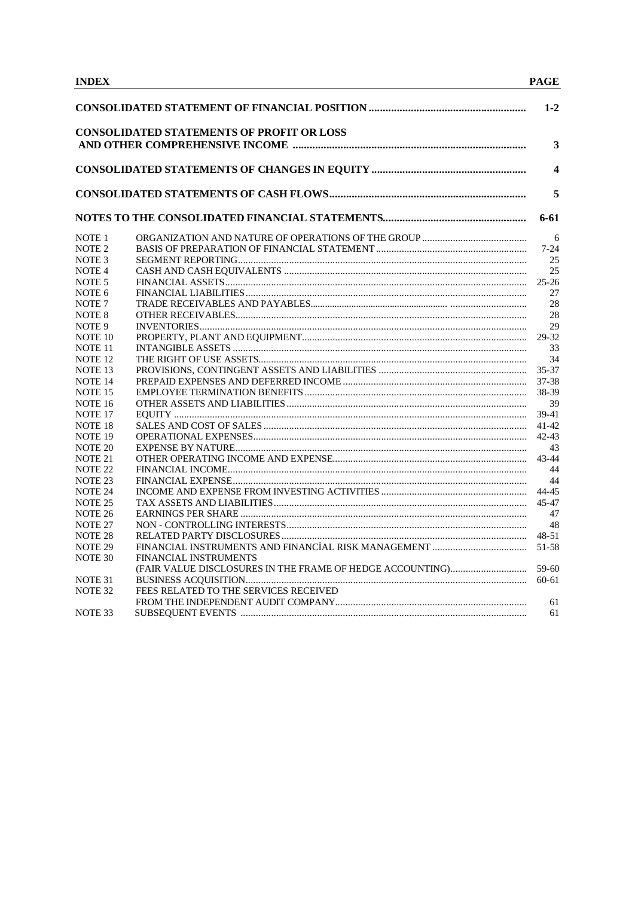|--|

|                    |                                                           | $1 - 2$          |
|--------------------|-----------------------------------------------------------|------------------|
|                    | <b>CONSOLIDATED STATEMENTS OF PROFIT OR LOSS</b>          | 3                |
|                    |                                                           | $\boldsymbol{4}$ |
|                    |                                                           | 5                |
|                    |                                                           | 6-61             |
| NOTE 1             |                                                           | 6                |
| NOTE <sub>2</sub>  |                                                           | $7 - 24$         |
| NOTE <sub>3</sub>  |                                                           | 25               |
| NOTE <sub>4</sub>  |                                                           | 25               |
| NOTE <sub>5</sub>  |                                                           | $25 - 26$        |
| NOTE <sub>6</sub>  |                                                           | 27               |
| NOTE <sub>7</sub>  |                                                           | 28               |
| <b>NOTE 8</b>      |                                                           | 28               |
| NOTE <sub>9</sub>  |                                                           | 29               |
| <b>NOTE 10</b>     |                                                           | 29-32            |
| NOTE <sub>11</sub> |                                                           | 33               |
| NOTE <sub>12</sub> |                                                           | 34               |
| NOTE <sub>13</sub> |                                                           | 35-37            |
| <b>NOTE 14</b>     |                                                           | 37-38            |
| NOTE <sub>15</sub> |                                                           | 38-39            |
| NOTE <sub>16</sub> |                                                           | 39               |
| NOTE <sub>17</sub> |                                                           | 39-41            |
| NOTE <sub>18</sub> |                                                           | 41-42            |
| NOTE <sub>19</sub> |                                                           | $42 - 43$        |
| NOTE <sub>20</sub> |                                                           | 43               |
| NOTE <sub>21</sub> |                                                           | 43-44            |
| NOTE <sub>22</sub> |                                                           | 44               |
| NOTE <sub>23</sub> |                                                           | 44               |
| NOTE <sub>24</sub> |                                                           | 44-45            |
| NOTE <sub>25</sub> |                                                           | 45-47            |
| NOTE <sub>26</sub> |                                                           | 47               |
| NOTE <sub>27</sub> |                                                           | 48               |
| NOTE <sub>28</sub> |                                                           | 48-51            |
| <b>NOTE 29</b>     |                                                           | 51-58            |
| <b>NOTE 30</b>     | <b>FINANCIAL INSTRUMENTS</b>                              |                  |
|                    | (FAIR VALUE DISCLOSURES IN THE FRAME OF HEDGE ACCOUNTING) | $59-60$          |
| NOTE 31            |                                                           | $60-61$          |
| <b>NOTE 32</b>     | FEES RELATED TO THE SERVICES RECEIVED                     |                  |
|                    |                                                           | 61               |
| NOTE <sub>33</sub> |                                                           | 61               |
|                    |                                                           |                  |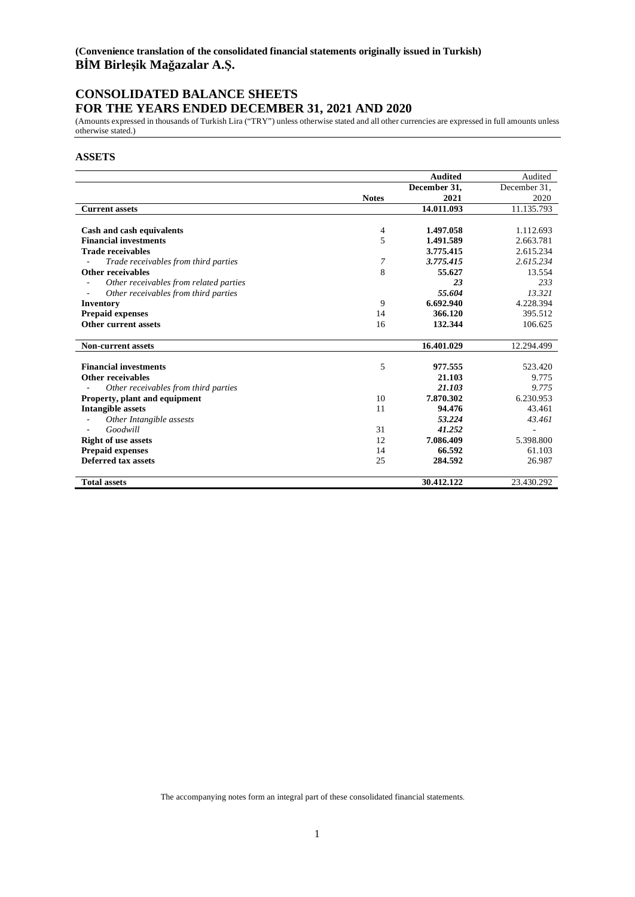## **CONSOLIDATED BALANCE SHEETS FOR THE YEARS ENDED DECEMBER 31, 2021 AND 2020**

(Amounts expressed in thousands of Turkish Lira ("TRY") unless otherwise stated and all other currencies are expressed in full amounts unless otherwise stated.)

#### **ASSETS**

|                                        |              | <b>Audited</b> | Audited      |
|----------------------------------------|--------------|----------------|--------------|
|                                        |              | December 31,   | December 31, |
|                                        | <b>Notes</b> | 2021           | 2020         |
| <b>Current assets</b>                  |              | 14.011.093     | 11.135.793   |
|                                        |              |                |              |
| Cash and cash equivalents              | 4            | 1.497.058      | 1.112.693    |
| <b>Financial investments</b>           | 5            | 1.491.589      | 2.663.781    |
| <b>Trade receivables</b>               |              | 3.775.415      | 2.615.234    |
| Trade receivables from third parties   | 7            | 3.775.415      | 2.615.234    |
| Other receivables                      | 8            | 55.627         | 13.554       |
| Other receivables from related parties |              | 23             | 233          |
| Other receivables from third parties   |              | 55.604         | 13.321       |
| Inventory                              | 9            | 6.692.940      | 4.228.394    |
| <b>Prepaid expenses</b>                | 14           | 366.120        | 395.512      |
| Other current assets                   | 16           | 132.344        | 106.625      |
|                                        |              |                |              |
| <b>Non-current assets</b>              |              | 16.401.029     | 12.294.499   |
| <b>Financial investments</b>           | 5            | 977.555        |              |
| Other receivables                      |              | 21.103         | 523.420      |
|                                        |              |                | 9.775        |
| Other receivables from third parties   |              | 21.103         | 9.775        |
| <b>Property, plant and equipment</b>   | 10           | 7.870.302      | 6.230.953    |
| <b>Intangible assets</b>               | 11           | 94.476         | 43.461       |
| Other Intangible assests               |              | 53.224         | 43.461       |
| Goodwill                               | 31           | 41.252         |              |
| <b>Right of use assets</b>             | 12           | 7.086.409      | 5.398.800    |
| <b>Prepaid expenses</b>                | 14           | 66.592         | 61.103       |
| <b>Deferred tax assets</b>             | 25           | 284.592        | 26.987       |
| <b>Total assets</b>                    |              | 30.412.122     | 23.430.292   |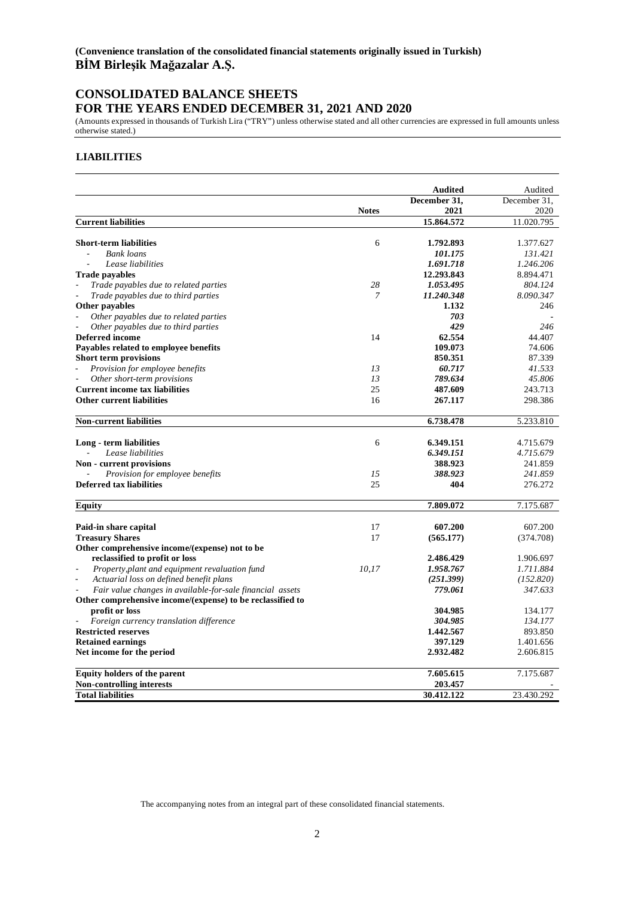## **CONSOLIDATED BALANCE SHEETS**

**FOR THE YEARS ENDED DECEMBER 31, 2021 AND 2020**

(Amounts expressed in thousands of Turkish Lira ("TRY") unless otherwise stated and all other currencies are expressed in full amounts unless otherwise stated.)

## **LIABILITIES**

|                                                                                |              | <b>Audited</b> | Audited      |
|--------------------------------------------------------------------------------|--------------|----------------|--------------|
|                                                                                |              | December 31,   | December 31, |
|                                                                                | <b>Notes</b> | 2021           | 2020         |
| <b>Current liabilities</b>                                                     |              | 15.864.572     | 11.020.795   |
| <b>Short-term liabilities</b>                                                  | 6            | 1.792.893      | 1.377.627    |
| <b>Bank</b> loans                                                              |              | 101.175        | 131.421      |
| Lease liabilities                                                              |              | 1.691.718      | 1.246.206    |
| <b>Trade payables</b>                                                          |              | 12.293.843     | 8.894.471    |
| Trade payables due to related parties                                          | 28           | 1.053.495      | 804.124      |
| Trade payables due to third parties                                            | 7            | 11.240.348     | 8.090.347    |
| Other payables                                                                 |              | 1.132          | 246          |
| Other payables due to related parties                                          |              | 703            |              |
| Other payables due to third parties                                            |              | 429            | 246          |
| <b>Deferred</b> income                                                         | 14           | 62.554         | 44.407       |
| Payables related to employee benefits                                          |              | 109.073        | 74.606       |
| <b>Short term provisions</b>                                                   |              | 850.351        | 87.339       |
| Provision for employee benefits                                                | 13           | 60.717         | 41.533       |
| Other short-term provisions                                                    | 13           | 789.634        | 45.806       |
| <b>Current income tax liabilities</b>                                          | 25           | 487.609        | 243.713      |
| <b>Other current liabilities</b>                                               | 16           | 267.117        | 298.386      |
| <b>Non-current liabilities</b>                                                 |              | 6.738.478      | 5.233.810    |
| Long - term liabilities                                                        | 6            | 6.349.151      | 4.715.679    |
| Lease liabilities                                                              |              | 6.349.151      | 4.715.679    |
| Non - current provisions                                                       |              | 388.923        | 241.859      |
| Provision for employee benefits                                                | 15           | 388.923        | 241.859      |
| <b>Deferred tax liabilities</b>                                                | 25           | 404            | 276.272      |
| <b>Equity</b>                                                                  |              | 7.809.072      | 7.175.687    |
|                                                                                |              |                |              |
| Paid-in share capital                                                          | 17           | 607.200        | 607.200      |
| <b>Treasury Shares</b>                                                         | 17           | (565.177)      | (374.708)    |
| Other comprehensive income/(expense) not to be                                 |              |                |              |
| reclassified to profit or loss                                                 |              | 2.486.429      | 1.906.697    |
| Property, plant and equipment revaluation fund<br>$\qquad \qquad \blacksquare$ | 10,17        | 1.958.767      | 1.711.884    |
| Actuarial loss on defined benefit plans                                        |              | (251.399)      | (152.820)    |
| Fair value changes in available-for-sale financial assets                      |              | 779.061        | 347.633      |
| Other comprehensive income/(expense) to be reclassified to                     |              |                |              |
| profit or loss                                                                 |              | 304.985        | 134.177      |
| Foreign currency translation difference                                        |              | 304.985        | 134.177      |
| <b>Restricted reserves</b>                                                     |              | 1.442.567      | 893.850      |
| <b>Retained earnings</b>                                                       |              | 397.129        | 1.401.656    |
| Net income for the period                                                      |              | 2.932.482      | 2.606.815    |
| Equity holders of the parent                                                   |              | 7.605.615      | 7.175.687    |
| <b>Non-controlling interests</b>                                               |              | 203.457        |              |
| <b>Total liabilities</b>                                                       |              | 30.412.122     | 23.430.292   |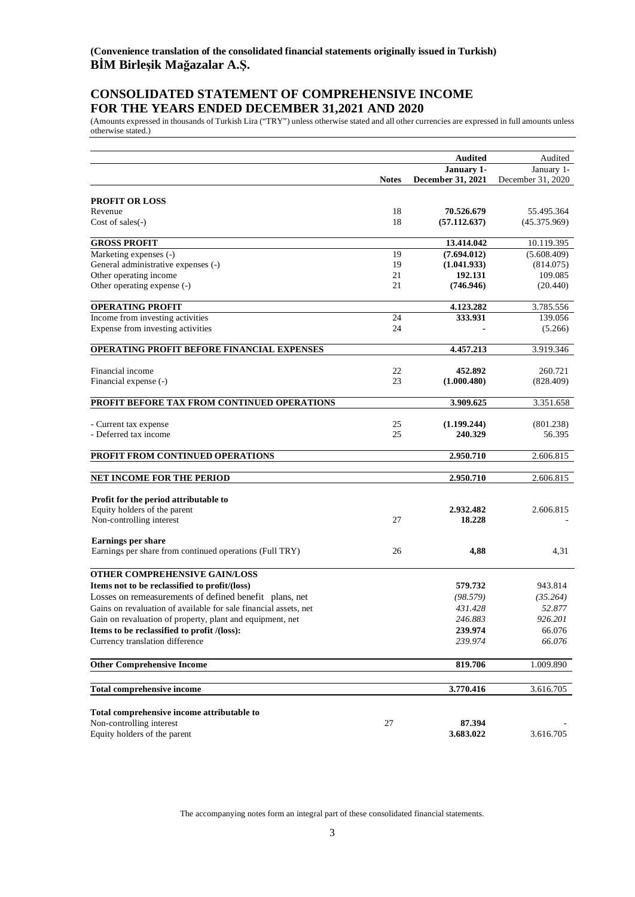## **CONSOLIDATED STATEMENT OF COMPREHENSIVE INCOME FOR THE YEARS ENDED DECEMBER 31,2021 AND 2020**

(Amounts expressed in thousands of Turkish Lira ("TRY") unless otherwise stated and all other currencies are expressed in full amounts unless otherwise stated.)

|                                                                  |              | <b>Audited</b>                  | Audited                         |
|------------------------------------------------------------------|--------------|---------------------------------|---------------------------------|
|                                                                  | <b>Notes</b> | January 1-<br>December 31, 2021 | January 1-<br>December 31, 2020 |
|                                                                  |              |                                 |                                 |
| <b>PROFIT OR LOSS</b><br>Revenue                                 | 18           | 70.526.679                      | 55.495.364                      |
| $Cost of sales(-)$                                               | 18           | (57.112.637)                    | (45.375.969)                    |
|                                                                  |              |                                 |                                 |
| <b>GROSS PROFIT</b>                                              |              | 13.414.042                      | 10.119.395                      |
| Marketing expenses (-)                                           | 19           | (7.694.012)                     | (5.608.409)                     |
| General administrative expenses (-)                              | 19           | (1.041.933)                     | (814.075)                       |
| Other operating income                                           | 21           | 192.131                         | 109.085                         |
| Other operating expense (-)                                      | 21           | (746.946)                       | (20.440)                        |
| <b>OPERATING PROFIT</b>                                          |              | 4.123.282                       | 3.785.556                       |
| Income from investing activities                                 | 24           | 333.931                         | 139.056                         |
| Expense from investing activities                                | 24           |                                 | (5.266)                         |
| OPERATING PROFIT BEFORE FINANCIAL EXPENSES                       |              | 4.457.213                       | 3.919.346                       |
| Financial income                                                 |              | 452.892                         |                                 |
|                                                                  | 22<br>23     | (1.000.480)                     | 260.721<br>(828.409)            |
| Financial expense (-)                                            |              |                                 |                                 |
| PROFIT BEFORE TAX FROM CONTINUED OPERATIONS                      |              | 3.909.625                       | 3.351.658                       |
| - Current tax expense                                            | 25           | (1.199.244)                     | (801.238)                       |
| - Deferred tax income                                            | 25           | 240.329                         | 56.395                          |
| PROFIT FROM CONTINUED OPERATIONS                                 |              | 2.950.710                       | 2.606.815                       |
|                                                                  |              |                                 |                                 |
| NET INCOME FOR THE PERIOD                                        |              | 2.950.710                       | 2.606.815                       |
| Profit for the period attributable to                            |              |                                 |                                 |
| Equity holders of the parent                                     |              | 2.932.482                       | 2.606.815                       |
| Non-controlling interest                                         | 27           | 18.228                          |                                 |
| <b>Earnings per share</b>                                        |              |                                 |                                 |
| Earnings per share from continued operations (Full TRY)          | 26           | 4,88                            | 4,31                            |
| OTHER COMPREHENSIVE GAIN/LOSS                                    |              |                                 |                                 |
| Items not to be reclassified to profit/(loss)                    |              | 579.732                         | 943.814                         |
| Losses on remeasurements of defined benefit plans, net           |              | (98.579)                        | (35.264)                        |
| Gains on revaluation of available for sale financial assets, net |              | 431.428                         | 52.877                          |
| Gain on revaluation of property, plant and equipment, net        |              | 246.883                         | 926.201                         |
| Items to be reclassified to profit /(loss):                      |              | 239.974                         | 66.076                          |
| Currency translation difference                                  |              | 239.974                         | 66.076                          |
|                                                                  |              |                                 |                                 |
| <b>Other Comprehensive Income</b>                                |              | 819.706                         | 1.009.890                       |
|                                                                  |              |                                 |                                 |
| <b>Total comprehensive income</b>                                |              | 3.770.416                       | 3.616.705                       |
| Total comprehensive income attributable to                       |              |                                 |                                 |
| Non-controlling interest                                         | 27           | 87.394                          |                                 |
| Equity holders of the parent                                     |              | 3.683.022                       | 3.616.705                       |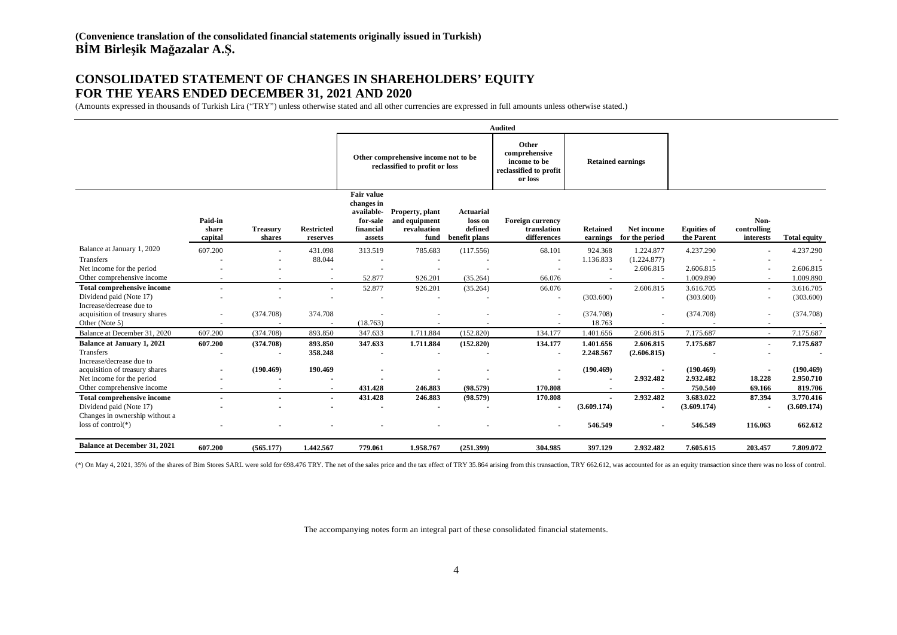## **CONSOLIDATED STATEMENT OF CHANGES IN SHAREHOLDERS' EQUITY FOR THE YEARS ENDED DECEMBER 31, 2021 AND 2020**

(Amounts expressed in thousands of Turkish Lira ("TRY") unless otherwise stated and all other currencies are expressed in full amounts unless otherwise stated.)

|                                                              |                             |                           |                               | <b>Audited</b>                                                                   |                                                         |                                                         |                                                                             |                             |                              |                                  |                                  |                        |
|--------------------------------------------------------------|-----------------------------|---------------------------|-------------------------------|----------------------------------------------------------------------------------|---------------------------------------------------------|---------------------------------------------------------|-----------------------------------------------------------------------------|-----------------------------|------------------------------|----------------------------------|----------------------------------|------------------------|
|                                                              |                             |                           |                               | Other comprehensive income not to be<br>reclassified to profit or loss           |                                                         |                                                         | Other<br>comprehensive<br>income to be<br>reclassified to profit<br>or loss |                             | <b>Retained earnings</b>     |                                  |                                  |                        |
|                                                              | Paid-in<br>share<br>capital | <b>Treasury</b><br>shares | <b>Restricted</b><br>reserves | <b>Fair value</b><br>changes in<br>available-<br>for-sale<br>financial<br>assets | Property, plant<br>and equipment<br>revaluation<br>fund | <b>Actuarial</b><br>loss on<br>defined<br>benefit plans | <b>Foreign currency</b><br>translation<br>differences                       | <b>Retained</b><br>earnings | Net income<br>for the period | <b>Equities of</b><br>the Parent | Non-<br>controlling<br>interests | <b>Total equity</b>    |
| Balance at January 1, 2020                                   | 607.200                     |                           | 431.098                       | 313.519                                                                          | 785.683                                                 | (117.556)                                               | 68.101                                                                      | 924.368                     | 1.224.877                    | 4.237.290                        |                                  | 4.237.290              |
| Transfers                                                    |                             |                           | 88.044                        |                                                                                  |                                                         |                                                         |                                                                             | 1.136.833                   | (1.224.877)                  |                                  |                                  |                        |
| Net income for the period<br>Other comprehensive income      |                             |                           |                               |                                                                                  |                                                         |                                                         |                                                                             | $\sim$                      | 2.606.815                    | 2.606.815                        |                                  | 2.606.815              |
|                                                              |                             |                           |                               | 52.877                                                                           | 926.201                                                 | (35.264)                                                | 66.076                                                                      | $\overline{a}$              | $\sim$                       | 1.009.890<br>3.616.705           |                                  | 1.009.890<br>3.616.705 |
| <b>Total comprehensive income</b><br>Dividend paid (Note 17) | $\ddot{\phantom{1}}$        |                           | ٠                             | 52.877<br>$\sim$                                                                 | 926.201                                                 | (35.264)                                                | 66.076<br>$\overline{\phantom{a}}$                                          | $\sim$<br>(303.600)         | 2.606.815<br>$\overline{a}$  | (303.600)                        | ÷.                               | (303.600)              |
| Increase/decrease due to                                     |                             |                           |                               |                                                                                  |                                                         |                                                         |                                                                             |                             |                              |                                  |                                  |                        |
| acquisition of treasury shares                               |                             | (374.708)                 | 374.708                       |                                                                                  |                                                         |                                                         |                                                                             | (374.708)                   |                              | (374.708)                        |                                  | (374.708)              |
| Other (Note 5)                                               |                             |                           |                               | (18.763)                                                                         |                                                         |                                                         |                                                                             | 18.763                      |                              |                                  |                                  |                        |
| Balance at December 31, 2020                                 | 607.200                     | (374.708)                 | 893.850                       | 347.633                                                                          | 1.711.884                                               | (152.820)                                               | 134.177                                                                     | 1.401.656                   | 2.606.815                    | 7.175.687                        |                                  | 7.175.687              |
| <b>Balance at January 1, 2021</b>                            | 607.200                     | (374.708)                 | 893.850                       | 347.633                                                                          | 1.711.884                                               | (152.820)                                               | 134.177                                                                     | 1.401.656                   | 2.606.815                    | 7.175.687                        | ٠                                | 7.175.687              |
| Transfers                                                    |                             |                           | 358.248                       | $\overline{\phantom{0}}$                                                         |                                                         |                                                         |                                                                             | 2.248.567                   | (2.606.815)                  |                                  |                                  |                        |
| Increase/decrease due to                                     |                             |                           |                               |                                                                                  |                                                         |                                                         |                                                                             |                             |                              |                                  |                                  |                        |
| acquisition of treasury shares                               | $\blacksquare$              | (190.469)                 | 190.469                       |                                                                                  |                                                         |                                                         |                                                                             | (190.469)                   |                              | (190.469)                        |                                  | (190.469)              |
| Net income for the period<br>Other comprehensive income      |                             |                           |                               | 431.428                                                                          | 246.883                                                 | (98.579)                                                | 170.808                                                                     |                             | 2.932.482                    | 2.932.482<br>750.540             | 18.228<br>69.166                 | 2.950.710<br>819.706   |
| <b>Total comprehensive income</b>                            | $\blacksquare$              | $\blacksquare$            | $\overline{\phantom{a}}$      | 431.428                                                                          | 246.883                                                 | (98.579)                                                | 170.808                                                                     | $\overline{\phantom{a}}$    | 2.932.482                    | 3.683.022                        | 87.394                           | 3.770.416              |
| Dividend paid (Note 17)                                      |                             |                           |                               |                                                                                  |                                                         |                                                         |                                                                             | (3.609.174)                 |                              | (3.609.174)                      |                                  | (3.609.174)            |
| Changes in ownership without a                               |                             |                           |                               |                                                                                  |                                                         |                                                         |                                                                             |                             |                              |                                  |                                  |                        |
| loss of control( $*)$                                        |                             |                           |                               |                                                                                  |                                                         |                                                         |                                                                             | 546.549                     |                              | 546.549                          | 116.063                          | 662.612                |
| <b>Balance at December 31, 2021</b>                          | 607.200                     | (565.177)                 | 1.442.567                     | 779.061                                                                          | 1.958.767                                               | (251.399)                                               | 304.985                                                                     | 397.129                     | 2.932.482                    | 7.605.615                        | 203.457                          | 7.809.072              |

(\*) On May 4, 2021, 35% of the shares of Bim Stores SARL were sold for 698.476 TRY. The net of the sales price and the tax effect of TRY 35.864 arising from this transaction, TRY 662.612, was accounted for as an equity tra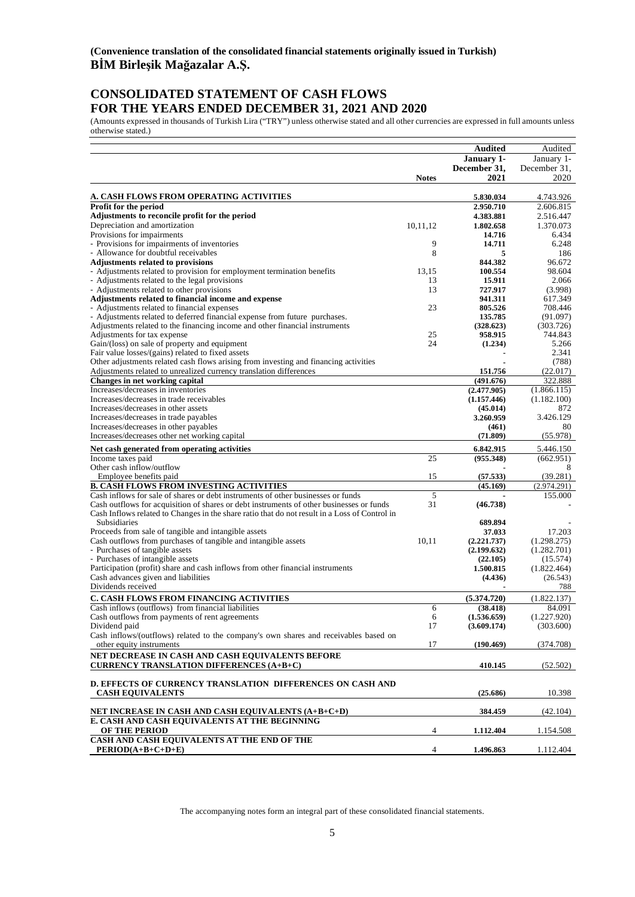## **CONSOLIDATED STATEMENT OF CASH FLOWS FOR THE YEARS ENDED DECEMBER 31, 2021 AND 2020**

(Amounts expressed in thousands of Turkish Lira ("TRY") unless otherwise stated and all other currencies are expressed in full amounts unless otherwise stated.)

|                                                                                                                    |              | <b>Audited</b>    | Audited            |
|--------------------------------------------------------------------------------------------------------------------|--------------|-------------------|--------------------|
|                                                                                                                    |              | January 1-        | January 1-         |
|                                                                                                                    |              | December 31,      | December 31,       |
|                                                                                                                    | <b>Notes</b> | 2021              | 2020               |
|                                                                                                                    |              |                   |                    |
| A. CASH FLOWS FROM OPERATING ACTIVITIES                                                                            |              | 5.830.034         | 4.743.926          |
| Profit for the period                                                                                              |              | 2.950.710         | 2.606.815          |
| Adjustments to reconcile profit for the period                                                                     |              | 4.383.881         | 2.516.447          |
| Depreciation and amortization                                                                                      | 10,11,12     | 1.802.658         | 1.370.073          |
| Provisions for impairments                                                                                         |              | 14.716            | 6.434              |
| - Provisions for impairments of inventories<br>- Allowance for doubtful receivables                                | 9            | 14.711            | 6.248              |
|                                                                                                                    | 8            | 5                 | 186                |
| <b>Adjustments related to provisions</b><br>- Adjustments related to provision for employment termination benefits |              | 844.382           | 96.672<br>98.604   |
|                                                                                                                    | 13,15        | 100.554           |                    |
| - Adjustments related to the legal provisions<br>- Adjustments related to other provisions                         | 13<br>13     | 15.911<br>727.917 | 2.066              |
| Adjustments related to financial income and expense                                                                |              | 941.311           | (3.998)<br>617.349 |
| - Adjustments related to financial expenses                                                                        | 23           | 805.526           | 708.446            |
| - Adjustments related to deferred financial expense from future purchases.                                         |              | 135.785           | (91.097)           |
| Adjustments related to the financing income and other financial instruments                                        |              | (328.623)         | (303.726)          |
| Adjustments for tax expense                                                                                        | 25           | 958.915           | 744.843            |
| Gain/(loss) on sale of property and equipment                                                                      | 24           | (1.234)           | 5.266              |
| Fair value losses/(gains) related to fixed assets                                                                  |              |                   | 2.341              |
| Other adjustments related cash flows arising from investing and financing activities                               |              |                   | (788)              |
| Adjustments related to unrealized currency translation differences                                                 |              | 151.756           | (22.017)           |
| Changes in net working capital                                                                                     |              | (491.676)         | 322.888            |
| Increases/decreases in inventories                                                                                 |              | (2.477.905)       | (1.866.115)        |
| Increases/decreases in trade receivables                                                                           |              | (1.157.446)       | (1.182.100)        |
| Increases/decreases in other assets                                                                                |              | (45.014)          | 872                |
| Increases/decreases in trade payables                                                                              |              | 3.260.959         | 3.426.129          |
| Increases/decreases in other payables                                                                              |              | (461)             | 80                 |
| Increases/decreases other net working capital                                                                      |              | (71.809)          | (55.978)           |
|                                                                                                                    |              |                   |                    |
| Net cash generated from operating activities<br>Income taxes paid                                                  | 25           | 6.842.915         | 5.446.150          |
| Other cash inflow/outflow                                                                                          |              | (955.348)         | (662.951)<br>8     |
| Employee benefits paid                                                                                             | 15           | (57.533)          | (39.281)           |
| <b>B. CASH FLOWS FROM INVESTING ACTIVITIES</b>                                                                     |              | (45.169)          | (2.974.291)        |
| Cash inflows for sale of shares or debt instruments of other businesses or funds                                   | 5            |                   | 155.000            |
| Cash outflows for acquisition of shares or debt instruments of other businesses or funds                           | 31           | (46.738)          |                    |
| Cash Inflows related to Changes in the share ratio that do not result in a Loss of Control in                      |              |                   |                    |
| <b>Subsidiaries</b>                                                                                                |              | 689.894           |                    |
| Proceeds from sale of tangible and intangible assets                                                               |              | 37.033            | 17.203             |
| Cash outflows from purchases of tangible and intangible assets                                                     | 10,11        | (2.221.737)       | (1.298.275)        |
| - Purchases of tangible assets                                                                                     |              | (2.199.632)       | (1.282.701)        |
| - Purchases of intangible assets                                                                                   |              | (22.105)          | (15.574)           |
| Participation (profit) share and cash inflows from other financial instruments                                     |              | 1.500.815         | (1.822.464)        |
| Cash advances given and liabilities                                                                                |              | (4.436)           | (26.543)           |
| Dividends received                                                                                                 |              |                   | 788                |
| <b>C. CASH FLOWS FROM FINANCING ACTIVITIES</b>                                                                     |              | (5.374.720)       | (1.822.137)        |
| Cash inflows (outflows) from financial liabilities                                                                 | 6            | (38.418)          | 84.091             |
| Cash outflows from payments of rent agreements                                                                     | 6            | (1.536.659)       | (1.227.920)        |
| Dividend paid                                                                                                      | 17           | (3.609.174)       | (303.600)          |
| Cash inflows/(outflows) related to the company's own shares and receivables based on                               |              |                   |                    |
| other equity instruments                                                                                           | 17           | (190.469)         | (374.708)          |
|                                                                                                                    |              |                   |                    |
| NET DECREASE IN CASH AND CASH EQUIVALENTS BEFORE                                                                   |              |                   |                    |
| <b>CURRENCY TRANSLATION DIFFERENCES (A+B+C)</b>                                                                    |              | 410.145           | (52.502)           |
| <b>D. EFFECTS OF CURRENCY TRANSLATION DIFFERENCES ON CASH AND</b>                                                  |              |                   |                    |
| <b>CASH EQUIVALENTS</b>                                                                                            |              |                   |                    |
|                                                                                                                    |              | (25.686)          | 10.398             |
| NET INCREASE IN CASH AND CASH EQUIVALENTS (A+B+C+D)                                                                |              | 384.459           | (42.104)           |
| E. CASH AND CASH EQUIVALENTS AT THE BEGINNING                                                                      |              |                   |                    |
| OF THE PERIOD                                                                                                      | 4            | 1.112.404         | 1.154.508          |
| CASH AND CASH EQUIVALENTS AT THE END OF THE                                                                        |              |                   |                    |
| $PERIOD(A+B+C+D+E)$                                                                                                | 4            | 1.496.863         | 1.112.404          |
|                                                                                                                    |              |                   |                    |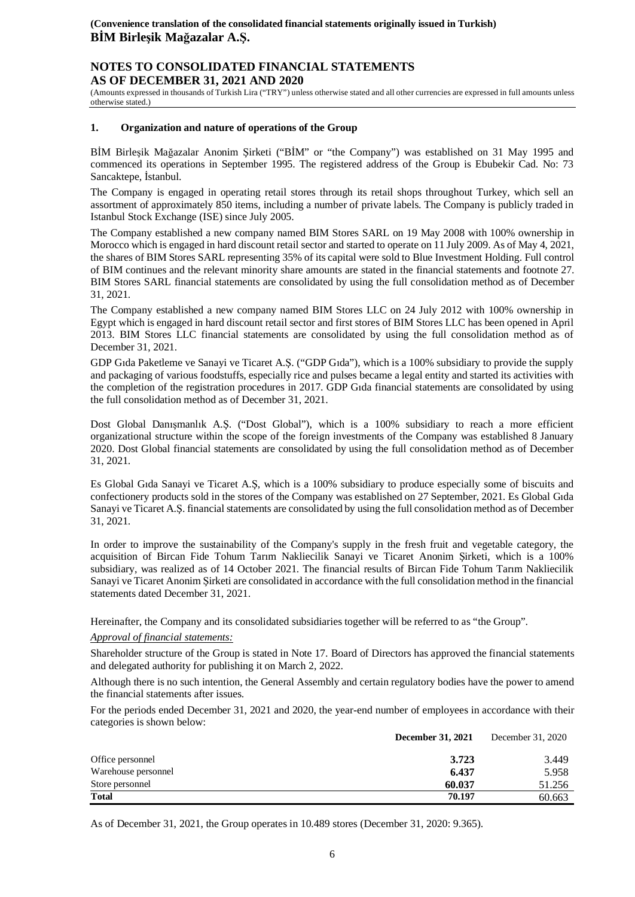## **NOTES TO CONSOLIDATED FINANCIAL STATEMENTS AS OF DECEMBER 31, 2021 AND 2020**

(Amounts expressed in thousands of Turkish Lira ("TRY") unless otherwise stated and all other currencies are expressed in full amounts unless otherwise stated.)

#### **1. Organization and nature of operations of the Group**

BİM Birleşik Mağazalar Anonim Şirketi ("BİM" or "the Company") was established on 31 May 1995 and commenced its operations in September 1995. The registered address of the Group is Ebubekir Cad. No: 73 Sancaktepe, İstanbul.

The Company is engaged in operating retail stores through its retail shops throughout Turkey, which sell an assortment of approximately 850 items, including a number of private labels. The Company is publicly traded in Istanbul Stock Exchange (ISE) since July 2005.

The Company established a new company named BIM Stores SARL on 19 May 2008 with 100% ownership in Morocco which is engaged in hard discount retail sector and started to operate on 11 July 2009. As of May 4, 2021, the shares of BIM Stores SARL representing 35% of its capital were sold to Blue Investment Holding. Full control of BIM continues and the relevant minority share amounts are stated in the financial statements and footnote 27. BIM Stores SARL financial statements are consolidated by using the full consolidation method as of December 31, 2021.

The Company established a new company named BIM Stores LLC on 24 July 2012 with 100% ownership in Egypt which is engaged in hard discount retail sector and first stores of BIM Stores LLC has been opened in April 2013. BIM Stores LLC financial statements are consolidated by using the full consolidation method as of December 31, 2021.

GDP Gida Paketleme ve Sanayi ve Ticaret A.Ş. ("GDP Gida"), which is a 100% subsidiary to provide the supply and packaging of various foodstuffs, especially rice and pulses became a legal entity and started its activities with the completion of the registration procedures in 2017. GDP Gıda financial statements are consolidated by using the full consolidation method as of December 31, 2021.

Dost Global Danışmanlık A.Ş. ("Dost Global"), which is a 100% subsidiary to reach a more efficient organizational structure within the scope of the foreign investments of the Company was established 8 January 2020. Dost Global financial statements are consolidated by using the full consolidation method as of December 31, 2021.

Es Global Gıda Sanayi ve Ticaret A.Ş, which is a 100% subsidiary to produce especially some of biscuits and confectionery products sold in the stores of the Company was established on 27 September, 2021. Es Global Gıda Sanayi ve Ticaret A.Ş. financial statements are consolidated by using the full consolidation method as of December 31, 2021.

In order to improve the sustainability of the Company's supply in the fresh fruit and vegetable category, the acquisition of Bircan Fide Tohum Tarım Nakliecilik Sanayi ve Ticaret Anonim Şirketi, which is a 100% subsidiary, was realized as of 14 October 2021. The financial results of Bircan Fide Tohum Tarım Nakliecilik Sanayi ve Ticaret Anonim Şirketi are consolidated in accordance with the full consolidation method in the financial statements dated December 31, 2021.

Hereinafter, the Company and its consolidated subsidiaries together will be referred to as "the Group".

## *Approval of financial statements:*

Shareholder structure of the Group is stated in Note 17. Board of Directors has approved the financial statements and delegated authority for publishing it on March 2, 2022.

Although there is no such intention, the General Assembly and certain regulatory bodies have the power to amend the financial statements after issues.

For the periods ended December 31, 2021 and 2020, the year-end number of employees in accordance with their categories is shown below:

|                     | December 31, 2021 | December 31, 2020 |
|---------------------|-------------------|-------------------|
| Office personnel    | 3.723             | 3.449             |
| Warehouse personnel | 6.437             | 5.958             |
| Store personnel     | 60.037            | 51.256            |
| <b>Total</b>        | 70.197            | 60.663            |

As of December 31, 2021, the Group operates in 10.489 stores (December 31, 2020: 9.365).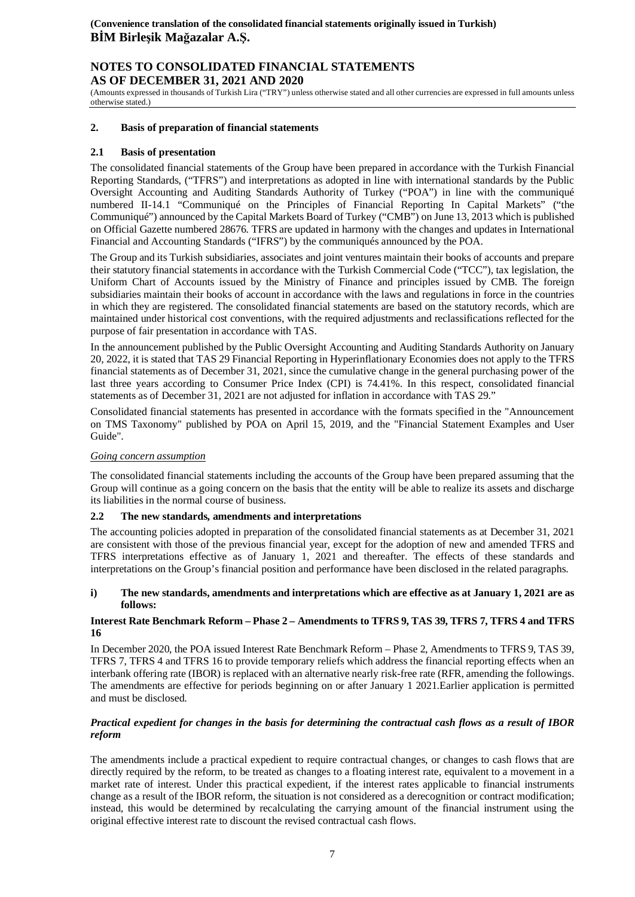## **NOTES TO CONSOLIDATED FINANCIAL STATEMENTS AS OF DECEMBER 31, 2021 AND 2020**

(Amounts expressed in thousands of Turkish Lira ("TRY") unless otherwise stated and all other currencies are expressed in full amounts unless otherwise stated.)

#### **2. Basis of preparation of financial statements**

#### **2.1 Basis of presentation**

The consolidated financial statements of the Group have been prepared in accordance with the Turkish Financial Reporting Standards, ("TFRS") and interpretations as adopted in line with international standards by the Public Oversight Accounting and Auditing Standards Authority of Turkey ("POA") in line with the communiqué numbered II-14.1 "Communiqué on the Principles of Financial Reporting In Capital Markets" ("the Communiqué") announced by the Capital Markets Board of Turkey ("CMB") on June 13, 2013 which is published on Official Gazette numbered 28676. TFRS are updated in harmony with the changes and updates in International Financial and Accounting Standards ("IFRS") by the communiqués announced by the POA.

The Group and its Turkish subsidiaries, associates and joint ventures maintain their books of accounts and prepare their statutory financial statements in accordance with the Turkish Commercial Code ("TCC"), tax legislation, the Uniform Chart of Accounts issued by the Ministry of Finance and principles issued by CMB. The foreign subsidiaries maintain their books of account in accordance with the laws and regulations in force in the countries in which they are registered. The consolidated financial statements are based on the statutory records, which are maintained under historical cost conventions, with the required adjustments and reclassifications reflected for the purpose of fair presentation in accordance with TAS.

In the announcement published by the Public Oversight Accounting and Auditing Standards Authority on January 20, 2022, it is stated that TAS 29 Financial Reporting in Hyperinflationary Economies does not apply to the TFRS financial statements as of December 31, 2021, since the cumulative change in the general purchasing power of the last three years according to Consumer Price Index (CPI) is 74.41%. In this respect, consolidated financial statements as of December 31, 2021 are not adjusted for inflation in accordance with TAS 29."

Consolidated financial statements has presented in accordance with the formats specified in the "Announcement on TMS Taxonomy" published by POA on April 15, 2019, and the "Financial Statement Examples and User Guide".

#### *Going concern assumption*

The consolidated financial statements including the accounts of the Group have been prepared assuming that the Group will continue as a going concern on the basis that the entity will be able to realize its assets and discharge its liabilities in the normal course of business.

#### **2.2 The new standards, amendments and interpretations**

The accounting policies adopted in preparation of the consolidated financial statements as at December 31, 2021 are consistent with those of the previous financial year, except for the adoption of new and amended TFRS and TFRS interpretations effective as of January 1, 2021 and thereafter. The effects of these standards and interpretations on the Group's financial position and performance have been disclosed in the related paragraphs.

#### **i) The new standards, amendments and interpretations which are effective as at January 1, 2021 are as follows:**

#### **Interest Rate Benchmark Reform – Phase 2 – Amendments to TFRS 9, TAS 39, TFRS 7, TFRS 4 and TFRS 16**

In December 2020, the POA issued Interest Rate Benchmark Reform – Phase 2, Amendments to TFRS 9, TAS 39, TFRS 7, TFRS 4 and TFRS 16 to provide temporary reliefs which address the financial reporting effects when an interbank offering rate (IBOR) is replaced with an alternative nearly risk-free rate (RFR, amending the followings. The amendments are effective for periods beginning on or after January 1 2021.Earlier application is permitted and must be disclosed.

#### *Practical expedient for changes in the basis for determining the contractual cash flows as a result of IBOR reform*

The amendments include a practical expedient to require contractual changes, or changes to cash flows that are directly required by the reform, to be treated as changes to a floating interest rate, equivalent to a movement in a market rate of interest. Under this practical expedient, if the interest rates applicable to financial instruments change as a result of the IBOR reform, the situation is not considered as a derecognition or contract modification; instead, this would be determined by recalculating the carrying amount of the financial instrument using the original effective interest rate to discount the revised contractual cash flows.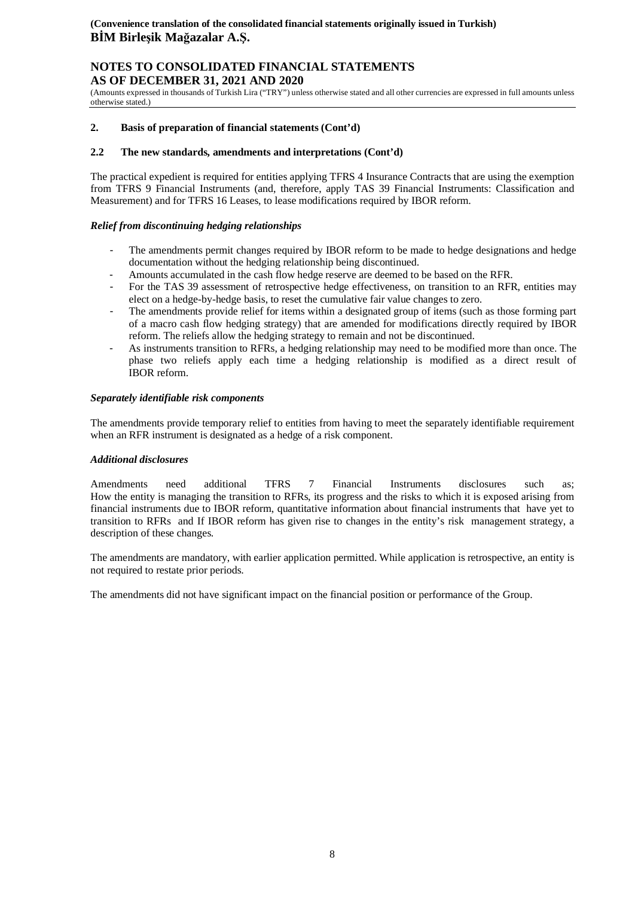## **NOTES TO CONSOLIDATED FINANCIAL STATEMENTS AS OF DECEMBER 31, 2021 AND 2020**

(Amounts expressed in thousands of Turkish Lira ("TRY") unless otherwise stated and all other currencies are expressed in full amounts unless otherwise stated.)

#### **2. Basis of preparation of financial statements (Cont'd)**

#### **2.2 The new standards, amendments and interpretations (Cont'd)**

The practical expedient is required for entities applying TFRS 4 Insurance Contracts that are using the exemption from TFRS 9 Financial Instruments (and, therefore, apply TAS 39 Financial Instruments: Classification and Measurement) and for TFRS 16 Leases, to lease modifications required by IBOR reform.

#### *Relief from discontinuing hedging relationships*

- The amendments permit changes required by IBOR reform to be made to hedge designations and hedge documentation without the hedging relationship being discontinued.
- Amounts accumulated in the cash flow hedge reserve are deemed to be based on the RFR.
- For the TAS 39 assessment of retrospective hedge effectiveness, on transition to an RFR, entities may elect on a hedge-by-hedge basis, to reset the cumulative fair value changes to zero.
- The amendments provide relief for items within a designated group of items (such as those forming part of a macro cash flow hedging strategy) that are amended for modifications directly required by IBOR reform. The reliefs allow the hedging strategy to remain and not be discontinued.
- As instruments transition to RFRs, a hedging relationship may need to be modified more than once. The phase two reliefs apply each time a hedging relationship is modified as a direct result of IBOR reform.

#### *Separately identifiable risk components*

The amendments provide temporary relief to entities from having to meet the separately identifiable requirement when an RFR instrument is designated as a hedge of a risk component.

#### *Additional disclosures*

Amendments need additional TFRS 7 Financial Instruments disclosures such as; How the entity is managing the transition to RFRs, its progress and the risks to which it is exposed arising from financial instruments due to IBOR reform, quantitative information about financial instruments that have yet to transition to RFRs and If IBOR reform has given rise to changes in the entity's risk management strategy, a description of these changes.

The amendments are mandatory, with earlier application permitted. While application is retrospective, an entity is not required to restate prior periods.

The amendments did not have significant impact on the financial position or performance of the Group.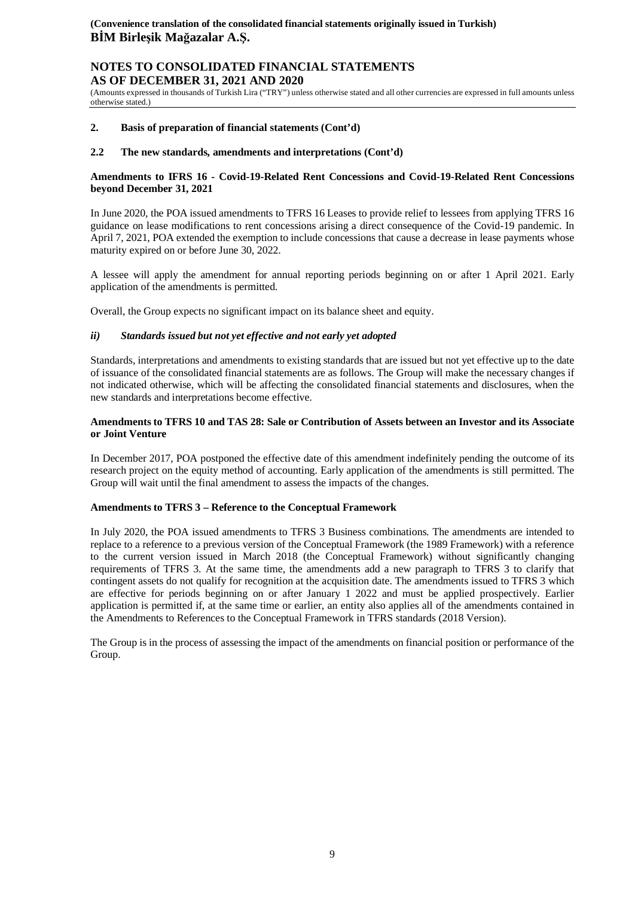## **NOTES TO CONSOLIDATED FINANCIAL STATEMENTS AS OF DECEMBER 31, 2021 AND 2020**

(Amounts expressed in thousands of Turkish Lira ("TRY") unless otherwise stated and all other currencies are expressed in full amounts unless otherwise stated.)

#### **2. Basis of preparation of financial statements (Cont'd)**

#### **2.2 The new standards, amendments and interpretations (Cont'd)**

#### **Amendments to IFRS 16 - Covid-19-Related Rent Concessions and Covid-19-Related Rent Concessions beyond December 31, 2021**

In June 2020, the POA issued amendments to TFRS 16 Leases to provide relief to lessees from applying TFRS 16 guidance on lease modifications to rent concessions arising a direct consequence of the Covid-19 pandemic. In April 7, 2021, POA extended the exemption to include concessions that cause a decrease in lease payments whose maturity expired on or before June 30, 2022.

A lessee will apply the amendment for annual reporting periods beginning on or after 1 April 2021. Early application of the amendments is permitted.

Overall, the Group expects no significant impact on its balance sheet and equity.

#### *ii) Standards issued but not yet effective and not early yet adopted*

Standards, interpretations and amendments to existing standards that are issued but not yet effective up to the date of issuance of the consolidated financial statements are as follows. The Group will make the necessary changes if not indicated otherwise, which will be affecting the consolidated financial statements and disclosures, when the new standards and interpretations become effective.

#### **Amendments to TFRS 10 and TAS 28: Sale or Contribution of Assets between an Investor and its Associate or Joint Venture**

In December 2017, POA postponed the effective date of this amendment indefinitely pending the outcome of its research project on the equity method of accounting. Early application of the amendments is still permitted. The Group will wait until the final amendment to assess the impacts of the changes.

#### **Amendments to TFRS 3 – Reference to the Conceptual Framework**

In July 2020, the POA issued amendments to TFRS 3 Business combinations. The amendments are intended to replace to a reference to a previous version of the Conceptual Framework (the 1989 Framework) with a reference to the current version issued in March 2018 (the Conceptual Framework) without significantly changing requirements of TFRS 3. At the same time, the amendments add a new paragraph to TFRS 3 to clarify that contingent assets do not qualify for recognition at the acquisition date. The amendments issued to TFRS 3 which are effective for periods beginning on or after January 1 2022 and must be applied prospectively. Earlier application is permitted if, at the same time or earlier, an entity also applies all of the amendments contained in the Amendments to References to the Conceptual Framework in TFRS standards (2018 Version).

The Group is in the process of assessing the impact of the amendments on financial position or performance of the Group.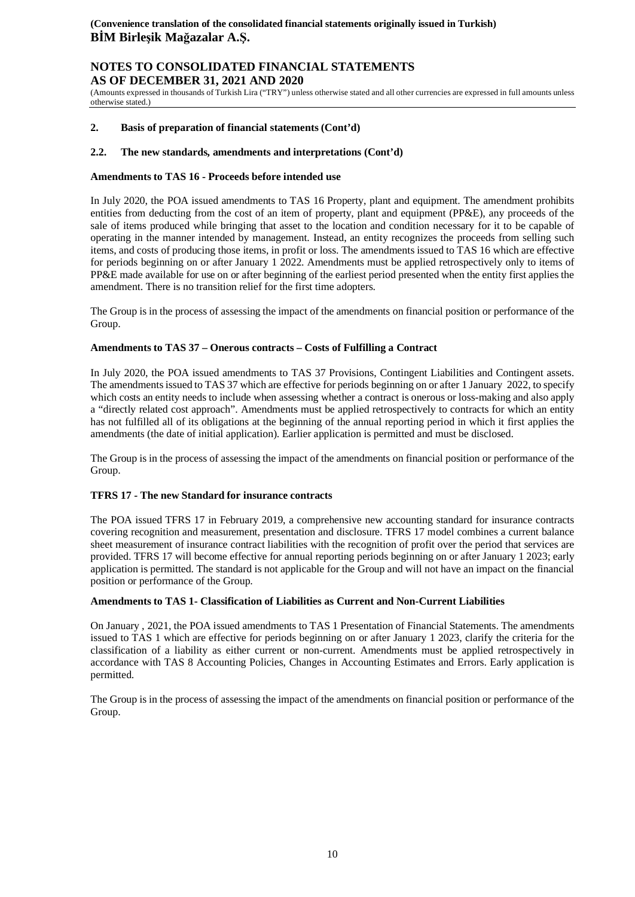## **NOTES TO CONSOLIDATED FINANCIAL STATEMENTS AS OF DECEMBER 31, 2021 AND 2020**

(Amounts expressed in thousands of Turkish Lira ("TRY") unless otherwise stated and all other currencies are expressed in full amounts unless otherwise stated.)

#### **2. Basis of preparation of financial statements (Cont'd)**

#### **2.2. The new standards, amendments and interpretations (Cont'd)**

#### **Amendments to TAS 16 - Proceeds before intended use**

In July 2020, the POA issued amendments to TAS 16 Property, plant and equipment. The amendment prohibits entities from deducting from the cost of an item of property, plant and equipment (PP&E), any proceeds of the sale of items produced while bringing that asset to the location and condition necessary for it to be capable of operating in the manner intended by management. Instead, an entity recognizes the proceeds from selling such items, and costs of producing those items, in profit or loss. The amendments issued to TAS 16 which are effective for periods beginning on or after January 1 2022. Amendments must be applied retrospectively only to items of PP&E made available for use on or after beginning of the earliest period presented when the entity first applies the amendment. There is no transition relief for the first time adopters.

The Group is in the process of assessing the impact of the amendments on financial position or performance of the Group.

#### **Amendments to TAS 37 – Onerous contracts – Costs of Fulfilling a Contract**

In July 2020, the POA issued amendments to TAS 37 Provisions, Contingent Liabilities and Contingent assets. The amendments issued to TAS 37 which are effective for periods beginning on or after 1 January 2022, to specify which costs an entity needs to include when assessing whether a contract is onerous or loss-making and also apply a "directly related cost approach". Amendments must be applied retrospectively to contracts for which an entity has not fulfilled all of its obligations at the beginning of the annual reporting period in which it first applies the amendments (the date of initial application). Earlier application is permitted and must be disclosed.

The Group is in the process of assessing the impact of the amendments on financial position or performance of the Group.

#### **TFRS 17 - The new Standard for insurance contracts**

The POA issued TFRS 17 in February 2019, a comprehensive new accounting standard for insurance contracts covering recognition and measurement, presentation and disclosure. TFRS 17 model combines a current balance sheet measurement of insurance contract liabilities with the recognition of profit over the period that services are provided. TFRS 17 will become effective for annual reporting periods beginning on or after January 1 2023; early application is permitted. The standard is not applicable for the Group and will not have an impact on the financial position or performance of the Group.

#### **Amendments to TAS 1- Classification of Liabilities as Current and Non-Current Liabilities**

On January , 2021, the POA issued amendments to TAS 1 Presentation of Financial Statements. The amendments issued to TAS 1 which are effective for periods beginning on or after January 1 2023, clarify the criteria for the classification of a liability as either current or non-current. Amendments must be applied retrospectively in accordance with TAS 8 Accounting Policies, Changes in Accounting Estimates and Errors. Early application is permitted.

The Group is in the process of assessing the impact of the amendments on financial position or performance of the Group.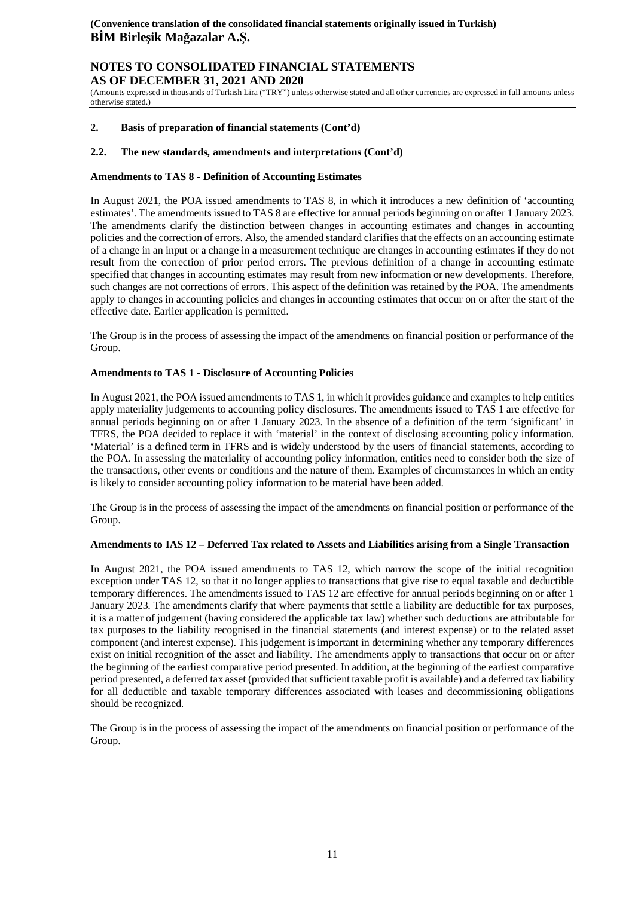## **NOTES TO CONSOLIDATED FINANCIAL STATEMENTS AS OF DECEMBER 31, 2021 AND 2020**

(Amounts expressed in thousands of Turkish Lira ("TRY") unless otherwise stated and all other currencies are expressed in full amounts unless otherwise stated.)

#### **2. Basis of preparation of financial statements (Cont'd)**

#### **2.2. The new standards, amendments and interpretations (Cont'd)**

#### **Amendments to TAS 8 - Definition of Accounting Estimates**

In August 2021, the POA issued amendments to TAS 8, in which it introduces a new definition of 'accounting estimates'. The amendments issued to TAS 8 are effective for annual periods beginning on or after 1 January 2023. The amendments clarify the distinction between changes in accounting estimates and changes in accounting policies and the correction of errors. Also, the amended standard clarifies that the effects on an accounting estimate of a change in an input or a change in a measurement technique are changes in accounting estimates if they do not result from the correction of prior period errors. The previous definition of a change in accounting estimate specified that changes in accounting estimates may result from new information or new developments. Therefore, such changes are not corrections of errors. This aspect of the definition was retained by the POA. The amendments apply to changes in accounting policies and changes in accounting estimates that occur on or after the start of the effective date. Earlier application is permitted.

The Group is in the process of assessing the impact of the amendments on financial position or performance of the Group.

#### **Amendments to TAS 1 - Disclosure of Accounting Policies**

In August 2021, the POA issued amendments to TAS 1, in which it provides guidance and examples to help entities apply materiality judgements to accounting policy disclosures. The amendments issued to TAS 1 are effective for annual periods beginning on or after 1 January 2023. In the absence of a definition of the term 'significant' in TFRS, the POA decided to replace it with 'material' in the context of disclosing accounting policy information. 'Material' is a defined term in TFRS and is widely understood by the users of financial statements, according to the POA. In assessing the materiality of accounting policy information, entities need to consider both the size of the transactions, other events or conditions and the nature of them. Examples of circumstances in which an entity is likely to consider accounting policy information to be material have been added.

The Group is in the process of assessing the impact of the amendments on financial position or performance of the Group.

#### **Amendments to IAS 12 – Deferred Tax related to Assets and Liabilities arising from a Single Transaction**

In August 2021, the POA issued amendments to TAS 12, which narrow the scope of the initial recognition exception under TAS 12, so that it no longer applies to transactions that give rise to equal taxable and deductible temporary differences. The amendments issued to TAS 12 are effective for annual periods beginning on or after 1 January 2023. The amendments clarify that where payments that settle a liability are deductible for tax purposes, it is a matter of judgement (having considered the applicable tax law) whether such deductions are attributable for tax purposes to the liability recognised in the financial statements (and interest expense) or to the related asset component (and interest expense). This judgement is important in determining whether any temporary differences exist on initial recognition of the asset and liability. The amendments apply to transactions that occur on or after the beginning of the earliest comparative period presented. In addition, at the beginning of the earliest comparative period presented, a deferred tax asset (provided that sufficient taxable profit is available) and a deferred tax liability for all deductible and taxable temporary differences associated with leases and decommissioning obligations should be recognized.

The Group is in the process of assessing the impact of the amendments on financial position or performance of the Group.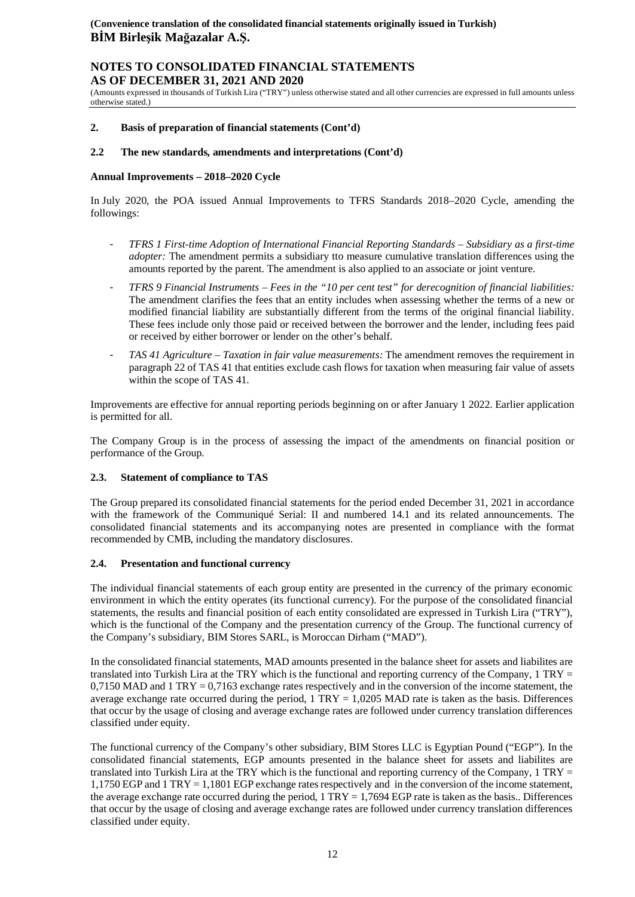## **NOTES TO CONSOLIDATED FINANCIAL STATEMENTS AS OF DECEMBER 31, 2021 AND 2020**

(Amounts expressed in thousands of Turkish Lira ("TRY") unless otherwise stated and all other currencies are expressed in full amounts unless otherwise stated.)

#### **2. Basis of preparation of financial statements (Cont'd)**

#### **2.2 The new standards, amendments and interpretations (Cont'd)**

#### **Annual Improvements – 2018–2020 Cycle**

In July 2020, the POA issued Annual Improvements to TFRS Standards 2018–2020 Cycle, amending the followings:

- *TFRS 1 First-time Adoption of International Financial Reporting Standards – Subsidiary as a first-time adopter:* The amendment permits a subsidiary tto measure cumulative translation differences using the amounts reported by the parent. The amendment is also applied to an associate or joint venture.
- *TFRS 9 Financial Instruments – Fees in the "10 per cent test" for derecognition of financial liabilities:* The amendment clarifies the fees that an entity includes when assessing whether the terms of a new or modified financial liability are substantially different from the terms of the original financial liability. These fees include only those paid or received between the borrower and the lender, including fees paid or received by either borrower or lender on the other's behalf.
- *TAS 41 Agriculture – Taxation in fair value measurements:* The amendment removes the requirement in paragraph 22 of TAS 41 that entities exclude cash flows for taxation when measuring fair value of assets within the scope of TAS 41.

Improvements are effective for annual reporting periods beginning on or after January 1 2022. Earlier application is permitted for all.

The Company Group is in the process of assessing the impact of the amendments on financial position or performance of the Group.

#### **2.3. Statement of compliance to TAS**

The Group prepared its consolidated financial statements for the period ended December 31, 2021 in accordance with the framework of the Communiqué Serial: II and numbered 14.1 and its related announcements. The consolidated financial statements and its accompanying notes are presented in compliance with the format recommended by CMB, including the mandatory disclosures.

#### **2.4. Presentation and functional currency**

The individual financial statements of each group entity are presented in the currency of the primary economic environment in which the entity operates (its functional currency). For the purpose of the consolidated financial statements, the results and financial position of each entity consolidated are expressed in Turkish Lira ("TRY"), which is the functional of the Company and the presentation currency of the Group. The functional currency of the Company's subsidiary, BIM Stores SARL, is Moroccan Dirham ("MAD").

In the consolidated financial statements, MAD amounts presented in the balance sheet for assets and liabilites are translated into Turkish Lira at the TRY which is the functional and reporting currency of the Company, 1 TRY =  $0,7150$  MAD and  $1 \text{ TRY} = 0,7163$  exchange rates respectively and in the conversion of the income statement, the average exchange rate occurred during the period,  $1 \text{ TRY} = 1,0205 \text{ MAD}$  rate is taken as the basis. Differences that occur by the usage of closing and average exchange rates are followed under currency translation differences classified under equity.

The functional currency of the Company's other subsidiary, BIM Stores LLC is Egyptian Pound ("EGP"). In the consolidated financial statements, EGP amounts presented in the balance sheet for assets and liabilites are translated into Turkish Lira at the TRY which is the functional and reporting currency of the Company,  $1 \text{ TRY} =$ 1,1750 EGP and 1 TRY = 1,1801 EGP exchange rates respectively and in the conversion of the income statement, the average exchange rate occurred during the period,  $1 \text{ TRY} = 1,7694 \text{ EGP}$  rate is taken as the basis.. Differences that occur by the usage of closing and average exchange rates are followed under currency translation differences classified under equity.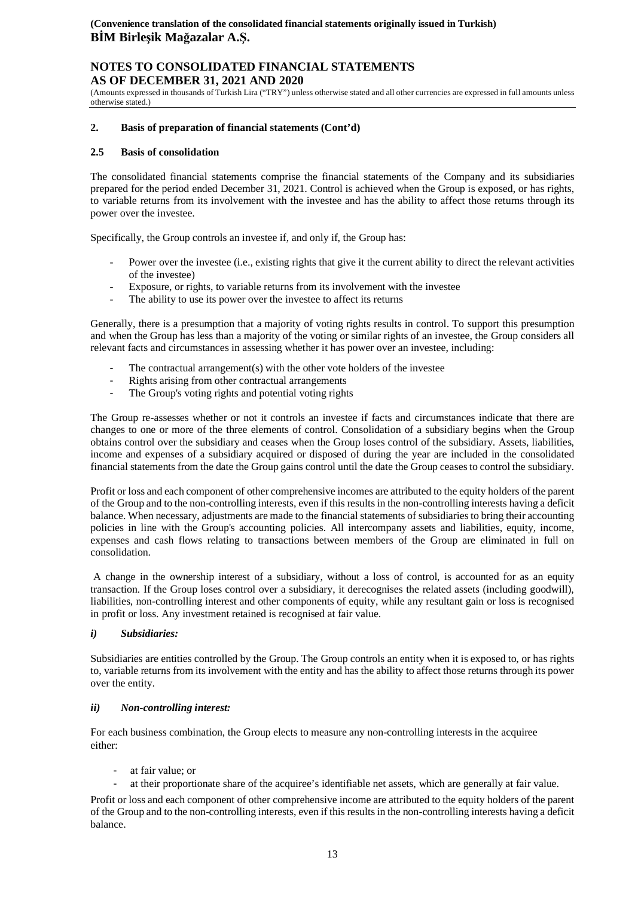## **NOTES TO CONSOLIDATED FINANCIAL STATEMENTS AS OF DECEMBER 31, 2021 AND 2020**

(Amounts expressed in thousands of Turkish Lira ("TRY") unless otherwise stated and all other currencies are expressed in full amounts unless otherwise stated.)

#### **2. Basis of preparation of financial statements (Cont'd)**

#### **2.5 Basis of consolidation**

The consolidated financial statements comprise the financial statements of the Company and its subsidiaries prepared for the period ended December 31, 2021. Control is achieved when the Group is exposed, or has rights, to variable returns from its involvement with the investee and has the ability to affect those returns through its power over the investee.

Specifically, the Group controls an investee if, and only if, the Group has:

- Power over the investee (i.e., existing rights that give it the current ability to direct the relevant activities of the investee)
- Exposure, or rights, to variable returns from its involvement with the investee
- The ability to use its power over the investee to affect its returns

Generally, there is a presumption that a majority of voting rights results in control. To support this presumption and when the Group has less than a majority of the voting or similar rights of an investee, the Group considers all relevant facts and circumstances in assessing whether it has power over an investee, including:

- The contractual arrangement(s) with the other vote holders of the investee
- Rights arising from other contractual arrangements
- The Group's voting rights and potential voting rights

The Group re-assesses whether or not it controls an investee if facts and circumstances indicate that there are changes to one or more of the three elements of control. Consolidation of a subsidiary begins when the Group obtains control over the subsidiary and ceases when the Group loses control of the subsidiary. Assets, liabilities, income and expenses of a subsidiary acquired or disposed of during the year are included in the consolidated financial statements from the date the Group gains control until the date the Group ceases to control the subsidiary.

Profit or loss and each component of other comprehensive incomes are attributed to the equity holders of the parent of the Group and to the non-controlling interests, even if this results in the non-controlling interests having a deficit balance. When necessary, adjustments are made to the financial statements of subsidiaries to bring their accounting policies in line with the Group's accounting policies. All intercompany assets and liabilities, equity, income, expenses and cash flows relating to transactions between members of the Group are eliminated in full on consolidation.

A change in the ownership interest of a subsidiary, without a loss of control, is accounted for as an equity transaction. If the Group loses control over a subsidiary, it derecognises the related assets (including goodwill), liabilities, non-controlling interest and other components of equity, while any resultant gain or loss is recognised in profit or loss. Any investment retained is recognised at fair value.

#### *i) Subsidiaries:*

Subsidiaries are entities controlled by the Group. The Group controls an entity when it is exposed to, or has rights to, variable returns from its involvement with the entity and has the ability to affect those returns through its power over the entity.

#### *ii) Non-controlling interest:*

For each business combination, the Group elects to measure any non-controlling interests in the acquiree either:

- at fair value; or
	- at their proportionate share of the acquiree's identifiable net assets, which are generally at fair value.

Profit or loss and each component of other comprehensive income are attributed to the equity holders of the parent of the Group and to the non-controlling interests, even if this results in the non-controlling interests having a deficit balance.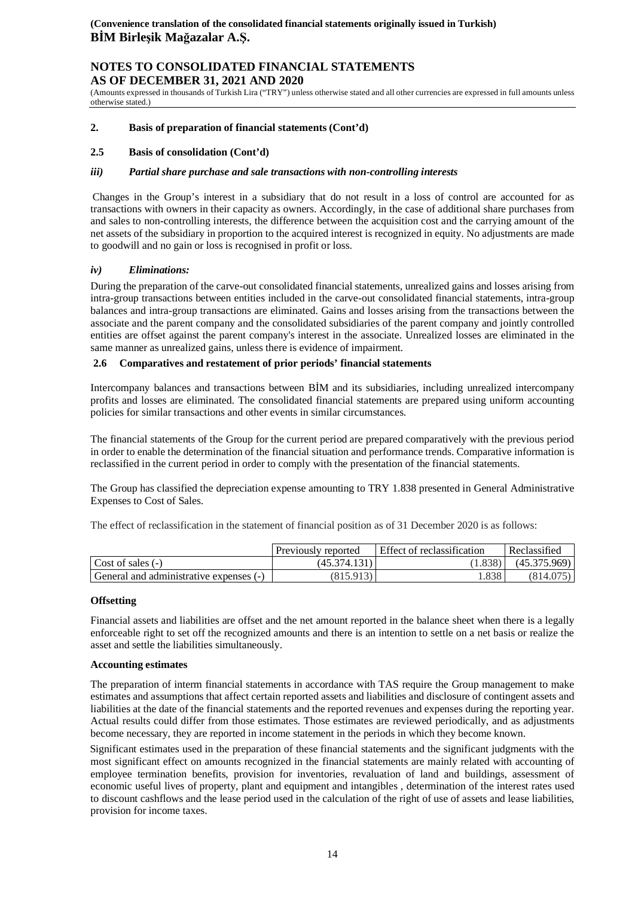## **NOTES TO CONSOLIDATED FINANCIAL STATEMENTS AS OF DECEMBER 31, 2021 AND 2020**

(Amounts expressed in thousands of Turkish Lira ("TRY") unless otherwise stated and all other currencies are expressed in full amounts unless otherwise stated.)

#### **2. Basis of preparation of financial statements (Cont'd)**

#### **2.5 Basis of consolidation (Cont'd)**

#### *iii) Partial share purchase and sale transactions with non-controlling interests*

Changes in the Group's interest in a subsidiary that do not result in a loss of control are accounted for as transactions with owners in their capacity as owners. Accordingly, in the case of additional share purchases from and sales to non-controlling interests, the difference between the acquisition cost and the carrying amount of the net assets of the subsidiary in proportion to the acquired interest is recognized in equity. No adjustments are made to goodwill and no gain or loss is recognised in profit or loss.

#### *iv) Eliminations:*

During the preparation of the carve-out consolidated financial statements, unrealized gains and losses arising from intra-group transactions between entities included in the carve-out consolidated financial statements, intra-group balances and intra-group transactions are eliminated. Gains and losses arising from the transactions between the associate and the parent company and the consolidated subsidiaries of the parent company and jointly controlled entities are offset against the parent company's interest in the associate. Unrealized losses are eliminated in the same manner as unrealized gains, unless there is evidence of impairment.

#### **2.6 Comparatives and restatement of prior periods' financial statements**

Intercompany balances and transactions between BİM and its subsidiaries, including unrealized intercompany profits and losses are eliminated. The consolidated financial statements are prepared using uniform accounting policies for similar transactions and other events in similar circumstances.

The financial statements of the Group for the current period are prepared comparatively with the previous period in order to enable the determination of the financial situation and performance trends. Comparative information is reclassified in the current period in order to comply with the presentation of the financial statements.

The Group has classified the depreciation expense amounting to TRY 1.838 presented in General Administrative Expenses to Cost of Sales.

The effect of reclassification in the statement of financial position as of 31 December 2020 is as follows:

|                                          | Previously reported | Effect of reclassification | Reclassified |
|------------------------------------------|---------------------|----------------------------|--------------|
| $\sqrt{$ Cost of sales $\left( -\right)$ | (45.374.131         |                            | (45.375.969) |
| General and administrative expenses (-)  | (815.913)           |                            | (814.075)    |

#### **Offsetting**

Financial assets and liabilities are offset and the net amount reported in the balance sheet when there is a legally enforceable right to set off the recognized amounts and there is an intention to settle on a net basis or realize the asset and settle the liabilities simultaneously.

#### **Accounting estimates**

The preparation of interm financial statements in accordance with TAS require the Group management to make estimates and assumptions that affect certain reported assets and liabilities and disclosure of contingent assets and liabilities at the date of the financial statements and the reported revenues and expenses during the reporting year. Actual results could differ from those estimates. Those estimates are reviewed periodically, and as adjustments become necessary, they are reported in income statement in the periods in which they become known.

Significant estimates used in the preparation of these financial statements and the significant judgments with the most significant effect on amounts recognized in the financial statements are mainly related with accounting of employee termination benefits, provision for inventories, revaluation of land and buildings, assessment of economic useful lives of property, plant and equipment and intangibles , determination of the interest rates used to discount cashflows and the lease period used in the calculation of the right of use of assets and lease liabilities, provision for income taxes.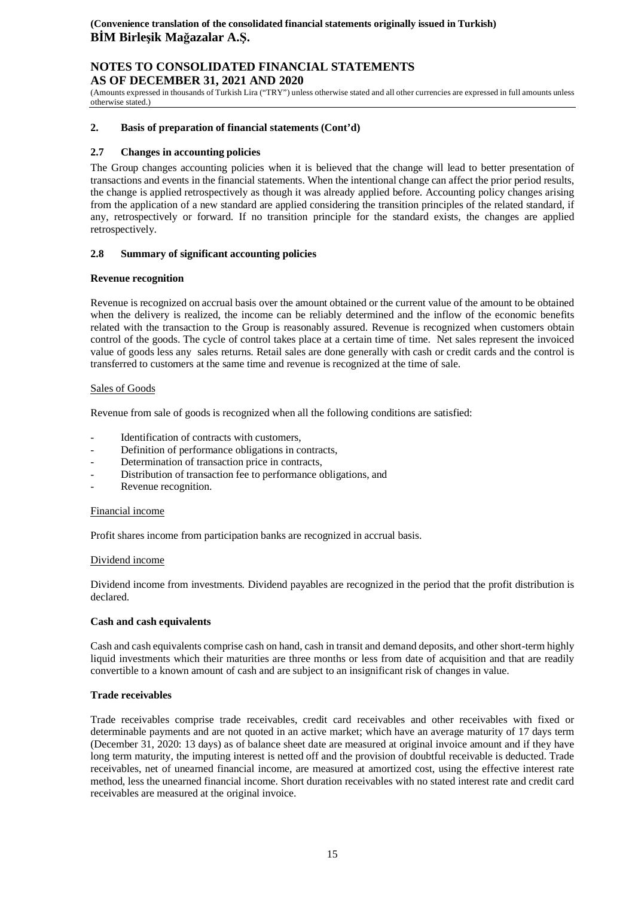## **NOTES TO CONSOLIDATED FINANCIAL STATEMENTS AS OF DECEMBER 31, 2021 AND 2020**

(Amounts expressed in thousands of Turkish Lira ("TRY") unless otherwise stated and all other currencies are expressed in full amounts unless otherwise stated.)

#### **2. Basis of preparation of financial statements (Cont'd)**

#### **2.7 Changes in accounting policies**

The Group changes accounting policies when it is believed that the change will lead to better presentation of transactions and events in the financial statements. When the intentional change can affect the prior period results, the change is applied retrospectively as though it was already applied before. Accounting policy changes arising from the application of a new standard are applied considering the transition principles of the related standard, if any, retrospectively or forward. If no transition principle for the standard exists, the changes are applied retrospectively.

#### **2.8 Summary of significant accounting policies**

#### **Revenue recognition**

Revenue is recognized on accrual basis over the amount obtained or the current value of the amount to be obtained when the delivery is realized, the income can be reliably determined and the inflow of the economic benefits related with the transaction to the Group is reasonably assured. Revenue is recognized when customers obtain control of the goods. The cycle of control takes place at a certain time of time. Net sales represent the invoiced value of goods less any sales returns. Retail sales are done generally with cash or credit cards and the control is transferred to customers at the same time and revenue is recognized at the time of sale.

#### Sales of Goods

Revenue from sale of goods is recognized when all the following conditions are satisfied:

- Identification of contracts with customers,
- Definition of performance obligations in contracts,
- Determination of transaction price in contracts,
- Distribution of transaction fee to performance obligations, and
- Revenue recognition.

#### Financial income

Profit shares income from participation banks are recognized in accrual basis.

#### Dividend income

Dividend income from investments. Dividend payables are recognized in the period that the profit distribution is declared.

#### **Cash and cash equivalents**

Cash and cash equivalents comprise cash on hand, cash in transit and demand deposits, and other short-term highly liquid investments which their maturities are three months or less from date of acquisition and that are readily convertible to a known amount of cash and are subject to an insignificant risk of changes in value.

#### **Trade receivables**

Trade receivables comprise trade receivables, credit card receivables and other receivables with fixed or determinable payments and are not quoted in an active market; which have an average maturity of 17 days term (December 31, 2020: 13 days) as of balance sheet date are measured at original invoice amount and if they have long term maturity, the imputing interest is netted off and the provision of doubtful receivable is deducted. Trade receivables, net of unearned financial income, are measured at amortized cost, using the effective interest rate method, less the unearned financial income. Short duration receivables with no stated interest rate and credit card receivables are measured at the original invoice.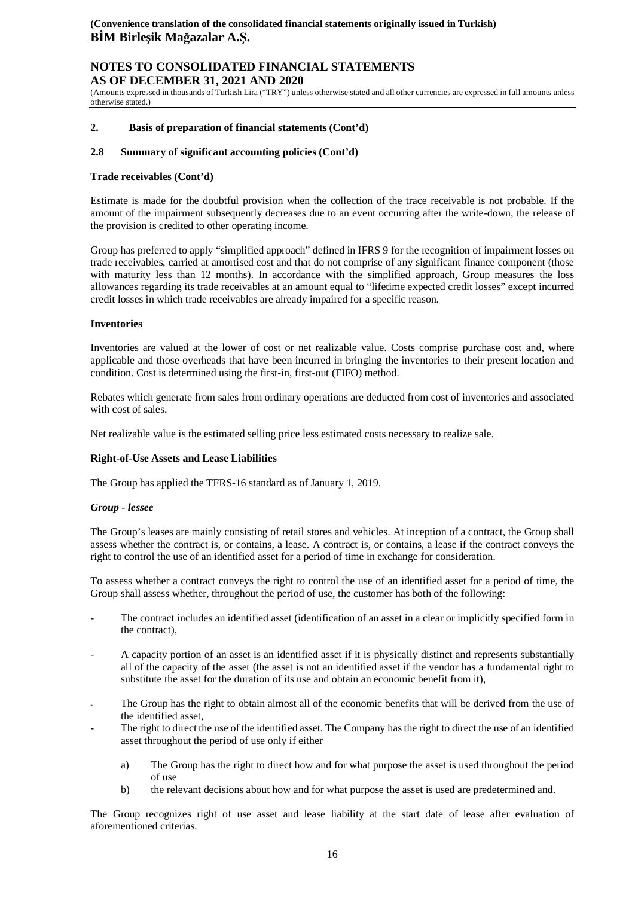## **NOTES TO CONSOLIDATED FINANCIAL STATEMENTS AS OF DECEMBER 31, 2021 AND 2020**

(Amounts expressed in thousands of Turkish Lira ("TRY") unless otherwise stated and all other currencies are expressed in full amounts unless otherwise stated.)

#### **2. Basis of preparation of financial statements (Cont'd)**

#### **2.8 Summary of significant accounting policies (Cont'd)**

#### **Trade receivables (Cont'd)**

Estimate is made for the doubtful provision when the collection of the trace receivable is not probable. If the amount of the impairment subsequently decreases due to an event occurring after the write-down, the release of the provision is credited to other operating income.

Group has preferred to apply "simplified approach" defined in IFRS 9 for the recognition of impairment losses on trade receivables, carried at amortised cost and that do not comprise of any significant finance component (those with maturity less than 12 months). In accordance with the simplified approach, Group measures the loss allowances regarding its trade receivables at an amount equal to "lifetime expected credit losses" except incurred credit losses in which trade receivables are already impaired for a specific reason.

#### **Inventories**

Inventories are valued at the lower of cost or net realizable value. Costs comprise purchase cost and, where applicable and those overheads that have been incurred in bringing the inventories to their present location and condition. Cost is determined using the first-in, first-out (FIFO) method.

Rebates which generate from sales from ordinary operations are deducted from cost of inventories and associated with cost of sales.

Net realizable value is the estimated selling price less estimated costs necessary to realize sale.

#### **Right-of-Use Assets and Lease Liabilities**

The Group has applied the TFRS-16 standard as of January 1, 2019.

#### *Group - lessee*

The Group's leases are mainly consisting of retail stores and vehicles. At inception of a contract, the Group shall assess whether the contract is, or contains, a lease. A contract is, or contains, a lease if the contract conveys the right to control the use of an identified asset for a period of time in exchange for consideration.

To assess whether a contract conveys the right to control the use of an identified asset for a period of time, the Group shall assess whether, throughout the period of use, the customer has both of the following:

- The contract includes an identified asset (identification of an asset in a clear or implicitly specified form in the contract),
- A capacity portion of an asset is an identified asset if it is physically distinct and represents substantially all of the capacity of the asset (the asset is not an identified asset if the vendor has a fundamental right to substitute the asset for the duration of its use and obtain an economic benefit from it),
- The Group has the right to obtain almost all of the economic benefits that will be derived from the use of the identified asset,
- The right to direct the use of the identified asset. The Company has the right to direct the use of an identified asset throughout the period of use only if either
	- a) The Group has the right to direct how and for what purpose the asset is used throughout the period of use
	- b) the relevant decisions about how and for what purpose the asset is used are predetermined and.

The Group recognizes right of use asset and lease liability at the start date of lease after evaluation of aforementioned criterias.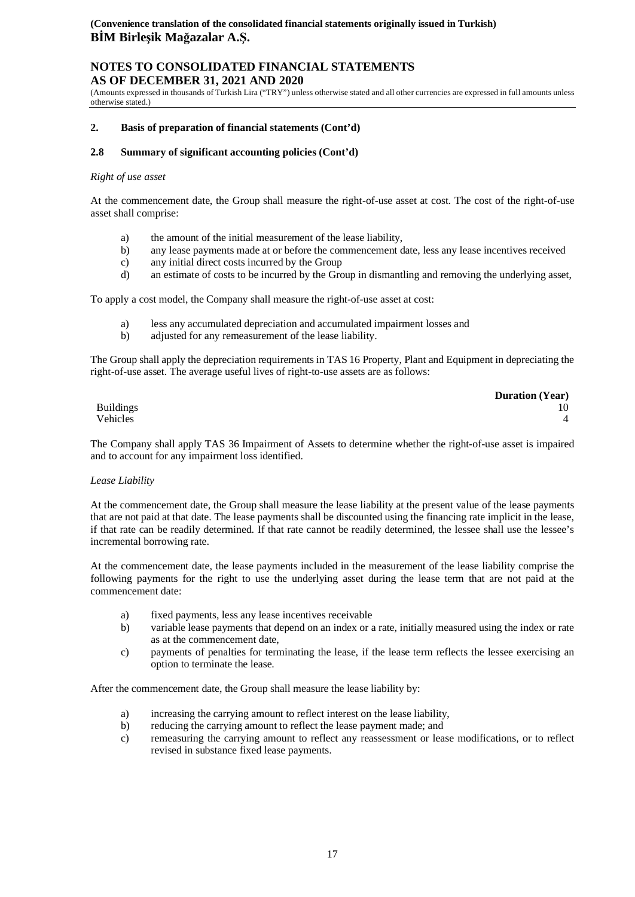## **NOTES TO CONSOLIDATED FINANCIAL STATEMENTS AS OF DECEMBER 31, 2021 AND 2020**

(Amounts expressed in thousands of Turkish Lira ("TRY") unless otherwise stated and all other currencies are expressed in full amounts unless otherwise stated.)

#### **2. Basis of preparation of financial statements (Cont'd)**

#### **2.8 Summary of significant accounting policies (Cont'd)**

#### *Right of use asset*

At the commencement date, the Group shall measure the right-of-use asset at cost. The cost of the right-of-use asset shall comprise:

- a) the amount of the initial measurement of the lease liability,
- b) any lease payments made at or before the commencement date, less any lease incentives received
- c) any initial direct costs incurred by the Group
- d) an estimate of costs to be incurred by the Group in dismantling and removing the underlying asset,

To apply a cost model, the Company shall measure the right-of-use asset at cost:

- a) less any accumulated depreciation and accumulated impairment losses and
- b) adjusted for any remeasurement of the lease liability.

The Group shall apply the depreciation requirements in TAS 16 Property, Plant and Equipment in depreciating the right-of-use asset. The average useful lives of right-to-use assets are as follows:

**Duration (Year)** Buildings 2012 10 and 2012 10 and 2012 10 and 2012 10 and 2012 10 and 2012 10 and 2012 10 and 2012 10 and 2012 Vehicles **4** 

The Company shall apply TAS 36 Impairment of Assets to determine whether the right-of-use asset is impaired and to account for any impairment loss identified.

#### *Lease Liability*

At the commencement date, the Group shall measure the lease liability at the present value of the lease payments that are not paid at that date. The lease payments shall be discounted using the financing rate implicit in the lease, if that rate can be readily determined. If that rate cannot be readily determined, the lessee shall use the lessee's incremental borrowing rate.

At the commencement date, the lease payments included in the measurement of the lease liability comprise the following payments for the right to use the underlying asset during the lease term that are not paid at the commencement date:

- a) fixed payments, less any lease incentives receivable
- b) variable lease payments that depend on an index or a rate, initially measured using the index or rate as at the commencement date,
- c) payments of penalties for terminating the lease, if the lease term reflects the lessee exercising an option to terminate the lease.

After the commencement date, the Group shall measure the lease liability by:

- a) increasing the carrying amount to reflect interest on the lease liability,
- b) reducing the carrying amount to reflect the lease payment made; and
- c) remeasuring the carrying amount to reflect any reassessment or lease modifications, or to reflect revised in substance fixed lease payments.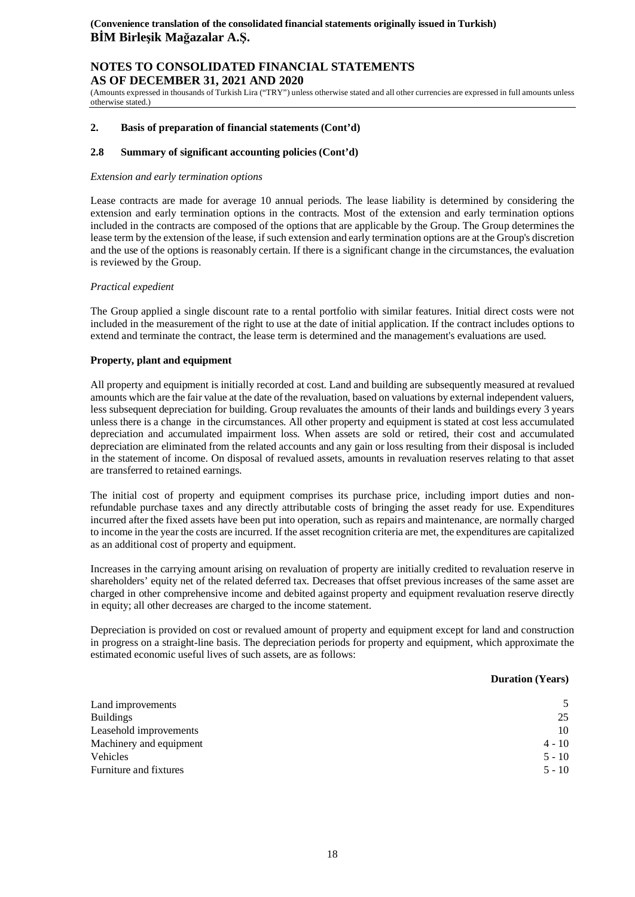## **NOTES TO CONSOLIDATED FINANCIAL STATEMENTS AS OF DECEMBER 31, 2021 AND 2020**

(Amounts expressed in thousands of Turkish Lira ("TRY") unless otherwise stated and all other currencies are expressed in full amounts unless otherwise stated.)

#### **2. Basis of preparation of financial statements (Cont'd)**

#### **2.8 Summary of significant accounting policies (Cont'd)**

#### *Extension and early termination options*

Lease contracts are made for average 10 annual periods. The lease liability is determined by considering the extension and early termination options in the contracts. Most of the extension and early termination options included in the contracts are composed of the options that are applicable by the Group. The Group determines the lease term by the extension of the lease, if such extension and early termination options are at the Group's discretion and the use of the options is reasonably certain. If there is a significant change in the circumstances, the evaluation is reviewed by the Group.

#### *Practical expedient*

The Group applied a single discount rate to a rental portfolio with similar features. Initial direct costs were not included in the measurement of the right to use at the date of initial application. If the contract includes options to extend and terminate the contract, the lease term is determined and the management's evaluations are used.

#### **Property, plant and equipment**

All property and equipment is initially recorded at cost. Land and building are subsequently measured at revalued amounts which are the fair value at the date of the revaluation, based on valuations by external independent valuers, less subsequent depreciation for building. Group revaluates the amounts of their lands and buildings every 3 years unless there is a change in the circumstances. All other property and equipment is stated at cost less accumulated depreciation and accumulated impairment loss. When assets are sold or retired, their cost and accumulated depreciation are eliminated from the related accounts and any gain or loss resulting from their disposal is included in the statement of income. On disposal of revalued assets, amounts in revaluation reserves relating to that asset are transferred to retained earnings.

The initial cost of property and equipment comprises its purchase price, including import duties and nonrefundable purchase taxes and any directly attributable costs of bringing the asset ready for use. Expenditures incurred after the fixed assets have been put into operation, such as repairs and maintenance, are normally charged to income in the year the costs are incurred. If the asset recognition criteria are met, the expenditures are capitalized as an additional cost of property and equipment.

Increases in the carrying amount arising on revaluation of property are initially credited to revaluation reserve in shareholders' equity net of the related deferred tax. Decreases that offset previous increases of the same asset are charged in other comprehensive income and debited against property and equipment revaluation reserve directly in equity; all other decreases are charged to the income statement.

Depreciation is provided on cost or revalued amount of property and equipment except for land and construction in progress on a straight-line basis. The depreciation periods for property and equipment, which approximate the estimated economic useful lives of such assets, are as follows:

#### **Duration (Years)**

| Land improvements       | 5        |
|-------------------------|----------|
| <b>Buildings</b>        | 25       |
| Leasehold improvements  | 10       |
| Machinery and equipment | $4 - 10$ |
| Vehicles                | $5 - 10$ |
| Furniture and fixtures  | $5 - 10$ |
|                         |          |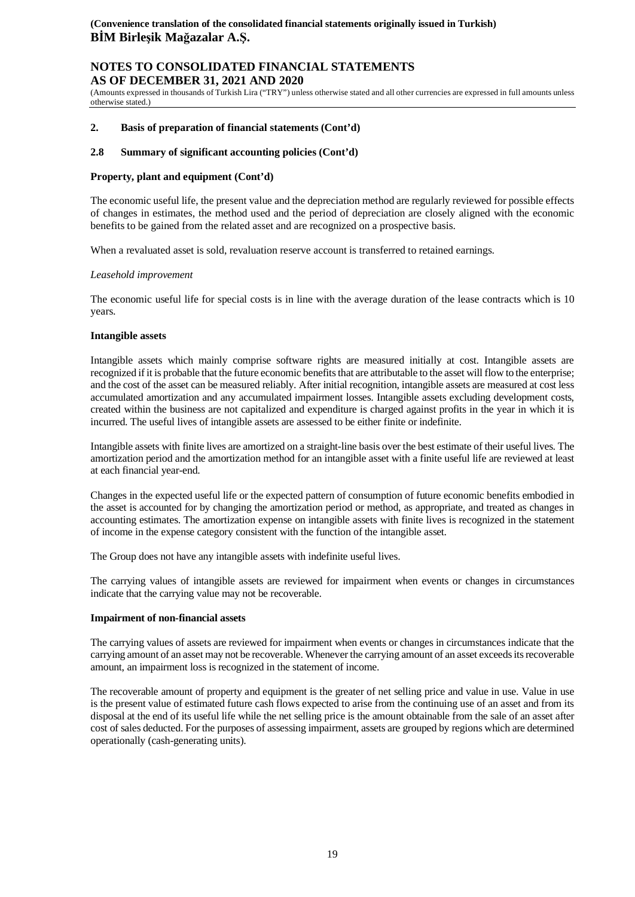## **NOTES TO CONSOLIDATED FINANCIAL STATEMENTS AS OF DECEMBER 31, 2021 AND 2020**

(Amounts expressed in thousands of Turkish Lira ("TRY") unless otherwise stated and all other currencies are expressed in full amounts unless otherwise stated.)

#### **2. Basis of preparation of financial statements (Cont'd)**

#### **2.8 Summary of significant accounting policies (Cont'd)**

#### **Property, plant and equipment (Cont'd)**

The economic useful life, the present value and the depreciation method are regularly reviewed for possible effects of changes in estimates, the method used and the period of depreciation are closely aligned with the economic benefits to be gained from the related asset and are recognized on a prospective basis.

When a revaluated asset is sold, revaluation reserve account is transferred to retained earnings.

#### *Leasehold improvement*

The economic useful life for special costs is in line with the average duration of the lease contracts which is 10 years.

#### **Intangible assets**

Intangible assets which mainly comprise software rights are measured initially at cost. Intangible assets are recognized if it is probable that the future economic benefits that are attributable to the asset will flow to the enterprise; and the cost of the asset can be measured reliably. After initial recognition, intangible assets are measured at cost less accumulated amortization and any accumulated impairment losses. Intangible assets excluding development costs, created within the business are not capitalized and expenditure is charged against profits in the year in which it is incurred. The useful lives of intangible assets are assessed to be either finite or indefinite.

Intangible assets with finite lives are amortized on a straight-line basis over the best estimate of their useful lives. The amortization period and the amortization method for an intangible asset with a finite useful life are reviewed at least at each financial year-end.

Changes in the expected useful life or the expected pattern of consumption of future economic benefits embodied in the asset is accounted for by changing the amortization period or method, as appropriate, and treated as changes in accounting estimates. The amortization expense on intangible assets with finite lives is recognized in the statement of income in the expense category consistent with the function of the intangible asset.

The Group does not have any intangible assets with indefinite useful lives.

The carrying values of intangible assets are reviewed for impairment when events or changes in circumstances indicate that the carrying value may not be recoverable.

#### **Impairment of non-financial assets**

The carrying values of assets are reviewed for impairment when events or changes in circumstances indicate that the carrying amount of an asset may not be recoverable. Whenever the carrying amount of an asset exceeds its recoverable amount, an impairment loss is recognized in the statement of income.

The recoverable amount of property and equipment is the greater of net selling price and value in use. Value in use is the present value of estimated future cash flows expected to arise from the continuing use of an asset and from its disposal at the end of its useful life while the net selling price is the amount obtainable from the sale of an asset after cost of sales deducted. For the purposes of assessing impairment, assets are grouped by regions which are determined operationally (cash-generating units).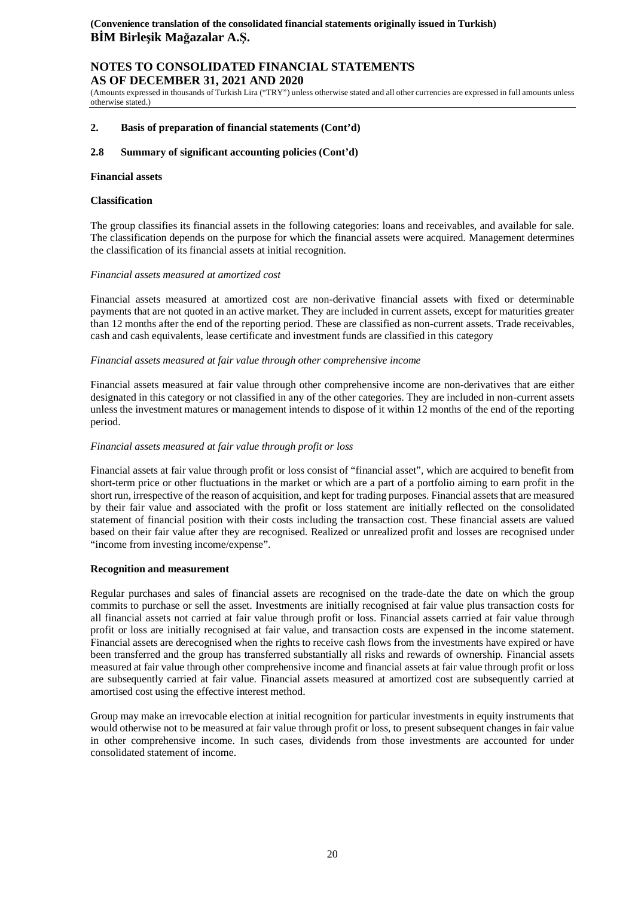## **NOTES TO CONSOLIDATED FINANCIAL STATEMENTS AS OF DECEMBER 31, 2021 AND 2020**

(Amounts expressed in thousands of Turkish Lira ("TRY") unless otherwise stated and all other currencies are expressed in full amounts unless otherwise stated.)

#### **2. Basis of preparation of financial statements (Cont'd)**

#### **2.8 Summary of significant accounting policies (Cont'd)**

#### **Financial assets**

#### **Classification**

The group classifies its financial assets in the following categories: loans and receivables, and available for sale. The classification depends on the purpose for which the financial assets were acquired. Management determines the classification of its financial assets at initial recognition.

#### *Financial assets measured at amortized cost*

Financial assets measured at amortized cost are non-derivative financial assets with fixed or determinable payments that are not quoted in an active market. They are included in current assets, except for maturities greater than 12 months after the end of the reporting period. These are classified as non-current assets. Trade receivables, cash and cash equivalents, lease certificate and investment funds are classified in this category

#### *Financial assets measured at fair value through other comprehensive income*

Financial assets measured at fair value through other comprehensive income are non-derivatives that are either designated in this category or not classified in any of the other categories. They are included in non-current assets unless the investment matures or management intends to dispose of it within 12 months of the end of the reporting period.

#### *Financial assets measured at fair value through profit or loss*

Financial assets at fair value through profit or loss consist of "financial asset", which are acquired to benefit from short-term price or other fluctuations in the market or which are a part of a portfolio aiming to earn profit in the short run, irrespective of the reason of acquisition, and kept for trading purposes. Financial assets that are measured by their fair value and associated with the profit or loss statement are initially reflected on the consolidated statement of financial position with their costs including the transaction cost. These financial assets are valued based on their fair value after they are recognised. Realized or unrealized profit and losses are recognised under "income from investing income/expense".

#### **Recognition and measurement**

Regular purchases and sales of financial assets are recognised on the trade-date the date on which the group commits to purchase or sell the asset. Investments are initially recognised at fair value plus transaction costs for all financial assets not carried at fair value through profit or loss. Financial assets carried at fair value through profit or loss are initially recognised at fair value, and transaction costs are expensed in the income statement. Financial assets are derecognised when the rights to receive cash flows from the investments have expired or have been transferred and the group has transferred substantially all risks and rewards of ownership. Financial assets measured at fair value through other comprehensive income and financial assets at fair value through profit or loss are subsequently carried at fair value. Financial assets measured at amortized cost are subsequently carried at amortised cost using the effective interest method.

Group may make an irrevocable election at initial recognition for particular investments in equity instruments that would otherwise not to be measured at fair value through profit or loss, to present subsequent changes in fair value in other comprehensive income. In such cases, dividends from those investments are accounted for under consolidated statement of income.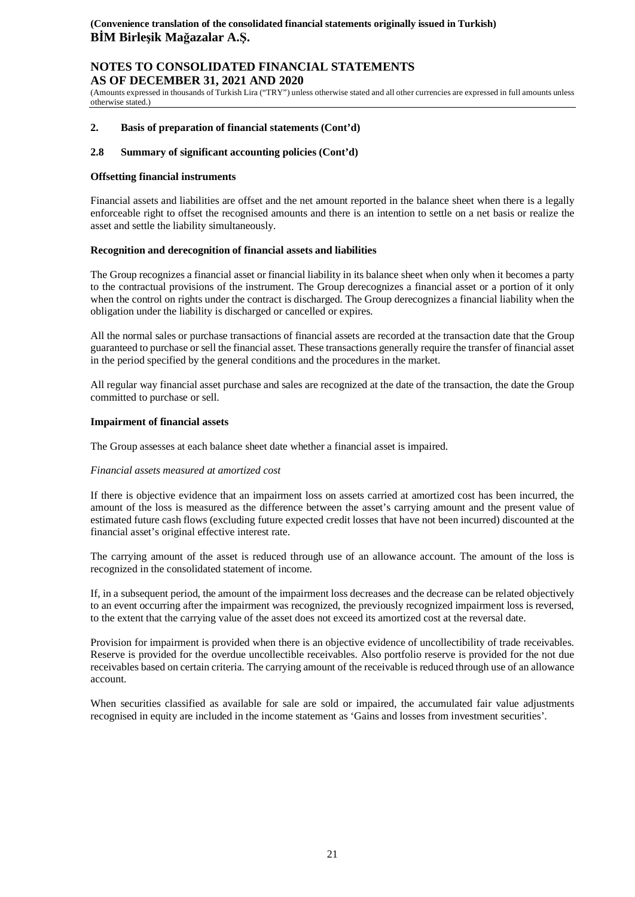## **NOTES TO CONSOLIDATED FINANCIAL STATEMENTS AS OF DECEMBER 31, 2021 AND 2020**

(Amounts expressed in thousands of Turkish Lira ("TRY") unless otherwise stated and all other currencies are expressed in full amounts unless otherwise stated.)

#### **2. Basis of preparation of financial statements (Cont'd)**

#### **2.8 Summary of significant accounting policies (Cont'd)**

#### **Offsetting financial instruments**

Financial assets and liabilities are offset and the net amount reported in the balance sheet when there is a legally enforceable right to offset the recognised amounts and there is an intention to settle on a net basis or realize the asset and settle the liability simultaneously.

#### **Recognition and derecognition of financial assets and liabilities**

The Group recognizes a financial asset or financial liability in its balance sheet when only when it becomes a party to the contractual provisions of the instrument. The Group derecognizes a financial asset or a portion of it only when the control on rights under the contract is discharged. The Group derecognizes a financial liability when the obligation under the liability is discharged or cancelled or expires.

All the normal sales or purchase transactions of financial assets are recorded at the transaction date that the Group guaranteed to purchase or sell the financial asset. These transactions generally require the transfer of financial asset in the period specified by the general conditions and the procedures in the market.

All regular way financial asset purchase and sales are recognized at the date of the transaction, the date the Group committed to purchase or sell.

#### **Impairment of financial assets**

The Group assesses at each balance sheet date whether a financial asset is impaired.

#### *Financial assets measured at amortized cost*

If there is objective evidence that an impairment loss on assets carried at amortized cost has been incurred, the amount of the loss is measured as the difference between the asset's carrying amount and the present value of estimated future cash flows (excluding future expected credit losses that have not been incurred) discounted at the financial asset's original effective interest rate.

The carrying amount of the asset is reduced through use of an allowance account. The amount of the loss is recognized in the consolidated statement of income.

If, in a subsequent period, the amount of the impairment loss decreases and the decrease can be related objectively to an event occurring after the impairment was recognized, the previously recognized impairment loss is reversed, to the extent that the carrying value of the asset does not exceed its amortized cost at the reversal date.

Provision for impairment is provided when there is an objective evidence of uncollectibility of trade receivables. Reserve is provided for the overdue uncollectible receivables. Also portfolio reserve is provided for the not due receivables based on certain criteria. The carrying amount of the receivable is reduced through use of an allowance account.

When securities classified as available for sale are sold or impaired, the accumulated fair value adjustments recognised in equity are included in the income statement as 'Gains and losses from investment securities'.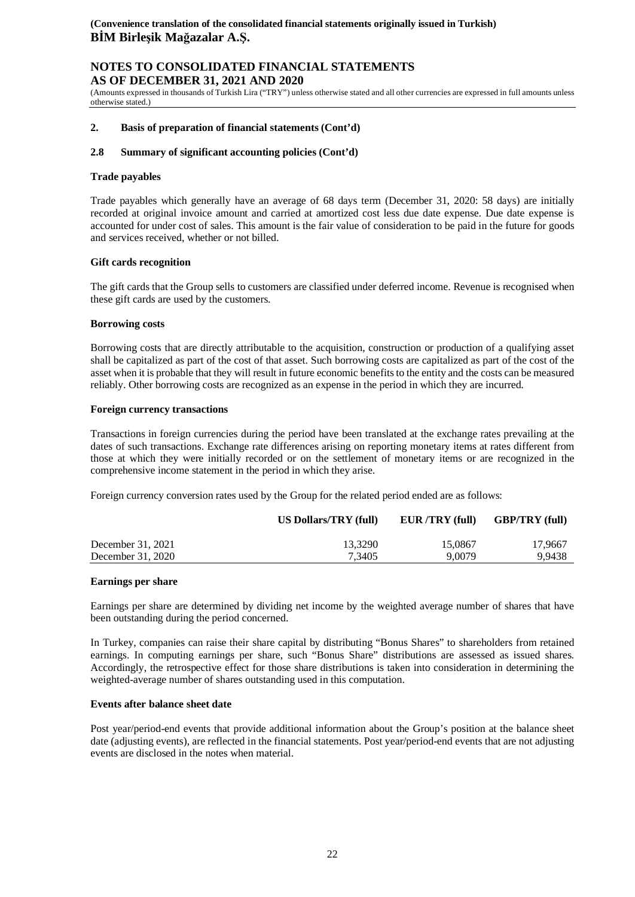## **NOTES TO CONSOLIDATED FINANCIAL STATEMENTS AS OF DECEMBER 31, 2021 AND 2020**

(Amounts expressed in thousands of Turkish Lira ("TRY") unless otherwise stated and all other currencies are expressed in full amounts unless otherwise stated.)

#### **2. Basis of preparation of financial statements (Cont'd)**

#### **2.8 Summary of significant accounting policies (Cont'd)**

#### **Trade payables**

Trade payables which generally have an average of 68 days term (December 31, 2020: 58 days) are initially recorded at original invoice amount and carried at amortized cost less due date expense. Due date expense is accounted for under cost of sales. This amount is the fair value of consideration to be paid in the future for goods and services received, whether or not billed.

#### **Gift cards recognition**

The gift cards that the Group sells to customers are classified under deferred income. Revenue is recognised when these gift cards are used by the customers.

#### **Borrowing costs**

Borrowing costs that are directly attributable to the acquisition, construction or production of a qualifying asset shall be capitalized as part of the cost of that asset. Such borrowing costs are capitalized as part of the cost of the asset when it is probable that they will result in future economic benefits to the entity and the costs can be measured reliably. Other borrowing costs are recognized as an expense in the period in which they are incurred.

#### **Foreign currency transactions**

Transactions in foreign currencies during the period have been translated at the exchange rates prevailing at the dates of such transactions. Exchange rate differences arising on reporting monetary items at rates different from those at which they were initially recorded or on the settlement of monetary items or are recognized in the comprehensive income statement in the period in which they arise.

Foreign currency conversion rates used by the Group for the related period ended are as follows:

|                   | <b>US Dollars/TRY (full)</b> | EUR/TRY (full) | <b>GBP/TRY</b> (full) |
|-------------------|------------------------------|----------------|-----------------------|
| December 31, 2021 | 13.3290                      | 15,0867        | 17.9667               |
| December 31, 2020 | 7.3405                       | 9,0079         | 9.9438                |

#### **Earnings per share**

Earnings per share are determined by dividing net income by the weighted average number of shares that have been outstanding during the period concerned.

In Turkey, companies can raise their share capital by distributing "Bonus Shares" to shareholders from retained earnings. In computing earnings per share, such "Bonus Share" distributions are assessed as issued shares. Accordingly, the retrospective effect for those share distributions is taken into consideration in determining the weighted-average number of shares outstanding used in this computation.

#### **Events after balance sheet date**

Post year/period-end events that provide additional information about the Group's position at the balance sheet date (adjusting events), are reflected in the financial statements. Post year/period-end events that are not adjusting events are disclosed in the notes when material.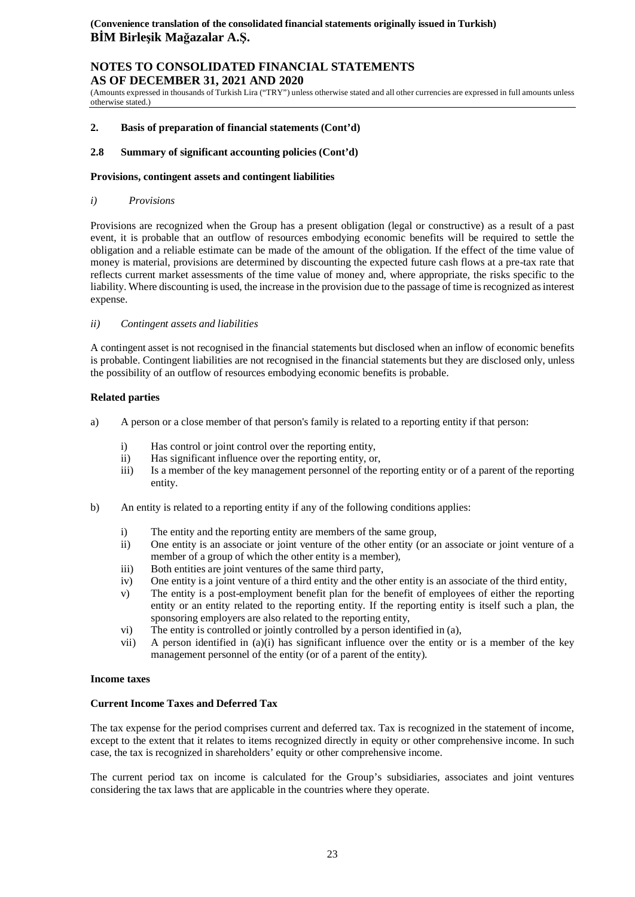## **NOTES TO CONSOLIDATED FINANCIAL STATEMENTS AS OF DECEMBER 31, 2021 AND 2020**

(Amounts expressed in thousands of Turkish Lira ("TRY") unless otherwise stated and all other currencies are expressed in full amounts unless otherwise stated.)

#### **2. Basis of preparation of financial statements (Cont'd)**

#### **2.8 Summary of significant accounting policies (Cont'd)**

#### **Provisions, contingent assets and contingent liabilities**

#### *i) Provisions*

Provisions are recognized when the Group has a present obligation (legal or constructive) as a result of a past event, it is probable that an outflow of resources embodying economic benefits will be required to settle the obligation and a reliable estimate can be made of the amount of the obligation. If the effect of the time value of money is material, provisions are determined by discounting the expected future cash flows at a pre-tax rate that reflects current market assessments of the time value of money and, where appropriate, the risks specific to the liability. Where discounting is used, the increase in the provision due to the passage of time is recognized as interest expense.

#### *ii) Contingent assets and liabilities*

A contingent asset is not recognised in the financial statements but disclosed when an inflow of economic benefits is probable. Contingent liabilities are not recognised in the financial statements but they are disclosed only, unless the possibility of an outflow of resources embodying economic benefits is probable.

#### **Related parties**

- a) A person or a close member of that person's family is related to a reporting entity if that person:
	- i) Has control or joint control over the reporting entity,
	- ii) Has significant influence over the reporting entity, or,
	- iii) Is a member of the key management personnel of the reporting entity or of a parent of the reporting entity.
- b) An entity is related to a reporting entity if any of the following conditions applies:
	- i) The entity and the reporting entity are members of the same group,
	- ii) One entity is an associate or joint venture of the other entity (or an associate or joint venture of a member of a group of which the other entity is a member),
	- iii) Both entities are joint ventures of the same third party,
	- iv) One entity is a joint venture of a third entity and the other entity is an associate of the third entity,
	- v) The entity is a post-employment benefit plan for the benefit of employees of either the reporting entity or an entity related to the reporting entity. If the reporting entity is itself such a plan, the sponsoring employers are also related to the reporting entity,
	- vi) The entity is controlled or jointly controlled by a person identified in (a),
	- vii) A person identified in (a)(i) has significant influence over the entity or is a member of the key management personnel of the entity (or of a parent of the entity).

#### **Income taxes**

#### **Current Income Taxes and Deferred Tax**

The tax expense for the period comprises current and deferred tax. Tax is recognized in the statement of income, except to the extent that it relates to items recognized directly in equity or other comprehensive income. In such case, the tax is recognized in shareholders' equity or other comprehensive income.

The current period tax on income is calculated for the Group's subsidiaries, associates and joint ventures considering the tax laws that are applicable in the countries where they operate.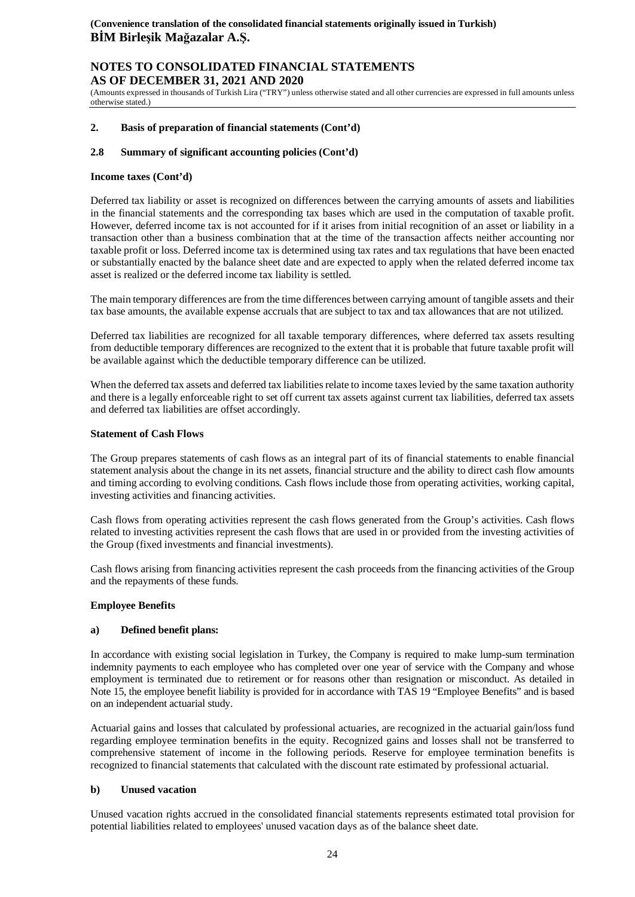## **NOTES TO CONSOLIDATED FINANCIAL STATEMENTS AS OF DECEMBER 31, 2021 AND 2020**

(Amounts expressed in thousands of Turkish Lira ("TRY") unless otherwise stated and all other currencies are expressed in full amounts unless otherwise stated.)

#### **2. Basis of preparation of financial statements (Cont'd)**

#### **2.8 Summary of significant accounting policies (Cont'd)**

#### **Income taxes (Cont'd)**

Deferred tax liability or asset is recognized on differences between the carrying amounts of assets and liabilities in the financial statements and the corresponding tax bases which are used in the computation of taxable profit. However, deferred income tax is not accounted for if it arises from initial recognition of an asset or liability in a transaction other than a business combination that at the time of the transaction affects neither accounting nor taxable profit or loss. Deferred income tax is determined using tax rates and tax regulations that have been enacted or substantially enacted by the balance sheet date and are expected to apply when the related deferred income tax asset is realized or the deferred income tax liability is settled.

The main temporary differences are from the time differences between carrying amount of tangible assets and their tax base amounts, the available expense accruals that are subject to tax and tax allowances that are not utilized.

Deferred tax liabilities are recognized for all taxable temporary differences, where deferred tax assets resulting from deductible temporary differences are recognized to the extent that it is probable that future taxable profit will be available against which the deductible temporary difference can be utilized.

When the deferred tax assets and deferred tax liabilities relate to income taxes levied by the same taxation authority and there is a legally enforceable right to set off current tax assets against current tax liabilities, deferred tax assets and deferred tax liabilities are offset accordingly.

#### **Statement of Cash Flows**

The Group prepares statements of cash flows as an integral part of its of financial statements to enable financial statement analysis about the change in its net assets, financial structure and the ability to direct cash flow amounts and timing according to evolving conditions. Cash flows include those from operating activities, working capital, investing activities and financing activities.

Cash flows from operating activities represent the cash flows generated from the Group's activities. Cash flows related to investing activities represent the cash flows that are used in or provided from the investing activities of the Group (fixed investments and financial investments).

Cash flows arising from financing activities represent the cash proceeds from the financing activities of the Group and the repayments of these funds.

#### **Employee Benefits**

#### **a) Defined benefit plans:**

In accordance with existing social legislation in Turkey, the Company is required to make lump-sum termination indemnity payments to each employee who has completed over one year of service with the Company and whose employment is terminated due to retirement or for reasons other than resignation or misconduct. As detailed in Note 15, the employee benefit liability is provided for in accordance with TAS 19 "Employee Benefits" and is based on an independent actuarial study.

Actuarial gains and losses that calculated by professional actuaries, are recognized in the actuarial gain/loss fund regarding employee termination benefits in the equity. Recognized gains and losses shall not be transferred to comprehensive statement of income in the following periods. Reserve for employee termination benefits is recognized to financial statements that calculated with the discount rate estimated by professional actuarial.

#### **b) Unused vacation**

Unused vacation rights accrued in the consolidated financial statements represents estimated total provision for potential liabilities related to employees' unused vacation days as of the balance sheet date.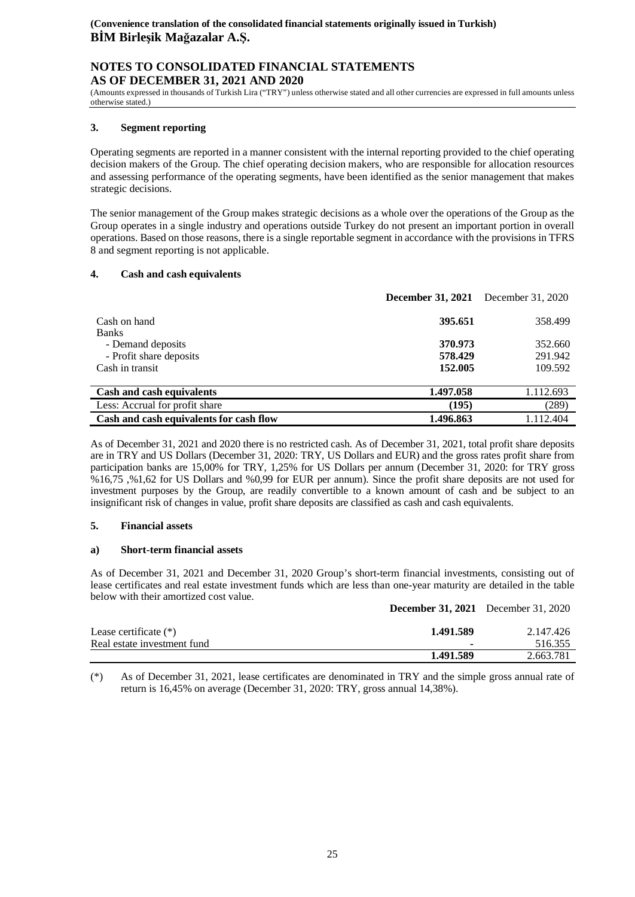## **NOTES TO CONSOLIDATED FINANCIAL STATEMENTS AS OF DECEMBER 31, 2021 AND 2020**

(Amounts expressed in thousands of Turkish Lira ("TRY") unless otherwise stated and all other currencies are expressed in full amounts unless otherwise stated.)

#### **3. Segment reporting**

Operating segments are reported in a manner consistent with the internal reporting provided to the chief operating decision makers of the Group. The chief operating decision makers, who are responsible for allocation resources and assessing performance of the operating segments, have been identified as the senior management that makes strategic decisions.

The senior management of the Group makes strategic decisions as a whole over the operations of the Group as the Group operates in a single industry and operations outside Turkey do not present an important portion in overall operations. Based on those reasons, there is a single reportable segment in accordance with the provisions in TFRS 8 and segment reporting is not applicable.

#### **4. Cash and cash equivalents**

|                                         | <b>December 31, 2021</b> | December 31, 2020 |
|-----------------------------------------|--------------------------|-------------------|
| Cash on hand<br><b>Banks</b>            | 395.651                  | 358.499           |
| - Demand deposits                       | 370.973                  | 352.660           |
| - Profit share deposits                 | 578.429                  | 291.942           |
| Cash in transit                         | 152.005                  | 109.592           |
|                                         |                          |                   |
| Cash and cash equivalents               | 1.497.058                | 1.112.693         |
| Less: Accrual for profit share          | (195)                    | (289)             |
| Cash and cash equivalents for cash flow | 1.496.863                | 1.112.404         |

As of December 31, 2021 and 2020 there is no restricted cash. As of December 31, 2021, total profit share deposits are in TRY and US Dollars (December 31, 2020: TRY, US Dollars and EUR) and the gross rates profit share from participation banks are 15,00% for TRY, 1,25% for US Dollars per annum (December 31, 2020: for TRY gross %16,75 ,%1,62 for US Dollars and %0,99 for EUR per annum). Since the profit share deposits are not used for investment purposes by the Group, are readily convertible to a known amount of cash and be subject to an insignificant risk of changes in value, profit share deposits are classified as cash and cash equivalents.

#### **5. Financial assets**

#### **a) Short-term financial assets**

As of December 31, 2021 and December 31, 2020 Group's short-term financial investments, consisting out of lease certificates and real estate investment funds which are less than one-year maturity are detailed in the table below with their amortized cost value.

|                                                        | <b>December 31, 2021</b> December 31, 2020 |                      |
|--------------------------------------------------------|--------------------------------------------|----------------------|
| Lease certificate $(*)$<br>Real estate investment fund | 1.491.589<br>۰                             | 2.147.426<br>516.355 |
|                                                        | 1.491.589                                  | 2.663.781            |

(\*) As of December 31, 2021, lease certificates are denominated in TRY and the simple gross annual rate of return is 16,45% on average (December 31, 2020: TRY, gross annual 14,38%).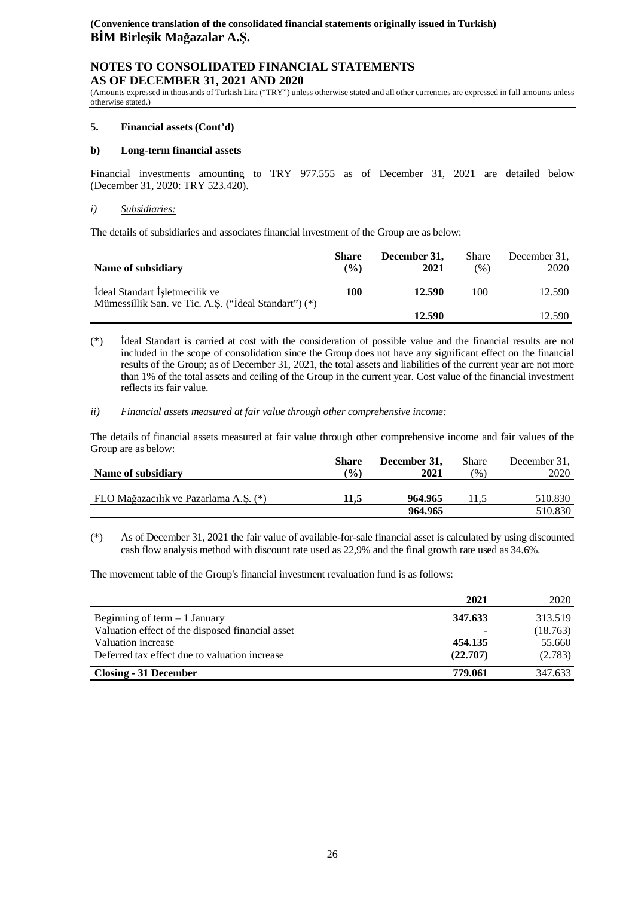## **NOTES TO CONSOLIDATED FINANCIAL STATEMENTS AS OF DECEMBER 31, 2021 AND 2020**

(Amounts expressed in thousands of Turkish Lira ("TRY") unless otherwise stated and all other currencies are expressed in full amounts unless otherwise stated.)

#### **5. Financial assets (Cont'd)**

#### **b) Long-term financial assets**

Financial investments amounting to TRY 977.555 as of December 31, 2021 are detailed below (December 31, 2020: TRY 523.420).

#### *i) Subsidiaries:*

The details of subsidiaries and associates financial investment of the Group are as below:

| Name of subsidiary                                                                     | <b>Share</b><br>$\frac{9}{6}$ | December 31,<br>2021 | Share<br>(96) | December 31,<br>2020 |
|----------------------------------------------------------------------------------------|-------------------------------|----------------------|---------------|----------------------|
| Ideal Standart Isletmecilik ve<br>Mümessillik San. ve Tic. A.Ş. ("İdeal Standart") (*) | 100                           | 12.590               | 100           | 12.590               |
|                                                                                        |                               | 12.590               |               | 12.590               |

(\*) İdeal Standart is carried at cost with the consideration of possible value and the financial results are not included in the scope of consolidation since the Group does not have any significant effect on the financial results of the Group; as of December 31, 2021, the total assets and liabilities of the current year are not more than 1% of the total assets and ceiling of the Group in the current year. Cost value of the financial investment reflects its fair value.

#### *ii) Financial assets measured at fair value through other comprehensive income:*

The details of financial assets measured at fair value through other comprehensive income and fair values of the Group are as below:

| Name of subsidiary                    | <b>Share</b> | December 31,       | Share | December 31,       |
|---------------------------------------|--------------|--------------------|-------|--------------------|
|                                       | $($ %)       | 2021               | (%)   | 2020               |
| FLO Mağazacılık ve Pazarlama A.S. (*) | 11.5         | 964.965<br>964.965 | 11.5  | 510.830<br>510.830 |

(\*) As of December 31, 2021 the fair value of available-for-sale financial asset is calculated by using discounted cash flow analysis method with discount rate used as 22,9% and the final growth rate used as 34.6%.

The movement table of the Group's financial investment revaluation fund is as follows:

|                                                  | 2021     | 2020     |
|--------------------------------------------------|----------|----------|
| Beginning of term $-1$ January                   | 347.633  | 313.519  |
| Valuation effect of the disposed financial asset |          | (18.763) |
| Valuation increase                               | 454.135  | 55.660   |
| Deferred tax effect due to valuation increase    | (22.707) | (2.783)  |
| <b>Closing - 31 December</b>                     | 779.061  | 347.633  |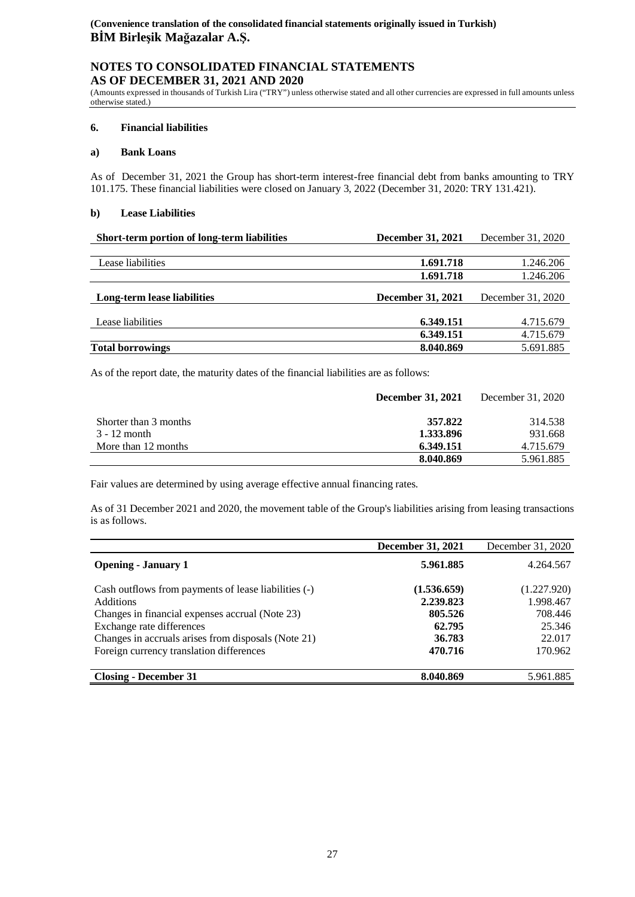## **NOTES TO CONSOLIDATED FINANCIAL STATEMENTS AS OF DECEMBER 31, 2021 AND 2020**

(Amounts expressed in thousands of Turkish Lira ("TRY") unless otherwise stated and all other currencies are expressed in full amounts unless otherwise stated.)

## **6. Financial liabilities**

#### **a) Bank Loans**

As of December 31, 2021 the Group has short-term interest-free financial debt from banks amounting to TRY 101.175. These financial liabilities were closed on January 3, 2022 (December 31, 2020: TRY 131.421).

#### **b) Lease Liabilities**

| Short-term portion of long-term liabilities | December 31, 2021 | December 31, 2020 |
|---------------------------------------------|-------------------|-------------------|
|                                             |                   |                   |
| Lease liabilities                           | 1.691.718         | 1.246.206         |
|                                             | 1.691.718         | 1.246.206         |
| Long-term lease liabilities                 | December 31, 2021 | December 31, 2020 |
|                                             |                   |                   |
| Lease liabilities                           | 6.349.151         | 4.715.679         |
|                                             | 6.349.151         | 4.715.679         |
| <b>Total borrowings</b>                     | 8.040.869         | 5.691.885         |

As of the report date, the maturity dates of the financial liabilities are as follows:

|                       | December 31, 2021 | December 31, 2020 |
|-----------------------|-------------------|-------------------|
| Shorter than 3 months | 357.822           | 314.538           |
| 3 - 12 month          | 1.333.896         | 931.668           |
| More than 12 months   | 6.349.151         | 4.715.679         |
|                       | 8.040.869         | 5.961.885         |

Fair values are determined by using average effective annual financing rates.

As of 31 December 2021 and 2020, the movement table of the Group's liabilities arising from leasing transactions is as follows.

|                                                      | December 31, 2021 | December 31, 2020 |
|------------------------------------------------------|-------------------|-------------------|
| <b>Opening - January 1</b>                           | 5.961.885         | 4.264.567         |
| Cash outflows from payments of lease liabilities (-) | (1.536.659)       | (1.227.920)       |
| <b>Additions</b>                                     | 2.239.823         | 1.998.467         |
| Changes in financial expenses accrual (Note 23)      | 805.526           | 708.446           |
| Exchange rate differences                            | 62.795            | 25.346            |
| Changes in accruals arises from disposals (Note 21)  | 36.783            | 22.017            |
| Foreign currency translation differences             | 470.716           | 170.962           |
| <b>Closing - December 31</b>                         | 8.040.869         | 5.961.885         |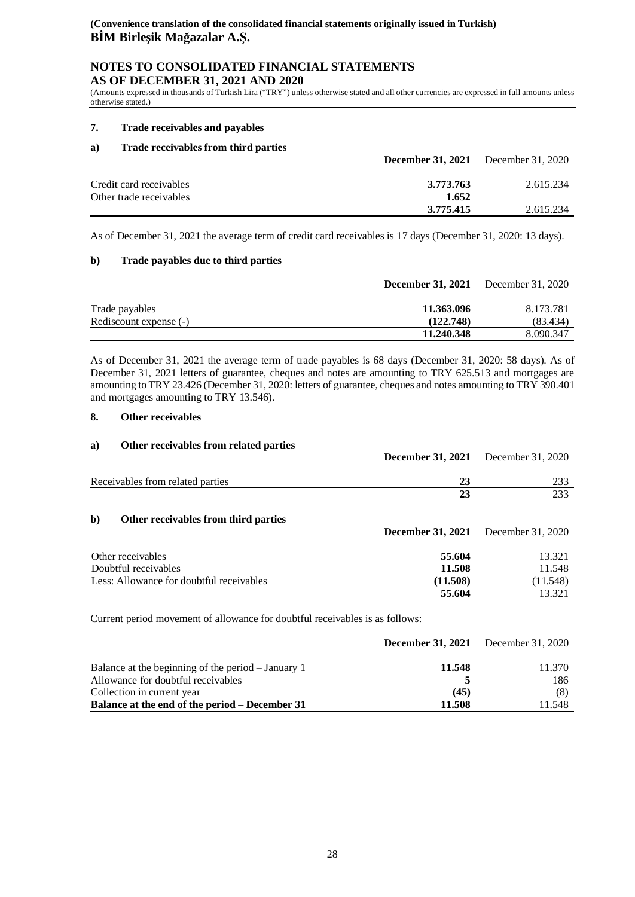## **NOTES TO CONSOLIDATED FINANCIAL STATEMENTS AS OF DECEMBER 31, 2021 AND 2020**

(Amounts expressed in thousands of Turkish Lira ("TRY") unless otherwise stated and all other currencies are expressed in full amounts unless otherwise stated.)

#### **7. Trade receivables and payables**

#### **a) Trade receivables from third parties**

|                                                    | <b>December 31, 2021</b> December 31, 2020 |           |
|----------------------------------------------------|--------------------------------------------|-----------|
| Credit card receivables<br>Other trade receivables | 3.773.763<br>1.652                         | 2.615.234 |
|                                                    | 3.775.415                                  | 2.615.234 |

As of December 31, 2021 the average term of credit card receivables is 17 days (December 31, 2020: 13 days).

#### **b) Trade payables due to third parties**

|                        | <b>December 31, 2021</b> | December 31, 2020 |
|------------------------|--------------------------|-------------------|
| Trade payables         | 11.363.096               | 8.173.781         |
| Rediscount expense (-) | (122.748)                | (83.434)          |
|                        | 11.240.348               | 8.090.347         |

As of December 31, 2021 the average term of trade payables is 68 days (December 31, 2020: 58 days). As of December 31, 2021 letters of guarantee, cheques and notes are amounting to TRY 625.513 and mortgages are amounting to TRY 23.426 (December 31, 2020: letters of guarantee, cheques and notes amounting to TRY 390.401 and mortgages amounting to TRY 13.546).

## **8. Other receivables**

| a)           | Other receivables from related parties | <b>December 31, 2021</b> | December 31, 2020 |
|--------------|----------------------------------------|--------------------------|-------------------|
|              | Receivables from related parties       | 23                       | 233               |
|              |                                        | 23                       | 233               |
| $\mathbf{b}$ | Other receivables from third parties   | <b>December 31, 2021</b> | December 31, 2020 |

## Other receivables **55.604** 13.321 Doubtful receivables **11.548** 11.548 Less: Allowance for doubtful receivables (11.508) (11.508) (11.548) **55.604** 13.321

Current period movement of allowance for doubtful receivables is as follows:

|                                                    | <b>December 31, 2021</b> December 31, 2020 |        |
|----------------------------------------------------|--------------------------------------------|--------|
| Balance at the beginning of the period – January 1 | 11.548                                     | 11.370 |
| Allowance for doubtful receivables                 |                                            | 186    |
| Collection in current year                         | (45)                                       | (8)    |
| Balance at the end of the period – December 31     | 11.508                                     | 11.548 |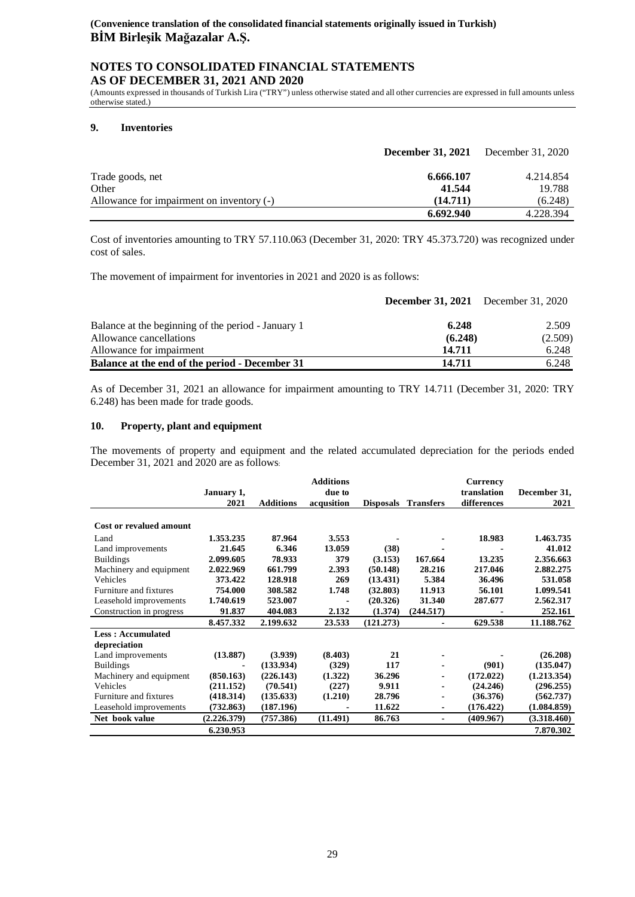## **NOTES TO CONSOLIDATED FINANCIAL STATEMENTS AS OF DECEMBER 31, 2021 AND 2020**

(Amounts expressed in thousands of Turkish Lira ("TRY") unless otherwise stated and all other currencies are expressed in full amounts unless otherwise stated.)

#### **9. Inventories**

|                                           | <b>December 31, 2021</b> December 31, 2020 |           |
|-------------------------------------------|--------------------------------------------|-----------|
| Trade goods, net                          | 6.666.107                                  | 4.214.854 |
| Other                                     | 41.544                                     | 19.788    |
| Allowance for impairment on inventory (-) | (14.711)                                   | (6.248)   |
|                                           | 6.692.940                                  | 4.228.394 |

Cost of inventories amounting to TRY 57.110.063 (December 31, 2020: TRY 45.373.720) was recognized under cost of sales.

The movement of impairment for inventories in 2021 and 2020 is as follows:

|                                                    | <b>December 31, 2021</b> December 31, 2020 |         |
|----------------------------------------------------|--------------------------------------------|---------|
| Balance at the beginning of the period - January 1 | 6.248                                      | 2.509   |
| Allowance cancellations                            | (6.248)                                    | (2.509) |
| Allowance for impairment                           | 14.711                                     | 6.248   |
| Balance at the end of the period - December 31     | 14.711                                     | 6.248   |

As of December 31, 2021 an allowance for impairment amounting to TRY 14.711 (December 31, 2020: TRY 6.248) has been made for trade goods.

#### **10. Property, plant and equipment**

The movements of property and equipment and the related accumulated depreciation for the periods ended December 31, 2021 and 2020 are as follows:

|                                |             |                  | <b>Additions</b> |           |                     | <b>Currency</b> |              |
|--------------------------------|-------------|------------------|------------------|-----------|---------------------|-----------------|--------------|
|                                | January 1,  |                  | due to           |           |                     | translation     | December 31, |
|                                | 2021        | <b>Additions</b> | acqusition       |           | Disposals Transfers | differences     | 2021         |
|                                |             |                  |                  |           |                     |                 |              |
| <b>Cost or revalued amount</b> |             |                  |                  |           |                     |                 |              |
| Land                           | 1.353.235   | 87.964           | 3.553            |           | $\blacksquare$      | 18.983          | 1.463.735    |
| Land improvements              | 21.645      | 6.346            | 13.059           | (38)      | $\blacksquare$      |                 | 41.012       |
| <b>Buildings</b>               | 2.099.605   | 78.933           | 379              | (3.153)   | 167.664             | 13.235          | 2.356.663    |
| Machinery and equipment        | 2.022.969   | 661.799          | 2.393            | (50.148)  | 28.216              | 217.046         | 2.882.275    |
| Vehicles                       | 373.422     | 128.918          | 269              | (13.431)  | 5.384               | 36.496          | 531.058      |
| Furniture and fixtures         | 754.000     | 308.582          | 1.748            | (32.803)  | 11.913              | 56.101          | 1.099.541    |
| Leasehold improvements         | 1.740.619   | 523.007          |                  | (20.326)  | 31.340              | 287.677         | 2.562.317    |
| Construction in progress       | 91.837      | 404.083          | 2.132            | (1.374)   | (244.517)           |                 | 252.161      |
|                                | 8.457.332   | 2.199.632        | 23.533           | (121.273) | $\blacksquare$      | 629.538         | 11.188.762   |
| <b>Less: Accumulated</b>       |             |                  |                  |           |                     |                 |              |
| depreciation                   |             |                  |                  |           |                     |                 |              |
| Land improvements              | (13.887)    | (3.939)          | (8.403)          | 21        | $\blacksquare$      |                 | (26.208)     |
| <b>Buildings</b>               |             | (133.934)        | (329)            | 117       |                     | (901)           | (135.047)    |
| Machinery and equipment        | (850.163)   | (226.143)        | (1.322)          | 36.296    | $\blacksquare$      | (172.022)       | (1.213.354)  |
| Vehicles                       | (211.152)   | (70.541)         | (227)            | 9.911     | $\blacksquare$      | (24.246)        | (296.255)    |
| Furniture and fixtures         | (418.314)   | (135.633)        | (1.210)          | 28.796    | -                   | (36.376)        | (562.737)    |
| Leasehold improvements         | (732.863)   | (187.196)        |                  | 11.622    | $\blacksquare$      | (176.422)       | (1.084.859)  |
| Net book value                 | (2.226.379) | (757.386)        | (11.491)         | 86.763    | $\blacksquare$      | (409.967)       | (3.318.460)  |
|                                | 6.230.953   |                  |                  |           |                     |                 | 7.870.302    |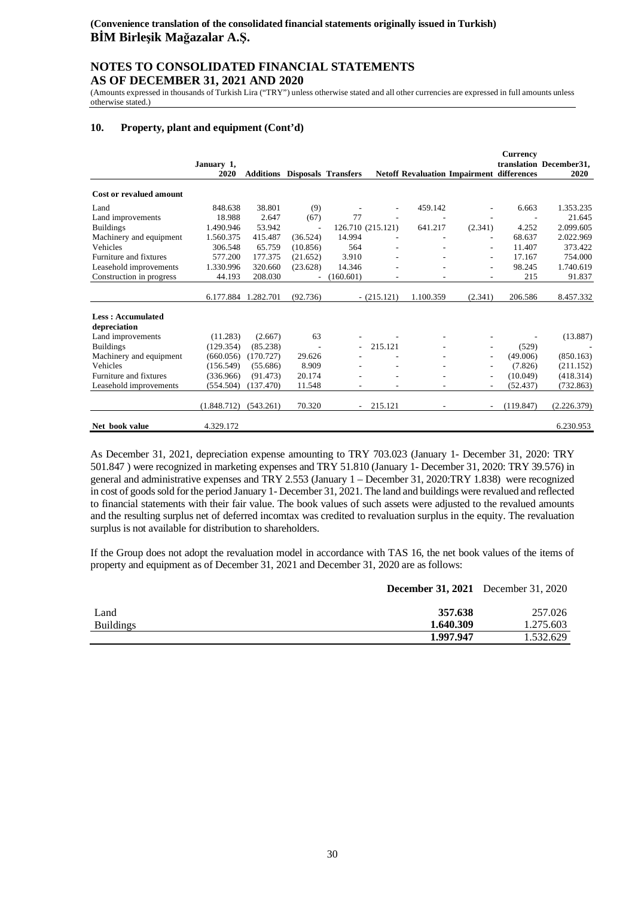## **NOTES TO CONSOLIDATED FINANCIAL STATEMENTS AS OF DECEMBER 31, 2021 AND 2020**

(Amounts expressed in thousands of Turkish Lira ("TRY") unless otherwise stated and all other currencies are expressed in full amounts unless otherwise stated.)

#### **10. Property, plant and equipment (Cont'd)**

|                                | January 1,<br>2020 |                     | <b>Additions Disposals Transfers</b> |                          |                          |                          | <b>Netoff Revaluation Impairment differences</b> | <b>Currency</b> | translation December31,<br>2020 |
|--------------------------------|--------------------|---------------------|--------------------------------------|--------------------------|--------------------------|--------------------------|--------------------------------------------------|-----------------|---------------------------------|
| <b>Cost or revalued amount</b> |                    |                     |                                      |                          |                          |                          |                                                  |                 |                                 |
| Land                           | 848.638            | 38.801              | (9)                                  |                          |                          | 459.142                  |                                                  | 6.663           | 1.353.235                       |
| Land improvements              | 18.988             | 2.647               | (67)                                 | 77                       |                          |                          | $\overline{\phantom{a}}$                         |                 | 21.645                          |
| <b>Buildings</b>               | 1.490.946          | 53.942              | $\overline{\phantom{a}}$             |                          | 126.710 (215.121)        | 641.217                  | (2.341)                                          | 4.252           | 2.099.605                       |
| Machinery and equipment        | 1.560.375          | 415.487             | (36.524)                             | 14.994                   |                          |                          |                                                  | 68.637          | 2.022.969                       |
| Vehicles                       | 306.548            | 65.759              | (10.856)                             | 564                      |                          |                          | $\overline{\phantom{a}}$                         | 11.407          | 373.422                         |
| Furniture and fixtures         | 577.200            | 177.375             | (21.652)                             | 3.910                    |                          |                          | $\overline{\phantom{a}}$                         | 17.167          | 754.000                         |
| Leasehold improvements         | 1.330.996          | 320.660             | (23.628)                             | 14.346                   |                          |                          | $\overline{\phantom{a}}$                         | 98.245          | 1.740.619                       |
| Construction in progress       | 44.193             | 208.030             |                                      | (160.601)                |                          |                          |                                                  | 215             | 91.837                          |
|                                |                    | 6.177.884 1.282.701 | (92.736)                             |                          | $-(215.121)$             | 1.100.359                | (2.341)                                          | 206.586         | 8.457.332                       |
| <b>Less: Accumulated</b>       |                    |                     |                                      |                          |                          |                          |                                                  |                 |                                 |
| depreciation                   |                    |                     |                                      |                          |                          |                          |                                                  |                 |                                 |
| Land improvements              | (11.283)           | (2.667)             | 63                                   |                          |                          |                          |                                                  |                 | (13.887)                        |
| <b>Buildings</b>               | (129.354)          | (85.238)            |                                      |                          | 215.121                  |                          | ٠                                                | (529)           |                                 |
| Machinery and equipment        | (660.056)          | (170.727)           | 29.626                               |                          |                          |                          |                                                  | (49.006)        | (850.163)                       |
| Vehicles                       | (156.549)          | (55.686)            | 8.909                                |                          |                          |                          |                                                  | (7.826)         | (211.152)                       |
| Furniture and fixtures         | (336.966)          | (91.473)            | 20.174                               |                          |                          |                          |                                                  | (10.049)        | (418.314)                       |
| Leasehold improvements         | (554.504)          | (137.470)           | 11.548                               | $\overline{\phantom{a}}$ | $\overline{\phantom{a}}$ | $\overline{\phantom{a}}$ | $\sim$                                           | (52.437)        | (732.863)                       |
|                                | (1.848.712)        | (543.261)           | 70.320                               | $\sim$                   | 215.121                  |                          |                                                  | (119.847)       | (2.226.379)                     |
| Net book value                 | 4.329.172          |                     |                                      |                          |                          |                          |                                                  |                 | 6.230.953                       |

As December 31, 2021, depreciation expense amounting to TRY 703.023 (January 1- December 31, 2020: TRY 501.847 ) were recognized in marketing expenses and TRY 51.810 (January 1- December 31, 2020: TRY 39.576) in general and administrative expenses and TRY 2.553 (January 1 – December 31, 2020:TRY 1.838) were recognized in cost of goods sold for the period January 1- December 31, 2021. The land and buildings were revalued and reflected to financial statements with their fair value. The book values of such assets were adjusted to the revalued amounts and the resulting surplus net of deferred incomtax was credited to revaluation surplus in the equity. The revaluation surplus is not available for distribution to shareholders.

If the Group does not adopt the revaluation model in accordance with TAS 16, the net book values of the items of property and equipment as of December 31, 2021 and December 31, 2020 are as follows:

|                  | <b>December 31, 2021</b> December 31, 2020 |           |
|------------------|--------------------------------------------|-----------|
| Land             | 357.638                                    | 257.026   |
| <b>Buildings</b> | 1.640.309                                  | 1.275.603 |
|                  | 1.997.947                                  | 1.532.629 |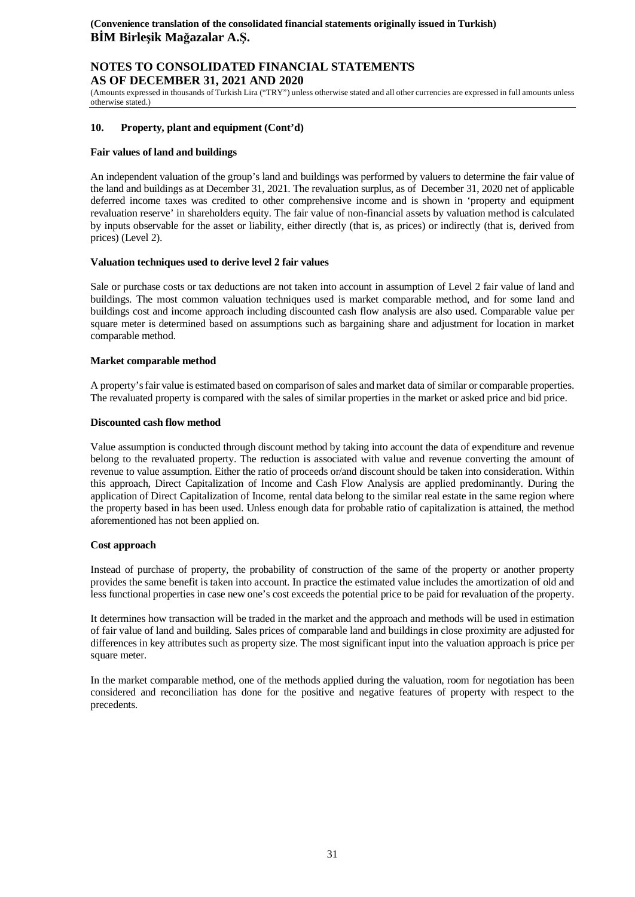## **NOTES TO CONSOLIDATED FINANCIAL STATEMENTS AS OF DECEMBER 31, 2021 AND 2020**

(Amounts expressed in thousands of Turkish Lira ("TRY") unless otherwise stated and all other currencies are expressed in full amounts unless otherwise stated.)

#### **10. Property, plant and equipment (Cont'd)**

#### **Fair values of land and buildings**

An independent valuation of the group's land and buildings was performed by valuers to determine the fair value of the land and buildings as at December 31, 2021. The revaluation surplus, as of December 31, 2020 net of applicable deferred income taxes was credited to other comprehensive income and is shown in 'property and equipment revaluation reserve' in shareholders equity. The fair value of non-financial assets by valuation method is calculated by inputs observable for the asset or liability, either directly (that is, as prices) or indirectly (that is, derived from prices) (Level 2).

#### **Valuation techniques used to derive level 2 fair values**

Sale or purchase costs or tax deductions are not taken into account in assumption of Level 2 fair value of land and buildings. The most common valuation techniques used is market comparable method, and for some land and buildings cost and income approach including discounted cash flow analysis are also used. Comparable value per square meter is determined based on assumptions such as bargaining share and adjustment for location in market comparable method.

#### **Market comparable method**

A property's fair value is estimated based on comparison of sales and market data of similar or comparable properties. The revaluated property is compared with the sales of similar properties in the market or asked price and bid price.

#### **Discounted cash flow method**

Value assumption is conducted through discount method by taking into account the data of expenditure and revenue belong to the revaluated property. The reduction is associated with value and revenue converting the amount of revenue to value assumption. Either the ratio of proceeds or/and discount should be taken into consideration. Within this approach, Direct Capitalization of Income and Cash Flow Analysis are applied predominantly. During the application of Direct Capitalization of Income, rental data belong to the similar real estate in the same region where the property based in has been used. Unless enough data for probable ratio of capitalization is attained, the method aforementioned has not been applied on.

#### **Cost approach**

Instead of purchase of property, the probability of construction of the same of the property or another property provides the same benefit is taken into account. In practice the estimated value includes the amortization of old and less functional properties in case new one's cost exceeds the potential price to be paid for revaluation of the property.

It determines how transaction will be traded in the market and the approach and methods will be used in estimation of fair value of land and building. Sales prices of comparable land and buildings in close proximity are adjusted for differences in key attributes such as property size. The most significant input into the valuation approach is price per square meter.

In the market comparable method, one of the methods applied during the valuation, room for negotiation has been considered and reconciliation has done for the positive and negative features of property with respect to the precedents.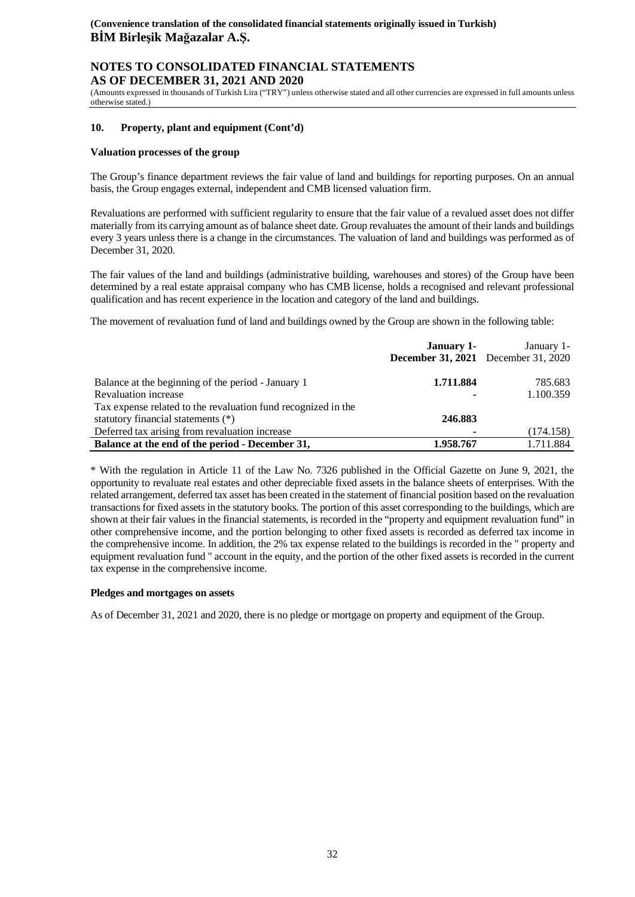## **NOTES TO CONSOLIDATED FINANCIAL STATEMENTS AS OF DECEMBER 31, 2021 AND 2020**

(Amounts expressed in thousands of Turkish Lira ("TRY") unless otherwise stated and all other currencies are expressed in full amounts unless otherwise stated.)

#### **10. Property, plant and equipment (Cont'd)**

#### **Valuation processes of the group**

The Group's finance department reviews the fair value of land and buildings for reporting purposes. On an annual basis, the Group engages external, independent and CMB licensed valuation firm.

Revaluations are performed with sufficient regularity to ensure that the fair value of a revalued asset does not differ materially from its carrying amount as of balance sheet date. Group revaluates the amount of their lands and buildings every 3 years unless there is a change in the circumstances. The valuation of land and buildings was performed as of December 31, 2020.

The fair values of the land and buildings (administrative building, warehouses and stores) of the Group have been determined by a real estate appraisal company who has CMB license, holds a recognised and relevant professional qualification and has recent experience in the location and category of the land and buildings.

The movement of revaluation fund of land and buildings owned by the Group are shown in the following table:

|                                                               | <b>January 1-</b><br><b>December 31, 2021</b> December 31, 2020 | January 1- |
|---------------------------------------------------------------|-----------------------------------------------------------------|------------|
| Balance at the beginning of the period - January 1            | 1.711.884                                                       | 785.683    |
| <b>Revaluation increase</b>                                   | -                                                               | 1.100.359  |
| Tax expense related to the revaluation fund recognized in the |                                                                 |            |
| statutory financial statements (*)                            | 246.883                                                         |            |
| Deferred tax arising from revaluation increase                |                                                                 | (174.158)  |
| Balance at the end of the period - December 31,               | 1.958.767                                                       | 1.711.884  |

\* With the regulation in Article 11 of the Law No. 7326 published in the Official Gazette on June 9, 2021, the opportunity to revaluate real estates and other depreciable fixed assets in the balance sheets of enterprises. With the related arrangement, deferred tax asset has been created in the statement of financial position based on the revaluation transactions for fixed assets in the statutory books. The portion of this asset corresponding to the buildings, which are shown at their fair values in the financial statements, is recorded in the "property and equipment revaluation fund" in other comprehensive income, and the portion belonging to other fixed assets is recorded as deferred tax income in the comprehensive income. In addition, the 2% tax expense related to the buildings is recorded in the " property and equipment revaluation fund " account in the equity, and the portion of the other fixed assets is recorded in the current tax expense in the comprehensive income.

#### **Pledges and mortgages on assets**

As of December 31, 2021 and 2020, there is no pledge or mortgage on property and equipment of the Group.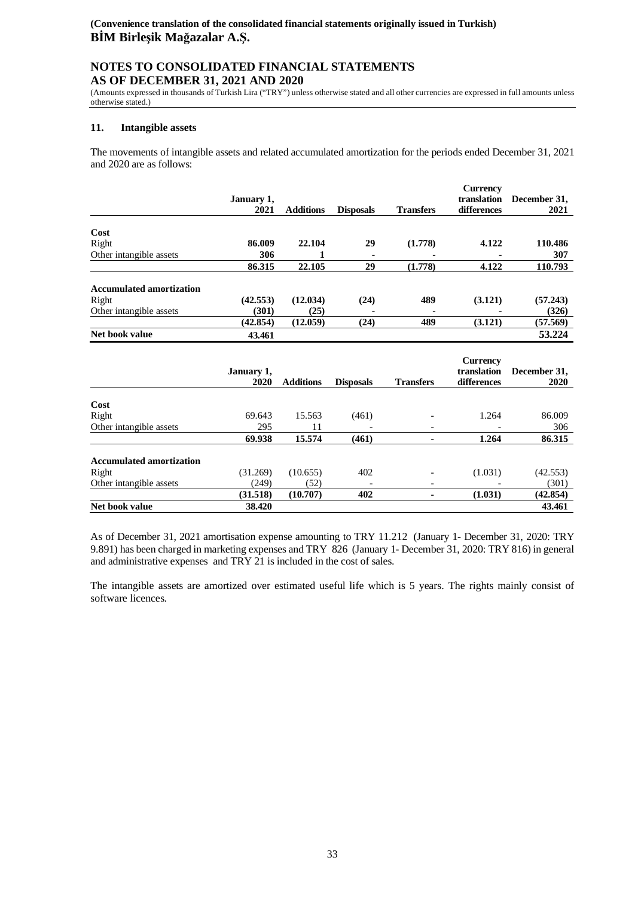## **NOTES TO CONSOLIDATED FINANCIAL STATEMENTS AS OF DECEMBER 31, 2021 AND 2020**

(Amounts expressed in thousands of Turkish Lira ("TRY") unless otherwise stated and all other currencies are expressed in full amounts unless otherwise stated.)

#### **11. Intangible assets**

The movements of intangible assets and related accumulated amortization for the periods ended December 31, 2021 and 2020 are as follows:

|                                 | January 1, |                  |                  |                  | Currency<br>translation | December 31, |
|---------------------------------|------------|------------------|------------------|------------------|-------------------------|--------------|
|                                 | 2021       | <b>Additions</b> | <b>Disposals</b> | <b>Transfers</b> | differences             | 2021         |
| Cost                            |            |                  |                  |                  |                         |              |
| Right                           | 86.009     | 22.104           | 29               | (1.778)          | 4.122                   | 110.486      |
| Other intangible assets         | 306        |                  |                  | -                |                         | 307          |
|                                 | 86.315     | 22.105           | 29               | (1.778)          | 4.122                   | 110.793      |
| <b>Accumulated amortization</b> |            |                  |                  |                  |                         |              |
| Right                           | (42.553)   | (12.034)         | (24)             | 489              | (3.121)                 | (57.243)     |
| Other intangible assets         | (301)      | (25)             |                  | -                |                         | (326)        |
|                                 | (42.854)   | (12.059)         | (24)             | 489              | (3.121)                 | (57.569)     |
| Net book value                  | 43.461     |                  |                  |                  |                         | 53.224       |

|                                 | January 1,<br>2020 | <b>Additions</b> | <b>Disposals</b>         | <b>Transfers</b>         | Currency<br>translation<br>differences | December 31,<br>2020 |
|---------------------------------|--------------------|------------------|--------------------------|--------------------------|----------------------------------------|----------------------|
| Cost                            |                    |                  |                          |                          |                                        |                      |
| Right                           | 69.643             | 15.563           | (461)                    |                          | 1.264                                  | 86.009               |
|                                 | 295                | 11               |                          |                          |                                        | 306                  |
| Other intangible assets         |                    |                  | $\overline{\phantom{0}}$ | $\overline{\phantom{0}}$ |                                        |                      |
|                                 | 69.938             | 15.574           | (461)                    | ۰                        | 1.264                                  | 86.315               |
| <b>Accumulated amortization</b> |                    |                  |                          |                          |                                        |                      |
| Right                           | (31.269)           | (10.655)         | 402                      |                          | (1.031)                                | (42.553)             |
| Other intangible assets         | (249)              | (52)             |                          |                          |                                        | (301)                |
|                                 | (31.518)           | (10.707)         | 402                      | ۰                        | (1.031)                                | (42.854)             |
| Net book value                  | 38.420             |                  |                          |                          |                                        | 43.461               |

As of December 31, 2021 amortisation expense amounting to TRY 11.212 (January 1- December 31, 2020: TRY 9.891) has been charged in marketing expenses and TRY 826 (January 1- December 31, 2020: TRY 816) in general and administrative expenses and TRY 21 is included in the cost of sales.

The intangible assets are amortized over estimated useful life which is 5 years. The rights mainly consist of software licences.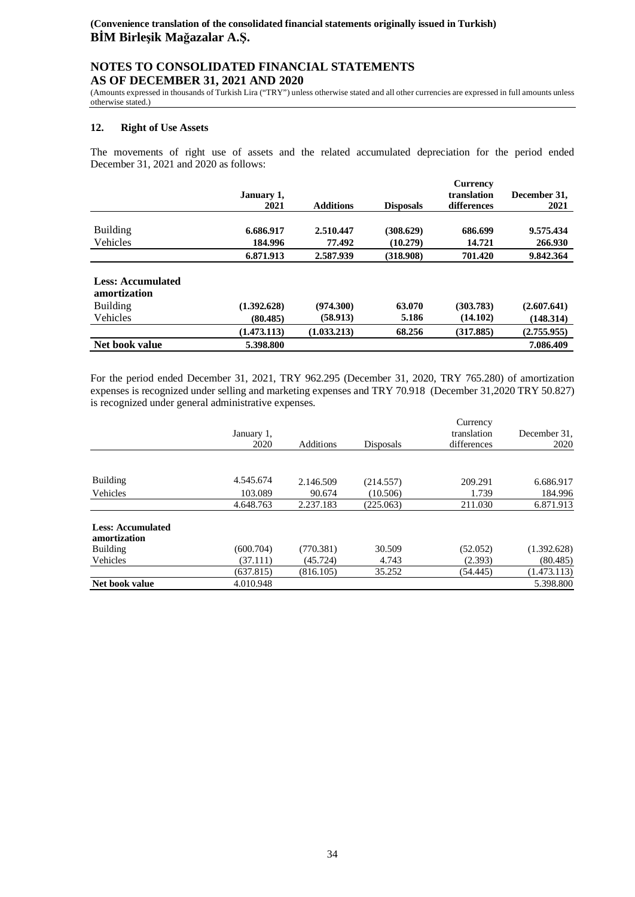## **NOTES TO CONSOLIDATED FINANCIAL STATEMENTS AS OF DECEMBER 31, 2021 AND 2020**

(Amounts expressed in thousands of Turkish Lira ("TRY") unless otherwise stated and all other currencies are expressed in full amounts unless otherwise stated.)

#### **12. Right of Use Assets**

The movements of right use of assets and the related accumulated depreciation for the period ended December 31, 2021 and 2020 as follows:

|                                          | January 1,  |                  |                  | <b>Currency</b><br>translation | December 31, |
|------------------------------------------|-------------|------------------|------------------|--------------------------------|--------------|
|                                          | 2021        | <b>Additions</b> | <b>Disposals</b> | differences                    | 2021         |
| <b>Building</b>                          | 6.686.917   | 2.510.447        | (308.629)        | 686.699                        | 9.575.434    |
| <b>Vehicles</b>                          | 184.996     | 77.492           | (10.279)         | 14.721                         | 266.930      |
|                                          | 6.871.913   | 2.587.939        | (318.908)        | 701.420                        | 9.842.364    |
| <b>Less: Accumulated</b><br>amortization |             |                  |                  |                                |              |
| <b>Building</b>                          | (1.392.628) | (974.300)        | 63.070           | (303.783)                      | (2.607.641)  |
| Vehicles                                 | (80.485)    | (58.913)         | 5.186            | (14.102)                       | (148.314)    |
|                                          | (1.473.113) | (1.033.213)      | 68.256           | (317.885)                      | (2.755.955)  |
| Net book value                           | 5.398.800   |                  |                  |                                | 7.086.409    |

For the period ended December 31, 2021, TRY 962.295 (December 31, 2020, TRY 765.280) of amortization expenses is recognized under selling and marketing expenses and TRY 70.918 (December 31,2020 TRY 50.827) is recognized under general administrative expenses.

|                                          |            |                  |                  | Currency    |              |
|------------------------------------------|------------|------------------|------------------|-------------|--------------|
|                                          | January 1, |                  |                  | translation | December 31, |
|                                          | 2020       | <b>Additions</b> | <b>Disposals</b> | differences | 2020         |
|                                          |            |                  |                  |             |              |
| Building                                 | 4.545.674  | 2.146.509        | (214.557)        | 209.291     | 6.686.917    |
| Vehicles                                 | 103.089    | 90.674           | (10.506)         | 1.739       | 184.996      |
|                                          | 4.648.763  | 2.237.183        | (225.063)        | 211.030     | 6.871.913    |
| <b>Less: Accumulated</b><br>amortization |            |                  |                  |             |              |
| <b>Building</b>                          | (600.704)  | (770.381)        | 30.509           | (52.052)    | (1.392.628)  |
| Vehicles                                 | (37.111)   | (45.724)         | 4.743            | (2.393)     | (80.485)     |
|                                          | (637.815)  | (816.105)        | 35.252           | (54.445)    | (1.473.113)  |
| Net book value                           | 4.010.948  |                  |                  |             | 5.398.800    |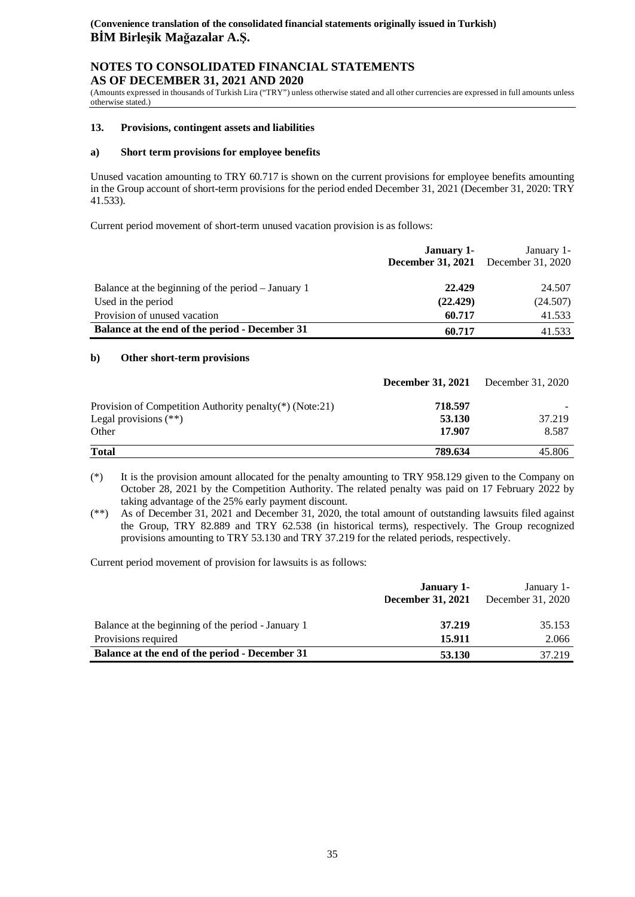## **NOTES TO CONSOLIDATED FINANCIAL STATEMENTS AS OF DECEMBER 31, 2021 AND 2020**

(Amounts expressed in thousands of Turkish Lira ("TRY") unless otherwise stated and all other currencies are expressed in full amounts unless otherwise stated.)

#### **13. Provisions, contingent assets and liabilities**

#### **a) Short term provisions for employee benefits**

Unused vacation amounting to TRY 60.717 is shown on the current provisions for employee benefits amounting in the Group account of short-term provisions for the period ended December 31, 2021 (December 31, 2020: TRY 41.533).

Current period movement of short-term unused vacation provision is as follows:

|                                                    | <b>January 1-</b>        | January 1-        |
|----------------------------------------------------|--------------------------|-------------------|
|                                                    | <b>December 31, 2021</b> | December 31, 2020 |
|                                                    |                          |                   |
| Balance at the beginning of the period – January 1 | 22.429                   | 24.507            |
| Used in the period                                 | (22.429)                 | (24.507)          |
| Provision of unused vacation                       | 60.717                   | 41.533            |
| Balance at the end of the period - December 31     | 60.717                   | 41.533            |

#### **b) Other short-term provisions**

|                                                                                             | <b>December 31, 2021</b> December 31, 2020 |                 |
|---------------------------------------------------------------------------------------------|--------------------------------------------|-----------------|
| Provision of Competition Authority penalty(*) (Note:21)<br>Legal provisions $(**)$<br>Other | 718.597<br>53.130<br>17.907                | 37.219<br>8.587 |
| <b>Total</b>                                                                                | 789.634                                    | 45.806          |

(\*) It is the provision amount allocated for the penalty amounting to TRY 958.129 given to the Company on October 28, 2021 by the Competition Authority. The related penalty was paid on 17 February 2022 by taking advantage of the 25% early payment discount.

(\*\*) As of December 31, 2021 and December 31, 2020, the total amount of outstanding lawsuits filed against the Group, TRY 82.889 and TRY 62.538 (in historical terms), respectively. The Group recognized provisions amounting to TRY 53.130 and TRY 37.219 for the related periods, respectively.

Current period movement of provision for lawsuits is as follows:

|                                                    | January 1-<br>December 31, 2021 | January 1-<br>December 31, 2020 |
|----------------------------------------------------|---------------------------------|---------------------------------|
| Balance at the beginning of the period - January 1 | 37.219                          | 35.153                          |
| Provisions required                                | 15.911                          | 2.066                           |
| Balance at the end of the period - December 31     | 53.130                          | 37.219                          |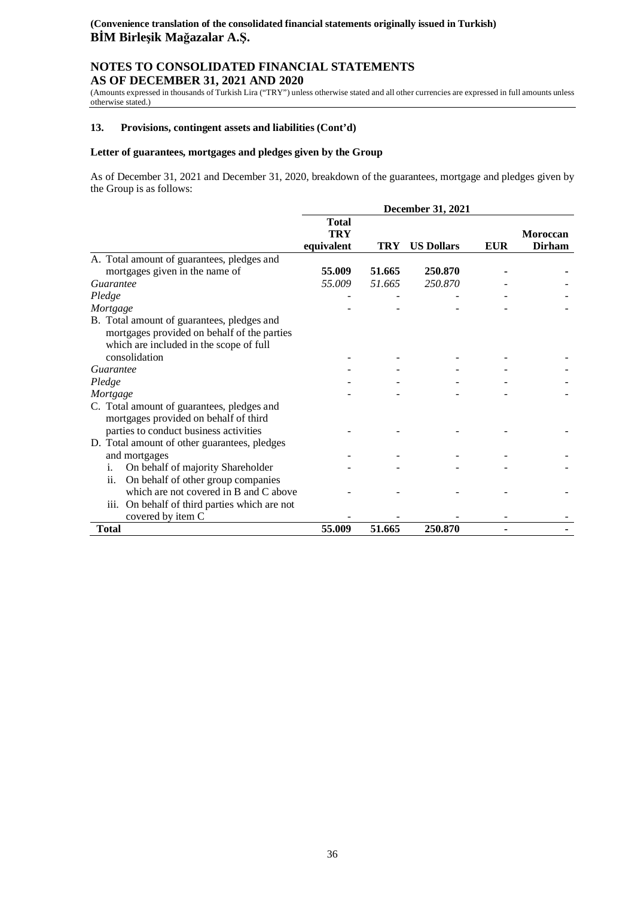## **NOTES TO CONSOLIDATED FINANCIAL STATEMENTS AS OF DECEMBER 31, 2021 AND 2020**

(Amounts expressed in thousands of Turkish Lira ("TRY") unless otherwise stated and all other currencies are expressed in full amounts unless otherwise stated.)

#### **13. Provisions, contingent assets and liabilities (Cont'd)**

#### **Letter of guarantees, mortgages and pledges given by the Group**

As of December 31, 2021 and December 31, 2020, breakdown of the guarantees, mortgage and pledges given by the Group is as follows:

|                                                                                                                                                                               |                                          |            | December 31, 2021 |            |                           |
|-------------------------------------------------------------------------------------------------------------------------------------------------------------------------------|------------------------------------------|------------|-------------------|------------|---------------------------|
|                                                                                                                                                                               | <b>Total</b><br><b>TRY</b><br>equivalent | <b>TRY</b> | <b>US Dollars</b> | <b>EUR</b> | Moroccan<br><b>Dirham</b> |
| A. Total amount of guarantees, pledges and                                                                                                                                    |                                          |            |                   |            |                           |
| mortgages given in the name of                                                                                                                                                | 55.009                                   | 51.665     | 250.870           |            |                           |
| Guarantee                                                                                                                                                                     | 55.009                                   | 51.665     | 250.870           |            |                           |
| Pledge                                                                                                                                                                        |                                          |            |                   |            |                           |
| Mortgage                                                                                                                                                                      |                                          |            |                   |            |                           |
| B. Total amount of guarantees, pledges and<br>mortgages provided on behalf of the parties<br>which are included in the scope of full<br>consolidation                         |                                          |            |                   |            |                           |
| Guarantee                                                                                                                                                                     |                                          |            |                   |            |                           |
| Pledge                                                                                                                                                                        |                                          |            |                   |            |                           |
| Mortgage                                                                                                                                                                      |                                          |            |                   |            |                           |
| C. Total amount of guarantees, pledges and<br>mortgages provided on behalf of third<br>parties to conduct business activities<br>D. Total amount of other guarantees, pledges |                                          |            |                   |            |                           |
| and mortgages                                                                                                                                                                 |                                          |            |                   |            |                           |
| On behalf of majority Shareholder<br>i.<br>ii.<br>On behalf of other group companies                                                                                          |                                          |            |                   |            |                           |
| which are not covered in B and C above<br>On behalf of third parties which are not<br>iii.<br>covered by item C                                                               |                                          |            |                   |            |                           |
| <b>Total</b>                                                                                                                                                                  | 55.009                                   | 51.665     | 250.870           |            |                           |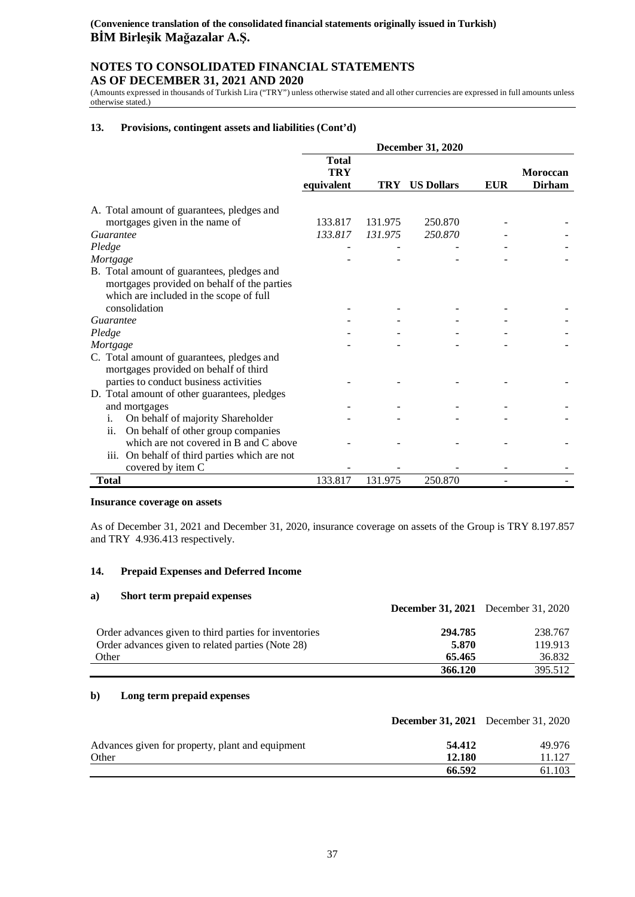## **NOTES TO CONSOLIDATED FINANCIAL STATEMENTS AS OF DECEMBER 31, 2021 AND 2020**

(Amounts expressed in thousands of Turkish Lira ("TRY") unless otherwise stated and all other currencies are expressed in full amounts unless otherwise stated.)

#### **13. Provisions, contingent assets and liabilities (Cont'd)**

|                                                                                                                                                       |                                          |            | December 31, 2020 |            |                                  |
|-------------------------------------------------------------------------------------------------------------------------------------------------------|------------------------------------------|------------|-------------------|------------|----------------------------------|
|                                                                                                                                                       | <b>Total</b><br><b>TRY</b><br>equivalent | <b>TRY</b> | <b>US Dollars</b> | <b>EUR</b> | <b>Moroccan</b><br><b>Dirham</b> |
|                                                                                                                                                       |                                          |            |                   |            |                                  |
| A. Total amount of guarantees, pledges and<br>mortgages given in the name of                                                                          | 133.817                                  | 131.975    | 250.870           |            |                                  |
| Guarantee                                                                                                                                             | 133.817                                  | 131.975    | 250.870           |            |                                  |
| Pledge                                                                                                                                                |                                          |            |                   |            |                                  |
| Mortgage                                                                                                                                              |                                          |            |                   |            |                                  |
| B. Total amount of guarantees, pledges and<br>mortgages provided on behalf of the parties<br>which are included in the scope of full<br>consolidation |                                          |            |                   |            |                                  |
| Guarantee                                                                                                                                             |                                          |            |                   |            |                                  |
| Pledge                                                                                                                                                |                                          |            |                   |            |                                  |
| Mortgage                                                                                                                                              |                                          |            |                   |            |                                  |
| C. Total amount of guarantees, pledges and<br>mortgages provided on behalf of third<br>parties to conduct business activities                         |                                          |            |                   |            |                                  |
| D. Total amount of other guarantees, pledges                                                                                                          |                                          |            |                   |            |                                  |
| and mortgages                                                                                                                                         |                                          |            |                   |            |                                  |
| On behalf of majority Shareholder<br>i.                                                                                                               |                                          |            |                   |            |                                  |
| On behalf of other group companies<br>ii.<br>which are not covered in B and C above<br>iii. On behalf of third parties which are not                  |                                          |            |                   |            |                                  |
| covered by item C                                                                                                                                     |                                          |            |                   |            |                                  |
| <b>Total</b>                                                                                                                                          | 133.817                                  | 131.975    | 250.870           |            |                                  |

#### **Insurance coverage on assets**

As of December 31, 2021 and December 31, 2020, insurance coverage on assets of the Group is TRY 8.197.857 and TRY 4.936.413 respectively.

#### **14. Prepaid Expenses and Deferred Income**

#### **a) Short term prepaid expenses**

|                                                       | <b>December 31, 2021</b> December 31, 2020 |         |
|-------------------------------------------------------|--------------------------------------------|---------|
| Order advances given to third parties for inventories | 294.785                                    | 238.767 |
| Order advances given to related parties (Note 28)     | 5.870                                      | 119.913 |
| Other                                                 | 65.465                                     | 36.832  |
|                                                       | 366.120                                    | 395.512 |

#### **b) Long term prepaid expenses**

|                                                  |        | <b>December 31, 2021</b> December 31, 2020 |
|--------------------------------------------------|--------|--------------------------------------------|
| Advances given for property, plant and equipment | 54.412 | 49.976                                     |
| Other                                            | 12.180 | 11.127                                     |
|                                                  | 66.592 | 61.103                                     |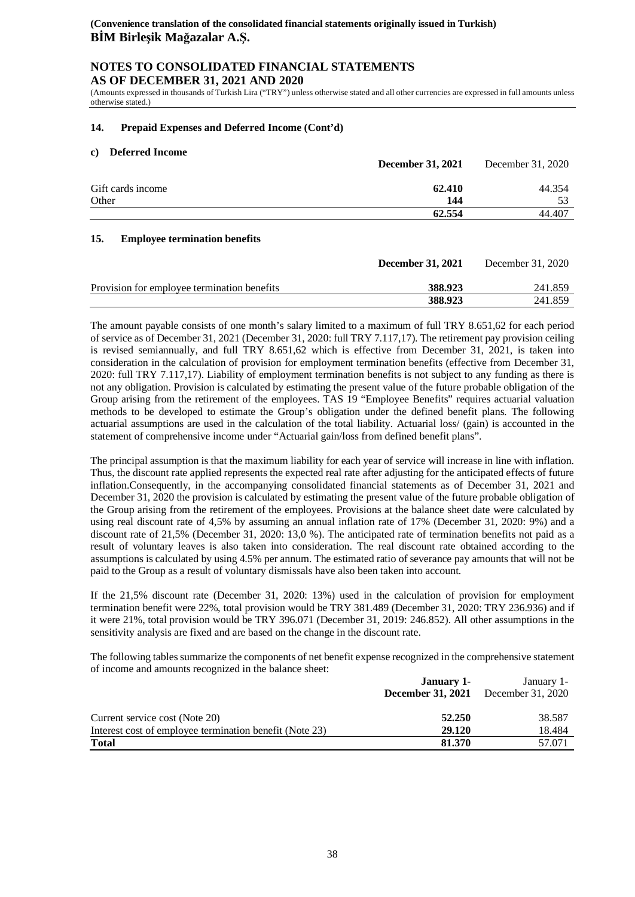## **NOTES TO CONSOLIDATED FINANCIAL STATEMENTS AS OF DECEMBER 31, 2021 AND 2020**

(Amounts expressed in thousands of Turkish Lira ("TRY") unless otherwise stated and all other currencies are expressed in full amounts unless otherwise stated.)

#### **14. Prepaid Expenses and Deferred Income (Cont'd)**

#### **c) Deferred Income**

|                            | <b>December 31, 2021</b> | December 31, 2020 |
|----------------------------|--------------------------|-------------------|
| Gift cards income<br>Other | 62.410<br>144            | 44.354            |
|                            | 62.554                   | 44.407            |

## **15. Employee termination benefits**

|                                             | <b>December 31, 2021</b> | December 31, 2020 |
|---------------------------------------------|--------------------------|-------------------|
| Provision for employee termination benefits | 388.923                  | 241.859           |
|                                             | 388.923                  | 241.859           |

The amount payable consists of one month's salary limited to a maximum of full TRY 8.651,62 for each period of service as of December 31, 2021 (December 31, 2020: full TRY 7.117,17). The retirement pay provision ceiling is revised semiannually, and full TRY 8.651,62 which is effective from December 31, 2021, is taken into consideration in the calculation of provision for employment termination benefits (effective from December 31, 2020: full TRY 7.117,17). Liability of employment termination benefits is not subject to any funding as there is not any obligation. Provision is calculated by estimating the present value of the future probable obligation of the Group arising from the retirement of the employees. TAS 19 "Employee Benefits" requires actuarial valuation methods to be developed to estimate the Group's obligation under the defined benefit plans. The following actuarial assumptions are used in the calculation of the total liability. Actuarial loss/ (gain) is accounted in the statement of comprehensive income under "Actuarial gain/loss from defined benefit plans".

The principal assumption is that the maximum liability for each year of service will increase in line with inflation. Thus, the discount rate applied represents the expected real rate after adjusting for the anticipated effects of future inflation.Consequently, in the accompanying consolidated financial statements as of December 31, 2021 and December 31, 2020 the provision is calculated by estimating the present value of the future probable obligation of the Group arising from the retirement of the employees. Provisions at the balance sheet date were calculated by using real discount rate of 4,5% by assuming an annual inflation rate of 17% (December 31, 2020: 9%) and a discount rate of 21,5% (December 31, 2020: 13,0 %). The anticipated rate of termination benefits not paid as a result of voluntary leaves is also taken into consideration. The real discount rate obtained according to the assumptions is calculated by using 4.5% per annum. The estimated ratio of severance pay amounts that will not be paid to the Group as a result of voluntary dismissals have also been taken into account.

If the 21,5% discount rate (December 31, 2020: 13%) used in the calculation of provision for employment termination benefit were 22%, total provision would be TRY 381.489 (December 31, 2020: TRY 236.936) and if it were 21%, total provision would be TRY 396.071 (December 31, 2019: 246.852). All other assumptions in the sensitivity analysis are fixed and are based on the change in the discount rate.

The following tables summarize the components of net benefit expense recognized in the comprehensive statement of income and amounts recognized in the balance sheet:

|                                                         | January 1-               | January 1-        |
|---------------------------------------------------------|--------------------------|-------------------|
|                                                         | <b>December 31, 2021</b> | December 31, 2020 |
|                                                         |                          |                   |
| Current service cost (Note 20)                          | 52.250                   | 38.587            |
| Interest cost of employee termination benefit (Note 23) | 29.120                   | 18.484            |
| <b>Total</b>                                            | 81.370                   | 57.071            |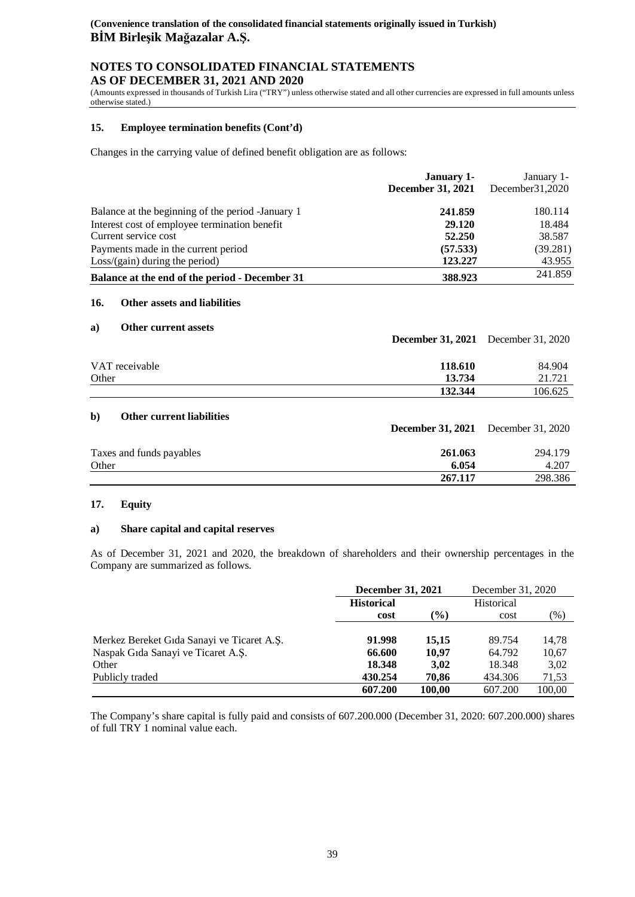## **NOTES TO CONSOLIDATED FINANCIAL STATEMENTS AS OF DECEMBER 31, 2021 AND 2020**

(Amounts expressed in thousands of Turkish Lira ("TRY") unless otherwise stated and all other currencies are expressed in full amounts unless otherwise stated.)

#### **15. Employee termination benefits (Cont'd)**

Changes in the carrying value of defined benefit obligation are as follows:

|                                                    | <b>January 1-</b> | January 1-         |
|----------------------------------------------------|-------------------|--------------------|
|                                                    | December 31, 2021 | December $31,2020$ |
| Balance at the beginning of the period - January 1 | 241.859           | 180.114            |
| Interest cost of employee termination benefit      | 29.120            | 18.484             |
| Current service cost                               | 52.250            | 38.587             |
| Payments made in the current period                | (57.533)          | (39.281)           |
| $Loss/(gain)$ during the period)                   | 123.227           | 43.955             |
| Balance at the end of the period - December 31     | 388.923           | 241.859            |

#### **16. Other assets and liabilities**

#### **a) Other current assets**

|                | <b>December 31, 2021</b> December 31, 2020 |                   |
|----------------|--------------------------------------------|-------------------|
| VAT receivable | 118.610<br>13.734                          | 84.904            |
| Other          | 132.344                                    | 21.721<br>106.625 |

#### **b) Other current liabilities**

|                                   | <b>December 31, 2021</b> December 31, 2020 |                  |
|-----------------------------------|--------------------------------------------|------------------|
| Taxes and funds payables<br>Other | 261.063<br>6.054                           | 294.179<br>4.207 |
|                                   | 267.117                                    | 298.386          |

#### **17. Equity**

#### **a) Share capital and capital reserves**

As of December 31, 2021 and 2020, the breakdown of shareholders and their ownership percentages in the Company are summarized as follows.

|                                            | <b>December 31, 2021</b> |        | December 31, 2020 |        |
|--------------------------------------------|--------------------------|--------|-------------------|--------|
|                                            | <b>Historical</b>        |        | Historical        |        |
|                                            | cost                     | $(\%)$ | cost              | $(\%)$ |
|                                            |                          |        |                   |        |
| Merkez Bereket Gida Sanayi ve Ticaret A.Ş. | 91.998                   | 15,15  | 89.754            | 14,78  |
| Naspak Gida Sanayi ve Ticaret A.S.         | 66.600                   | 10,97  | 64.792            | 10,67  |
| Other                                      | 18.348                   | 3.02   | 18.348            | 3,02   |
| Publicly traded                            | 430.254                  | 70.86  | 434.306           | 71,53  |
|                                            | 607.200                  | 100.00 | 607.200           | 100.00 |

The Company's share capital is fully paid and consists of 607.200.000 (December 31, 2020: 607.200.000) shares of full TRY 1 nominal value each.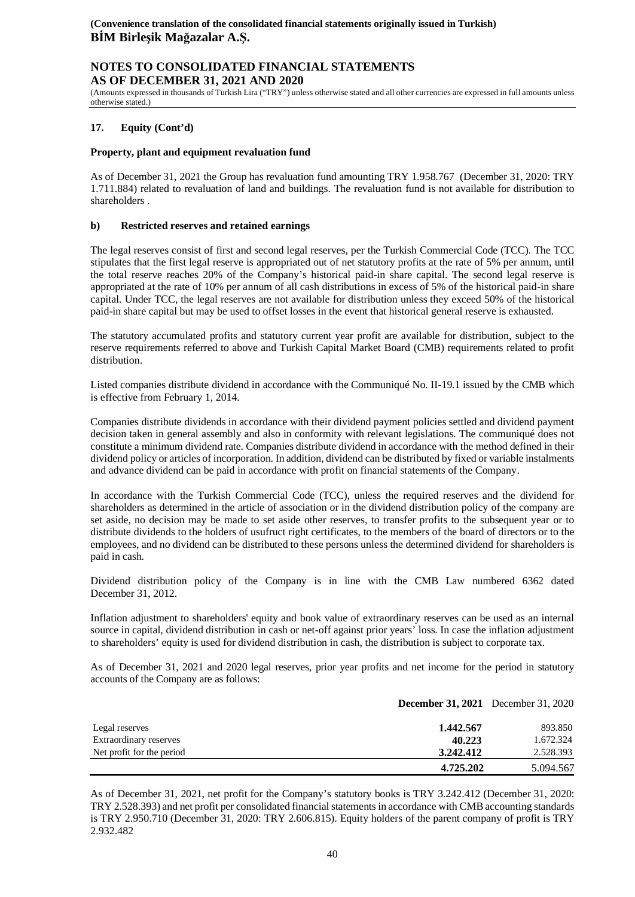## **NOTES TO CONSOLIDATED FINANCIAL STATEMENTS AS OF DECEMBER 31, 2021 AND 2020**

(Amounts expressed in thousands of Turkish Lira ("TRY") unless otherwise stated and all other currencies are expressed in full amounts unless otherwise stated.)

#### **17. Equity (Cont'd)**

#### **Property, plant and equipment revaluation fund**

As of December 31, 2021 the Group has revaluation fund amounting TRY 1.958.767 (December 31, 2020: TRY 1.711.884) related to revaluation of land and buildings. The revaluation fund is not available for distribution to shareholders .

#### **b) Restricted reserves and retained earnings**

The legal reserves consist of first and second legal reserves, per the Turkish Commercial Code (TCC). The TCC stipulates that the first legal reserve is appropriated out of net statutory profits at the rate of 5% per annum, until the total reserve reaches 20% of the Company's historical paid-in share capital. The second legal reserve is appropriated at the rate of 10% per annum of all cash distributions in excess of 5% of the historical paid-in share capital. Under TCC, the legal reserves are not available for distribution unless they exceed 50% of the historical paid-in share capital but may be used to offset losses in the event that historical general reserve is exhausted.

The statutory accumulated profits and statutory current year profit are available for distribution, subject to the reserve requirements referred to above and Turkish Capital Market Board (CMB) requirements related to profit distribution.

Listed companies distribute dividend in accordance with the Communiqué No. II-19.1 issued by the CMB which is effective from February 1, 2014.

Companies distribute dividends in accordance with their dividend payment policies settled and dividend payment decision taken in general assembly and also in conformity with relevant legislations. The communiqué does not constitute a minimum dividend rate. Companies distribute dividend in accordance with the method defined in their dividend policy or articles of incorporation. In addition, dividend can be distributed by fixed or variable instalments and advance dividend can be paid in accordance with profit on financial statements of the Company.

In accordance with the Turkish Commercial Code (TCC), unless the required reserves and the dividend for shareholders as determined in the article of association or in the dividend distribution policy of the company are set aside, no decision may be made to set aside other reserves, to transfer profits to the subsequent year or to distribute dividends to the holders of usufruct right certificates, to the members of the board of directors or to the employees, and no dividend can be distributed to these persons unless the determined dividend for shareholders is paid in cash.

Dividend distribution policy of the Company is in line with the CMB Law numbered 6362 dated December 31, 2012.

Inflation adjustment to shareholders' equity and book value of extraordinary reserves can be used as an internal source in capital, dividend distribution in cash or net-off against prior years' loss. In case the inflation adjustment to shareholders' equity is used for dividend distribution in cash, the distribution is subject to corporate tax.

As of December 31, 2021 and 2020 legal reserves, prior year profits and net income for the period in statutory accounts of the Company are as follows:

|                           | <b>December 31, 2021</b> December 31, 2020 |           |
|---------------------------|--------------------------------------------|-----------|
| Legal reserves            | 1.442.567                                  | 893.850   |
| Extraordinary reserves    | 40.223                                     | 1.672.324 |
| Net profit for the period | 3.242.412                                  | 2.528.393 |
|                           | 4.725.202                                  | 5.094.567 |

As of December 31, 2021, net profit for the Company's statutory books is TRY 3.242.412 (December 31, 2020: TRY 2.528.393) and net profit per consolidated financial statements in accordance with CMB accounting standards is TRY 2.950.710 (December 31, 2020: TRY 2.606.815). Equity holders of the parent company of profit is TRY 2.932.482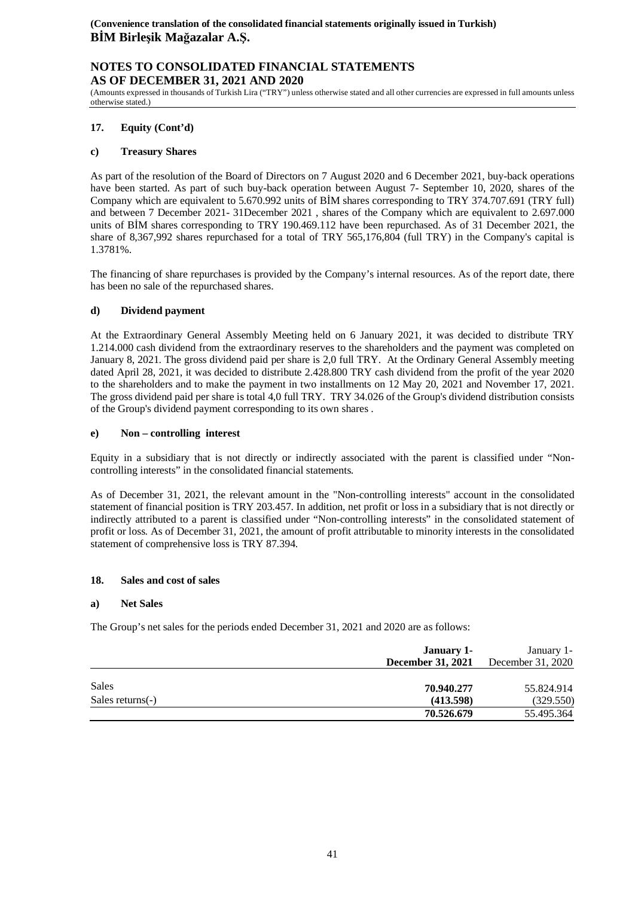## **NOTES TO CONSOLIDATED FINANCIAL STATEMENTS AS OF DECEMBER 31, 2021 AND 2020**

(Amounts expressed in thousands of Turkish Lira ("TRY") unless otherwise stated and all other currencies are expressed in full amounts unless otherwise stated.)

## **17. Equity (Cont'd)**

#### **c) Treasury Shares**

As part of the resolution of the Board of Directors on 7 August 2020 and 6 December 2021, buy-back operations have been started. As part of such buy-back operation between August 7- September 10, 2020, shares of the Company which are equivalent to 5.670.992 units of BİM shares corresponding to TRY 374.707.691 (TRY full) and between 7 December 2021- 31December 2021 , shares of the Company which are equivalent to 2.697.000 units of BİM shares corresponding to TRY 190.469.112 have been repurchased. As of 31 December 2021, the share of 8,367,992 shares repurchased for a total of TRY 565,176,804 (full TRY) in the Company's capital is 1.3781%.

The financing of share repurchases is provided by the Company's internal resources. As of the report date, there has been no sale of the repurchased shares.

## **d) Dividend payment**

At the Extraordinary General Assembly Meeting held on 6 January 2021, it was decided to distribute TRY 1.214.000 cash dividend from the extraordinary reserves to the shareholders and the payment was completed on January 8, 2021. The gross dividend paid per share is 2,0 full TRY. At the Ordinary General Assembly meeting dated April 28, 2021, it was decided to distribute 2.428.800 TRY cash dividend from the profit of the year 2020 to the shareholders and to make the payment in two installments on 12 May 20, 2021 and November 17, 2021. The gross dividend paid per share is total 4,0 full TRY. TRY 34.026 of the Group's dividend distribution consists of the Group's dividend payment corresponding to its own shares .

#### **e) Non – controlling interest**

Equity in a subsidiary that is not directly or indirectly associated with the parent is classified under "Noncontrolling interests" in the consolidated financial statements.

As of December 31, 2021, the relevant amount in the "Non-controlling interests" account in the consolidated statement of financial position is TRY 203.457. In addition, net profit or loss in a subsidiary that is not directly or indirectly attributed to a parent is classified under "Non-controlling interests" in the consolidated statement of profit or loss. As of December 31, 2021, the amount of profit attributable to minority interests in the consolidated statement of comprehensive loss is TRY 87.394.

#### **18. Sales and cost of sales**

#### **a) Net Sales**

The Group's net sales for the periods ended December 31, 2021 and 2020 are as follows:

|                     | January 1-<br><b>December 31, 2021</b> | January 1-<br>December 31, 2020 |
|---------------------|----------------------------------------|---------------------------------|
| Sales               | 70.940.277                             | 55.824.914                      |
| Sales returns $(-)$ | (413.598)                              | (329.550)                       |
|                     | 70.526.679                             | 55.495.364                      |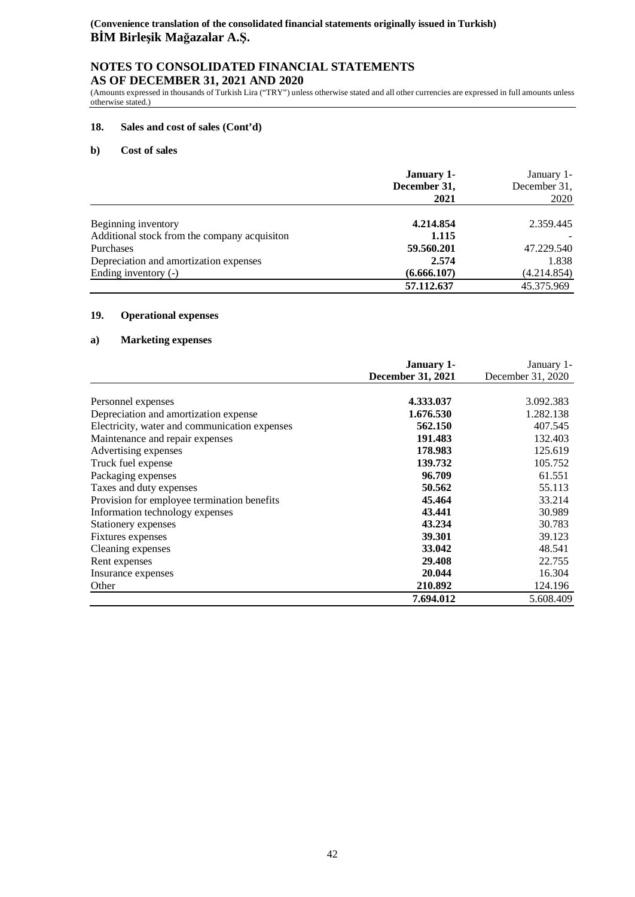## **NOTES TO CONSOLIDATED FINANCIAL STATEMENTS AS OF DECEMBER 31, 2021 AND 2020**

(Amounts expressed in thousands of Turkish Lira ("TRY") unless otherwise stated and all other currencies are expressed in full amounts unless otherwise stated.)

## **18. Sales and cost of sales (Cont'd)**

#### **b) Cost of sales**

|                                              | <b>January 1-</b><br>December 31,<br>2021 | January 1-<br>December 31,<br>2020 |
|----------------------------------------------|-------------------------------------------|------------------------------------|
|                                              |                                           |                                    |
| Beginning inventory                          | 4.214.854                                 | 2.359.445                          |
| Additional stock from the company acquisiton | 1.115                                     |                                    |
| <b>Purchases</b>                             | 59.560.201                                | 47.229.540                         |
| Depreciation and amortization expenses       | 2.574                                     | 1.838                              |
| Ending inventory (-)                         | (6.666.107)                               | (4.214.854)                        |
|                                              | 57.112.637                                | 45.375.969                         |

## **19. Operational expenses**

#### **a) Marketing expenses**

|                                               | January 1-        | January 1-        |
|-----------------------------------------------|-------------------|-------------------|
|                                               | December 31, 2021 | December 31, 2020 |
|                                               |                   |                   |
| Personnel expenses                            | 4.333.037         | 3.092.383         |
| Depreciation and amortization expense         | 1.676.530         | 1.282.138         |
| Electricity, water and communication expenses | 562.150           | 407.545           |
| Maintenance and repair expenses               | 191.483           | 132.403           |
| Advertising expenses                          | 178.983           | 125.619           |
| Truck fuel expense                            | 139.732           | 105.752           |
| Packaging expenses                            | 96.709            | 61.551            |
| Taxes and duty expenses                       | 50.562            | 55.113            |
| Provision for employee termination benefits   | 45.464            | 33.214            |
| Information technology expenses               | 43.441            | 30.989            |
| Stationery expenses                           | 43.234            | 30.783            |
| Fixtures expenses                             | 39.301            | 39.123            |
| Cleaning expenses                             | 33.042            | 48.541            |
| Rent expenses                                 | 29.408            | 22.755            |
| Insurance expenses                            | 20.044            | 16.304            |
| Other                                         | 210.892           | 124.196           |
|                                               | 7.694.012         | 5.608.409         |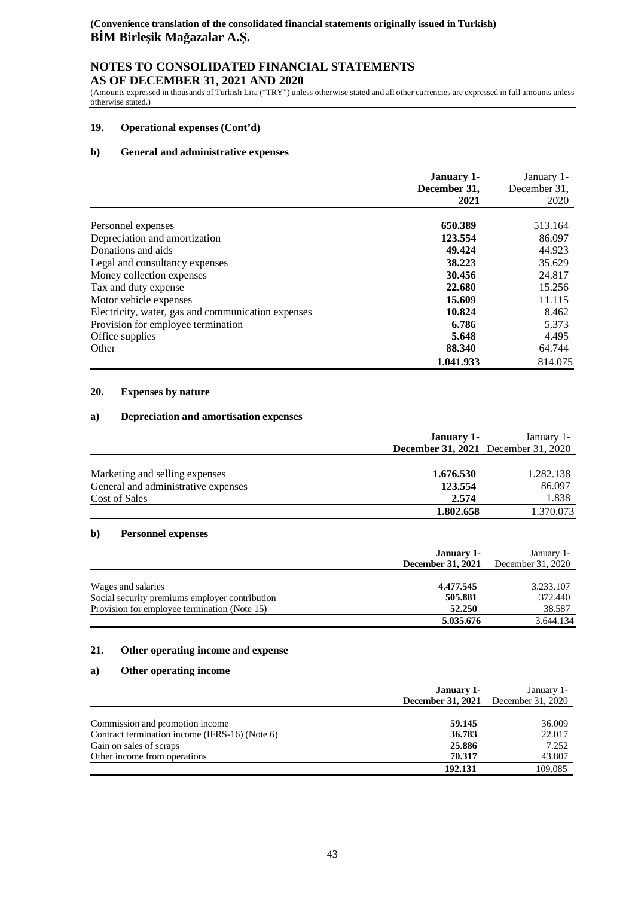## **NOTES TO CONSOLIDATED FINANCIAL STATEMENTS AS OF DECEMBER 31, 2021 AND 2020**

(Amounts expressed in thousands of Turkish Lira ("TRY") unless otherwise stated and all other currencies are expressed in full amounts unless otherwise stated.)

#### **19. Operational expenses (Cont'd)**

#### **b) General and administrative expenses**

|                                                    | <b>January 1-</b><br>December 31,<br>2021 | January 1-<br>December 31,<br>2020 |
|----------------------------------------------------|-------------------------------------------|------------------------------------|
|                                                    |                                           |                                    |
| Personnel expenses                                 | 650.389                                   | 513.164                            |
| Depreciation and amortization                      | 123.554                                   | 86.097                             |
| Donations and aids                                 | 49.424                                    | 44.923                             |
| Legal and consultancy expenses                     | 38.223                                    | 35.629                             |
| Money collection expenses                          | 30.456                                    | 24.817                             |
| Tax and duty expense                               | 22.680                                    | 15.256                             |
| Motor vehicle expenses                             | 15.609                                    | 11.115                             |
| Electricity, water, gas and communication expenses | 10.824                                    | 8.462                              |
| Provision for employee termination                 | 6.786                                     | 5.373                              |
| Office supplies                                    | 5.648                                     | 4.495                              |
| Other                                              | 88.340                                    | 64.744                             |
|                                                    | 1.041.933                                 | 814.075                            |

#### **20. Expenses by nature**

#### **a) Depreciation and amortisation expenses**

|                                     | <b>January 1-</b> | January 1-                                 |
|-------------------------------------|-------------------|--------------------------------------------|
|                                     |                   | <b>December 31, 2021</b> December 31, 2020 |
|                                     |                   |                                            |
| Marketing and selling expenses      | 1.676.530         | 1.282.138                                  |
| General and administrative expenses | 123.554           | 86.097                                     |
| Cost of Sales                       | 2.574             | 1.838                                      |
|                                     | 1.802.658         | 1.370.073                                  |

#### **b) Personnel expenses**

|                                                | <b>January 1-</b><br>December 31, 2021 | January 1-<br>December 31, 2020 |
|------------------------------------------------|----------------------------------------|---------------------------------|
| Wages and salaries                             | 4.477.545                              | 3.233.107                       |
| Social security premiums employer contribution | 505.881                                | 372.440                         |
| Provision for employee termination (Note 15)   | 52.250                                 | 38.587                          |
|                                                | 5.035.676                              | 3.644.134                       |

## **21. Other operating income and expense**

## **a) Other operating income**

|                                                | <b>January 1-</b><br>December 31, 2021 | January 1-<br>December 31, 2020 |
|------------------------------------------------|----------------------------------------|---------------------------------|
| Commission and promotion income                | 59.145                                 | 36.009                          |
| Contract termination income (IFRS-16) (Note 6) | 36.783                                 | 22.017                          |
| Gain on sales of scraps                        | 25.886                                 | 7.252                           |
| Other income from operations                   | 70.317                                 | 43.807                          |
|                                                | 192.131                                | 109.085                         |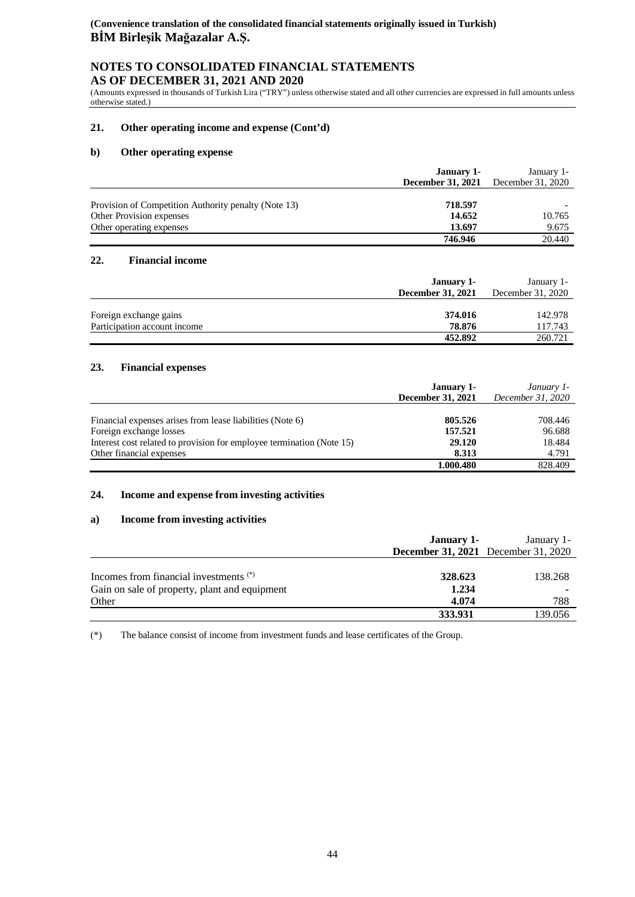## **NOTES TO CONSOLIDATED FINANCIAL STATEMENTS AS OF DECEMBER 31, 2021 AND 2020**

(Amounts expressed in thousands of Turkish Lira ("TRY") unless otherwise stated and all other currencies are expressed in full amounts unless otherwise stated.)

#### **21. Other operating income and expense (Cont'd)**

#### **b) Other operating expense**

|                                                      | <b>January 1-</b> | January 1-        |
|------------------------------------------------------|-------------------|-------------------|
|                                                      | December 31, 2021 | December 31, 2020 |
|                                                      |                   |                   |
| Provision of Competition Authority penalty (Note 13) | 718.597           |                   |
| Other Provision expenses                             | 14.652            | 10.765            |
| Other operating expenses                             | 13.697            | 9.675             |
|                                                      | 746.946           | 20.440            |
| 22.<br><b>Financial income</b>                       |                   |                   |
|                                                      | <b>January 1-</b> | January 1-        |
|                                                      | December 31, 2021 | December 31, 2020 |

|                              | $PCC$ $HDC$ $HCD$ | $Dcc$ cinoci 91. 2020 |
|------------------------------|-------------------|-----------------------|
|                              |                   |                       |
| Foreign exchange gains       | 374.016           | 142.978               |
| Participation account income | 78.876            | 117.743               |
|                              | 452.892           | 260.721               |

#### **23. Financial expenses**

|                                                                       | <b>January 1-</b> | January 1-        |
|-----------------------------------------------------------------------|-------------------|-------------------|
|                                                                       | December 31, 2021 | December 31, 2020 |
|                                                                       |                   |                   |
| Financial expenses arises from lease liabilities (Note 6)             | 805.526           | 708.446           |
| Foreign exchange losses                                               | 157.521           | 96.688            |
| Interest cost related to provision for employee termination (Note 15) | 29.120            | 18.484            |
| Other financial expenses                                              | 8.313             | 4.791             |
|                                                                       | 1.000.480         | 828.409           |

### **24. Income and expense from investing activities**

#### **a) Income from investing activities**

|                                                   | January 1-                                 | January 1- |
|---------------------------------------------------|--------------------------------------------|------------|
|                                                   | <b>December 31, 2021</b> December 31, 2020 |            |
|                                                   |                                            |            |
| Incomes from financial investments <sup>(*)</sup> | 328.623                                    | 138.268    |
| Gain on sale of property, plant and equipment     | 1.234                                      |            |
| Other                                             | 4.074                                      | 788        |
|                                                   | 333.931                                    | 139.056    |

(\*) The balance consist of income from investment funds and lease certificates of the Group.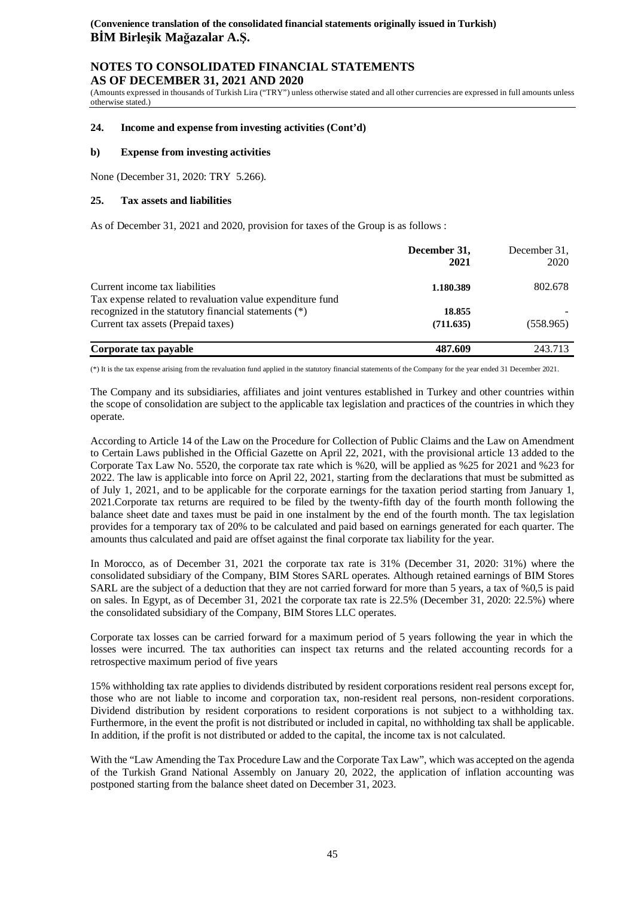## **NOTES TO CONSOLIDATED FINANCIAL STATEMENTS AS OF DECEMBER 31, 2021 AND 2020**

(Amounts expressed in thousands of Turkish Lira ("TRY") unless otherwise stated and all other currencies are expressed in full amounts unless otherwise stated.)

#### **24. Income and expense from investing activities (Cont'd)**

#### **b) Expense from investing activities**

None (December 31, 2020: TRY 5.266).

#### **25. Tax assets and liabilities**

As of December 31, 2021 and 2020, provision for taxes of the Group is as follows :

|                                                                                             | December 31,<br>2021 | December 31.<br>2020 |
|---------------------------------------------------------------------------------------------|----------------------|----------------------|
| Current income tax liabilities<br>Tax expense related to revaluation value expenditure fund | 1.180.389            | 802.678              |
| recognized in the statutory financial statements (*)                                        | 18.855               |                      |
| Current tax assets (Prepaid taxes)                                                          | (711.635)            | (558.965)            |
| Corporate tax payable                                                                       | 487.609              | 243.713              |

(\*) It is the tax expense arising from the revaluation fund applied in the statutory financial statements of the Company for the year ended 31 December 2021.

The Company and its subsidiaries, affiliates and joint ventures established in Turkey and other countries within the scope of consolidation are subject to the applicable tax legislation and practices of the countries in which they operate.

According to Article 14 of the Law on the Procedure for Collection of Public Claims and the Law on Amendment to Certain Laws published in the Official Gazette on April 22, 2021, with the provisional article 13 added to the Corporate Tax Law No. 5520, the corporate tax rate which is %20, will be applied as %25 for 2021 and %23 for 2022. The law is applicable into force on April 22, 2021, starting from the declarations that must be submitted as of July 1, 2021, and to be applicable for the corporate earnings for the taxation period starting from January 1, 2021.Corporate tax returns are required to be filed by the twenty-fifth day of the fourth month following the balance sheet date and taxes must be paid in one instalment by the end of the fourth month. The tax legislation provides for a temporary tax of 20% to be calculated and paid based on earnings generated for each quarter. The amounts thus calculated and paid are offset against the final corporate tax liability for the year.

In Morocco, as of December 31, 2021 the corporate tax rate is 31% (December 31, 2020: 31%) where the consolidated subsidiary of the Company, BIM Stores SARL operates. Although retained earnings of BIM Stores SARL are the subject of a deduction that they are not carried forward for more than 5 years, a tax of %0,5 is paid on sales. In Egypt, as of December 31, 2021 the corporate tax rate is 22.5% (December 31, 2020: 22.5%) where the consolidated subsidiary of the Company, BIM Stores LLC operates.

Corporate tax losses can be carried forward for a maximum period of 5 years following the year in which the losses were incurred. The tax authorities can inspect tax returns and the related accounting records for a retrospective maximum period of five years

15% withholding tax rate applies to dividends distributed by resident corporations resident real persons except for, those who are not liable to income and corporation tax, non-resident real persons, non-resident corporations. Dividend distribution by resident corporations to resident corporations is not subject to a withholding tax. Furthermore, in the event the profit is not distributed or included in capital, no withholding tax shall be applicable. In addition, if the profit is not distributed or added to the capital, the income tax is not calculated.

With the "Law Amending the Tax Procedure Law and the Corporate Tax Law", which was accepted on the agenda of the Turkish Grand National Assembly on January 20, 2022, the application of inflation accounting was postponed starting from the balance sheet dated on December 31, 2023.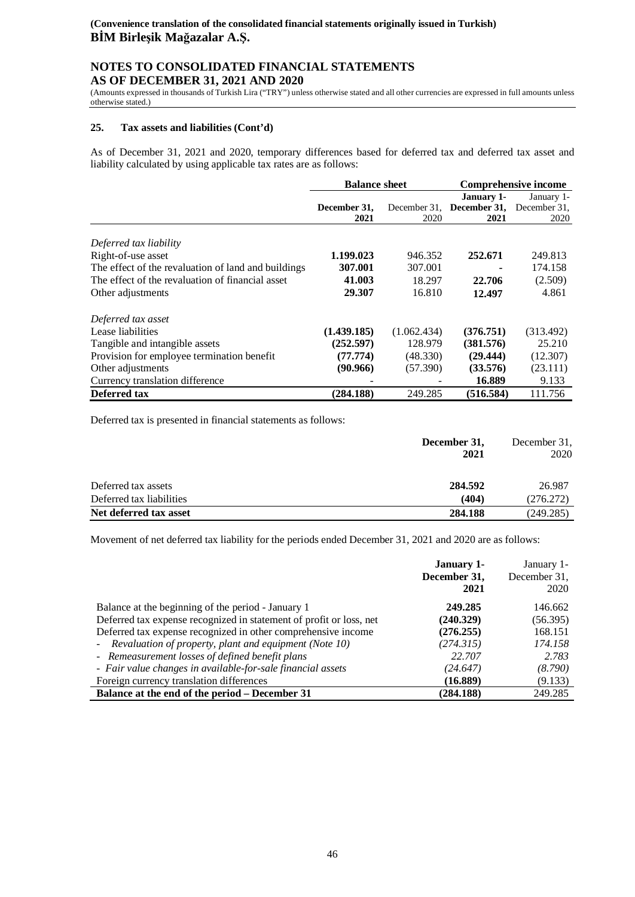## **NOTES TO CONSOLIDATED FINANCIAL STATEMENTS AS OF DECEMBER 31, 2021 AND 2020**

(Amounts expressed in thousands of Turkish Lira ("TRY") unless otherwise stated and all other currencies are expressed in full amounts unless otherwise stated.)

#### **25. Tax assets and liabilities (Cont'd)**

As of December 31, 2021 and 2020, temporary differences based for deferred tax and deferred tax asset and liability calculated by using applicable tax rates are as follows:

|                                                     | <b>Balance sheet</b> |              | <b>Comprehensive income</b> |              |
|-----------------------------------------------------|----------------------|--------------|-----------------------------|--------------|
|                                                     |                      |              | <b>January 1-</b>           | January 1-   |
|                                                     | December 31,         | December 31, | December 31,                | December 31. |
|                                                     | 2021                 | 2020         | 2021                        | 2020         |
| Deferred tax liability                              |                      |              |                             |              |
| Right-of-use asset                                  | 1.199.023            | 946.352      | 252.671                     | 249.813      |
| The effect of the revaluation of land and buildings | 307.001              | 307.001      | ۰                           | 174.158      |
| The effect of the revaluation of financial asset    | 41.003               | 18.297       | 22.706                      | (2.509)      |
| Other adjustments                                   | 29.307               | 16.810       | 12.497                      | 4.861        |
| Deferred tax asset                                  |                      |              |                             |              |
| Lease liabilities                                   | (1.439.185)          | (1.062.434)  | (376.751)                   | (313.492)    |
| Tangible and intangible assets                      | (252.597)            | 128.979      | (381.576)                   | 25.210       |
| Provision for employee termination benefit          | (77.774)             | (48.330)     | (29.444)                    | (12.307)     |
| Other adjustments                                   | (90.966)             | (57.390)     | (33.576)                    | (23.111)     |
| Currency translation difference                     |                      |              | 16.889                      | 9.133        |
| Deferred tax                                        | (284.188)            | 249.285      | (516.584)                   | 111.756      |

Deferred tax is presented in financial statements as follows:

|                          | December 31,<br>2021 | December 31,<br>2020 |
|--------------------------|----------------------|----------------------|
| Deferred tax assets      | 284.592              | 26.987               |
| Deferred tax liabilities | (404)                | (276.272)            |
| Net deferred tax asset   | 284.188              | (249.285)            |

Movement of net deferred tax liability for the periods ended December 31, 2021 and 2020 are as follows:

|                                                                     | <b>January 1-</b><br>December 31,<br>2021 | January 1-<br>December 31,<br>2020 |
|---------------------------------------------------------------------|-------------------------------------------|------------------------------------|
| Balance at the beginning of the period - January 1                  | 249.285                                   | 146.662                            |
| Deferred tax expense recognized in statement of profit or loss, net | (240.329)                                 | (56.395)                           |
| Deferred tax expense recognized in other comprehensive income       | (276.255)                                 | 168.151                            |
| Revaluation of property, plant and equipment (Note 10)<br>$\sim$    | (274.315)                                 | 174.158                            |
| - Remeasurement losses of defined benefit plans                     | 22.707                                    | 2.783                              |
| - Fair value changes in available-for-sale financial assets         | (24.647)                                  | (8.790)                            |
| Foreign currency translation differences                            | (16.889)                                  | (9.133)                            |
| Balance at the end of the period – December 31                      | (284.188)                                 | 249.285                            |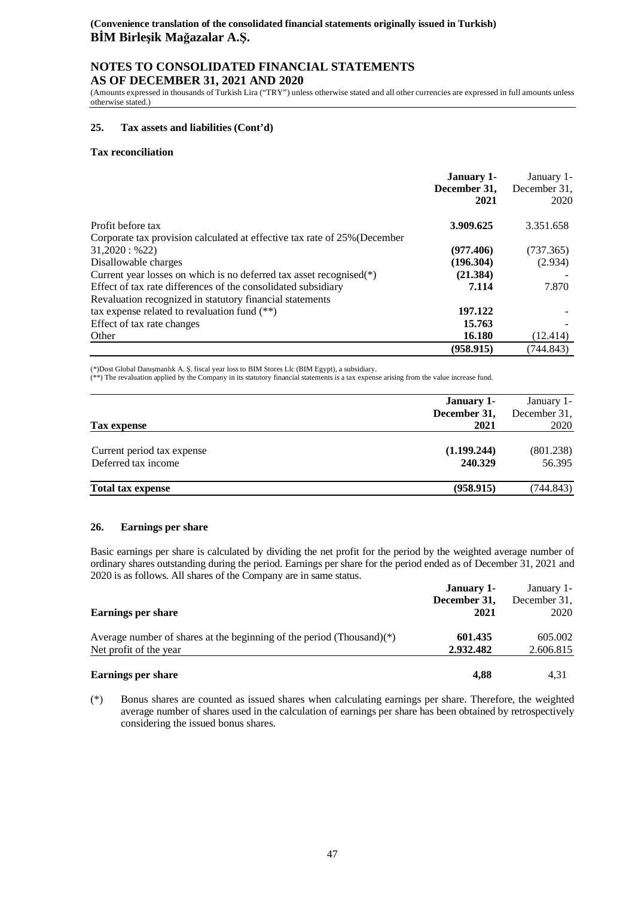## **NOTES TO CONSOLIDATED FINANCIAL STATEMENTS AS OF DECEMBER 31, 2021 AND 2020**

(Amounts expressed in thousands of Turkish Lira ("TRY") unless otherwise stated and all other currencies are expressed in full amounts unless otherwise stated.)

#### **25. Tax assets and liabilities (Cont'd)**

#### **Tax reconciliation**

|                                                                           | <b>January 1-</b><br>December 31,<br>2021 | January 1-<br>December 31,<br>2020 |
|---------------------------------------------------------------------------|-------------------------------------------|------------------------------------|
| Profit before tax                                                         | 3.909.625                                 | 3.351.658                          |
| Corporate tax provision calculated at effective tax rate of 25% (December |                                           |                                    |
| 31,2020: %22)                                                             | (977.406)                                 | (737.365)                          |
| Disallowable charges                                                      | (196.304)                                 | (2.934)                            |
| Current year losses on which is no deferred tax asset recognised $(*)$    | (21.384)                                  |                                    |
| Effect of tax rate differences of the consolidated subsidiary             | 7.114                                     | 7.870                              |
| Revaluation recognized in statutory financial statements                  |                                           |                                    |
| tax expense related to revaluation fund $(**)$                            | 197.122                                   |                                    |
| Effect of tax rate changes                                                | 15.763                                    |                                    |
| Other                                                                     | 16.180                                    | (12.414)                           |
|                                                                           | (958.915)                                 | (744.843)                          |

(\*)Dost Global Danışmanlık A. Ş. fiscal year loss to BIM Stores Llc (BIM Egypt), a subsidiary.

(\*\*) The revaluation applied by the Company in its statutory financial statements is a tax expense arising from the value increase fund.

| Tax expense                                       | <b>January 1-</b><br>December 31,<br>2021 | January 1-<br>December 31,<br>2020 |
|---------------------------------------------------|-------------------------------------------|------------------------------------|
| Current period tax expense<br>Deferred tax income | (1.199.244)<br>240.329                    | (801.238)<br>56.395                |
| <b>Total tax expense</b>                          | (958.915)                                 | (744.843)                          |

#### **26. Earnings per share**

Basic earnings per share is calculated by dividing the net profit for the period by the weighted average number of ordinary shares outstanding during the period. Earnings per share for the period ended as of December 31, 2021 and 2020 is as follows. All shares of the Company are in same status.

|                                                                          | <b>January 1-</b> | January 1-   |
|--------------------------------------------------------------------------|-------------------|--------------|
|                                                                          | December 31,      | December 31, |
| <b>Earnings per share</b>                                                | 2021              | 2020         |
| Average number of shares at the beginning of the period (Thousand) $(*)$ | 601.435           | 605.002      |
| Net profit of the year                                                   | 2.932.482         | 2.606.815    |
| <b>Earnings per share</b>                                                | 4.88              | 4.31         |

(\*) Bonus shares are counted as issued shares when calculating earnings per share. Therefore, the weighted average number of shares used in the calculation of earnings per share has been obtained by retrospectively considering the issued bonus shares.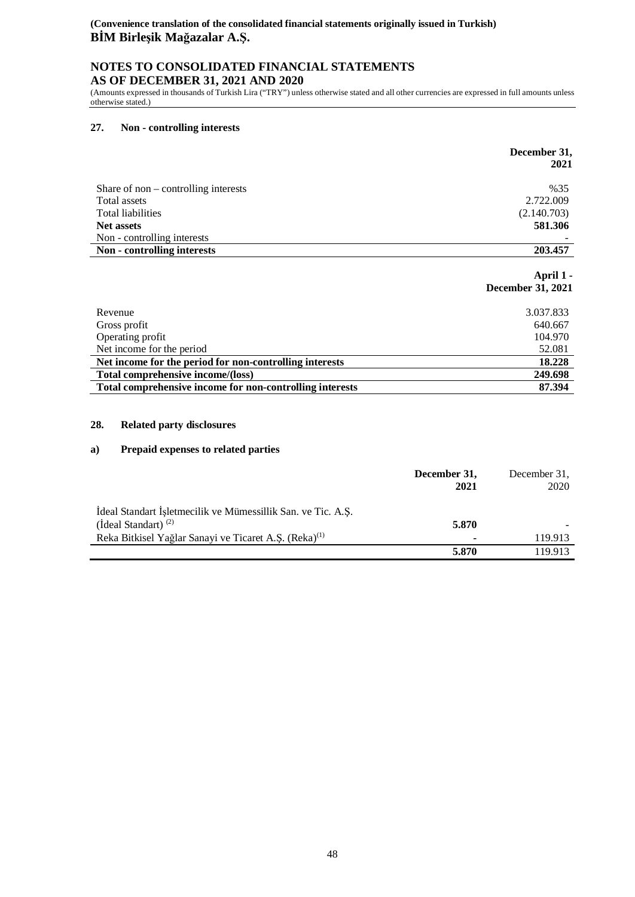## **NOTES TO CONSOLIDATED FINANCIAL STATEMENTS AS OF DECEMBER 31, 2021 AND 2020**

(Amounts expressed in thousands of Turkish Lira ("TRY") unless otherwise stated and all other currencies are expressed in full amounts unless otherwise stated.)

#### **27. Non - controlling interests**

|                                                          | December 31,<br>2021           |
|----------------------------------------------------------|--------------------------------|
| Share of non $-$ controlling interests                   | %35                            |
| Total assets                                             | 2.722.009                      |
| <b>Total liabilities</b>                                 | (2.140.703)                    |
| <b>Net assets</b>                                        | 581.306                        |
| Non - controlling interests                              |                                |
| Non - controlling interests                              | 203.457                        |
|                                                          | April 1 -<br>December 31, 2021 |
| Revenue                                                  | 3.037.833                      |
| Gross profit                                             | 640.667                        |
| Operating profit                                         | 104.970                        |
| Net income for the period                                | 52.081                         |
| Net income for the period for non-controlling interests  | 18.228                         |
| Total comprehensive income/(loss)                        | 249.698                        |
| Total comprehensive income for non-controlling interests | 87.394                         |

#### **28. Related party disclosures**

#### **a) Prepaid expenses to related parties**

|                                                                                                                    | December 31,<br>2021 | December 31.<br>2020 |
|--------------------------------------------------------------------------------------------------------------------|----------------------|----------------------|
| Ideal Standart Isletmecilik ve Mümessillik San. ve Tic. A.Ş.<br>$($ Ideal Standart $)$ <sup><math>(2)</math></sup> | 5.870                |                      |
| Reka Bitkisel Yağlar Sanayi ve Ticaret A.S. (Reka) <sup>(1)</sup>                                                  | ۰                    | 119.913              |
|                                                                                                                    | 5.870                | 119 913              |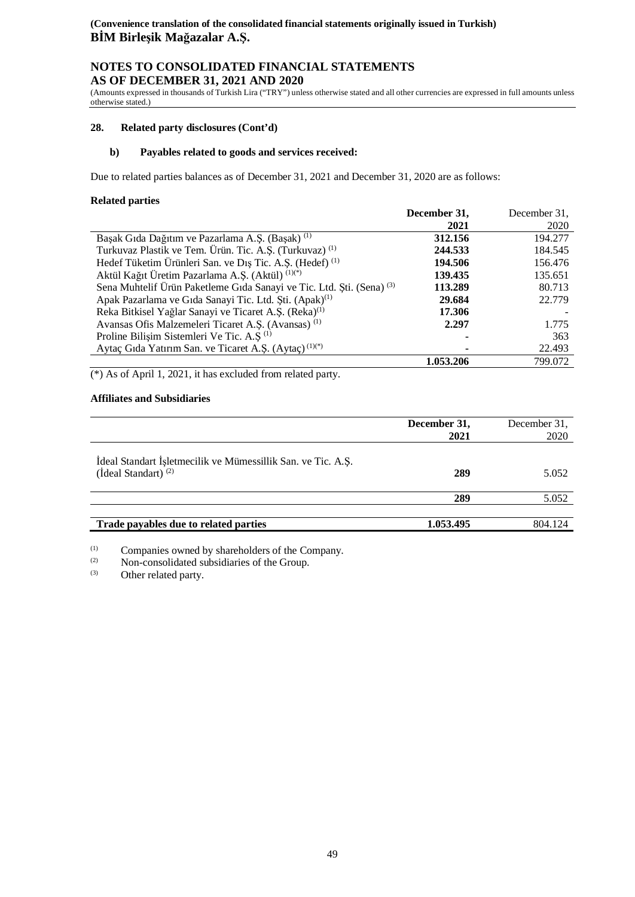## **NOTES TO CONSOLIDATED FINANCIAL STATEMENTS AS OF DECEMBER 31, 2021 AND 2020**

(Amounts expressed in thousands of Turkish Lira ("TRY") unless otherwise stated and all other currencies are expressed in full amounts unless otherwise stated.)

#### **28. Related party disclosures (Cont'd)**

#### **b) Payables related to goods and services received:**

Due to related parties balances as of December 31, 2021 and December 31, 2020 are as follows:

#### **Related parties**

|                                                                                  | December 31, | December 31, |
|----------------------------------------------------------------------------------|--------------|--------------|
|                                                                                  | 2021         | 2020         |
| Başak Gıda Dağıtım ve Pazarlama A.Ş. (Başak) <sup>(1)</sup>                      | 312.156      | 194.277      |
| Turkuvaz Plastik ve Tem. Ürün. Tic. A.Ş. (Turkuvaz) <sup>(1)</sup>               | 244.533      | 184.545      |
| Hedef Tüketim Ürünleri San. ve Dış Tic. A.Ş. (Hedef) <sup>(1)</sup>              | 194.506      | 156.476      |
| Aktül Kağıt Üretim Pazarlama A.Ş. (Aktül) <sup>(1)(*)</sup>                      | 139.435      | 135.651      |
| Sena Muhtelif Ürün Paketleme Gıda Sanayi ve Tic. Ltd. Şti. (Sena) <sup>(3)</sup> | 113.289      | 80.713       |
| Apak Pazarlama ve Gıda Sanayi Tic. Ltd. Şti. (Apak) <sup>(1)</sup>               | 29.684       | 22.779       |
| Reka Bitkisel Yağlar Sanayi ve Ticaret A.Ş. (Reka) <sup>(1)</sup>                | 17.306       |              |
| Avansas Ofis Malzemeleri Ticaret A.Ş. (Avansas) <sup>(1)</sup>                   | 2.297        | 1.775        |
| Proline Bilişim Sistemleri Ve Tic. A.Ş <sup>(1)</sup>                            |              | 363          |
| Aytaç Gıda Yatırım San. ve Ticaret A.Ş. $(Aytaç)^{(1)(*)}$                       |              | 22.493       |
|                                                                                  | 1.053.206    | 799.072      |

 $(*)$  As of April 1, 2021, it has excluded from related party.

## **Affiliates and Subsidiaries**

|                                                                                                 | December 31,<br>2021 | December 31,<br>2020 |
|-------------------------------------------------------------------------------------------------|----------------------|----------------------|
| Ideal Standart Isletmecilik ve Mümessillik San. ve Tic. A.Ş.<br>(İdeal Standart) <sup>(2)</sup> | 289                  | 5.052                |
|                                                                                                 | 289                  | 5.052                |
| Trade payables due to related parties                                                           | 1.053.495            | 804.124              |

(1) Companies owned by shareholders of the Company.<br>
Non-consolidated subsidiaries of the Group.

(2) Non-consolidated subsidiaries of the Group.<br>
(3) Other related party

Other related party.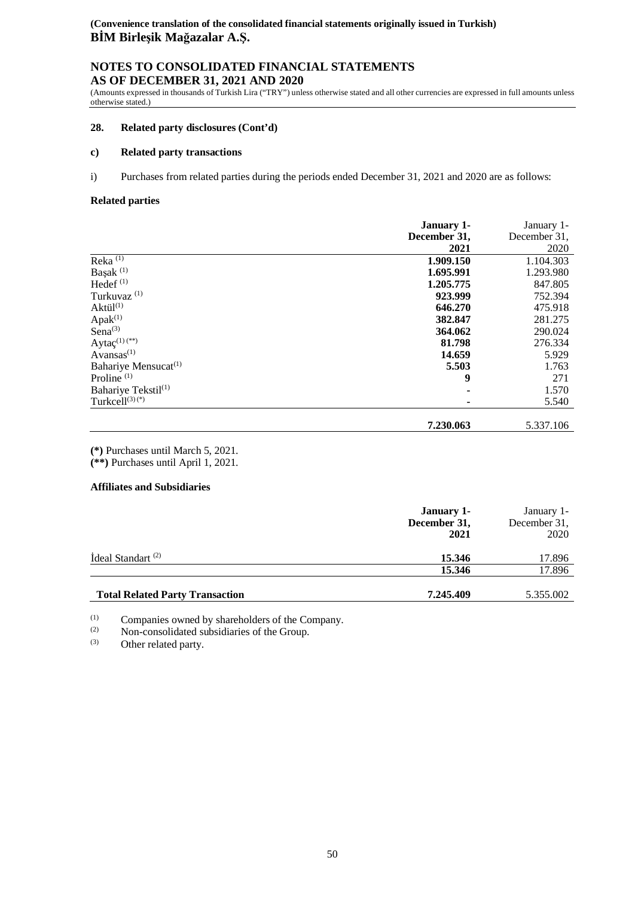## **NOTES TO CONSOLIDATED FINANCIAL STATEMENTS AS OF DECEMBER 31, 2021 AND 2020**

(Amounts expressed in thousands of Turkish Lira ("TRY") unless otherwise stated and all other currencies are expressed in full amounts unless otherwise stated.)

#### **28. Related party disclosures (Cont'd)**

#### **c) Related party transactions**

i) Purchases from related parties during the periods ended December 31, 2021 and 2020 are as follows:

#### **Related parties**

|                                  | <b>January 1-</b> | January 1-   |
|----------------------------------|-------------------|--------------|
|                                  | December 31,      | December 31, |
|                                  | 2021              | 2020         |
| Reka $\overline{^{(1)}}$         | 1.909.150         | 1.104.303    |
| Başak <sup>(1)</sup>             | 1.695.991         | 1.293.980    |
| Hedef <sup>(1)</sup>             | 1.205.775         | 847.805      |
| Turkuvaz <sup>(1)</sup>          | 923.999           | 752.394      |
| $Aktii1^{(1)}$                   | 646.270           | 475.918      |
| $Apak^{(1)}$                     | 382.847           | 281.275      |
| Sena $^{(3)}$                    | 364.062           | 290.024      |
| Ayta $\varsigma^{(1)(**)}$       | 81.798            | 276.334      |
| Avansas $(1)$                    | 14.659            | 5.929        |
| Bahariye Mensucat <sup>(1)</sup> | 5.503             | 1.763        |
| Proline <sup>(1)</sup>           | 9                 | 271          |
| Bahariye Tekstil <sup>(1)</sup>  | ۰                 | 1.570        |
| Turkcell $(3)$ $(*)$             | ٠                 | 5.540        |
|                                  | 7.230.063         | 5.337.106    |

**(\*)** Purchases until March 5, 2021. **(\*\*)** Purchases until April 1, 2021.

#### **Affiliates and Subsidiaries**

|                                        | <b>January 1-</b><br>December 31,<br>2021 | January 1-<br>December 31,<br>2020 |
|----------------------------------------|-------------------------------------------|------------------------------------|
| Ideal Standart <sup>(2)</sup>          | 15.346                                    | 17.896                             |
|                                        | 15.346                                    | 17.896                             |
| <b>Total Related Party Transaction</b> | 7.245.409                                 | 5.355.002                          |

 $\frac{(1)}{(2)}$  Companies owned by shareholders of the Company.<br>
Non-consolidated subsidiaries of the Group

(2) Non-consolidated subsidiaries of the Group.<br>
(3) Other related party

Other related party.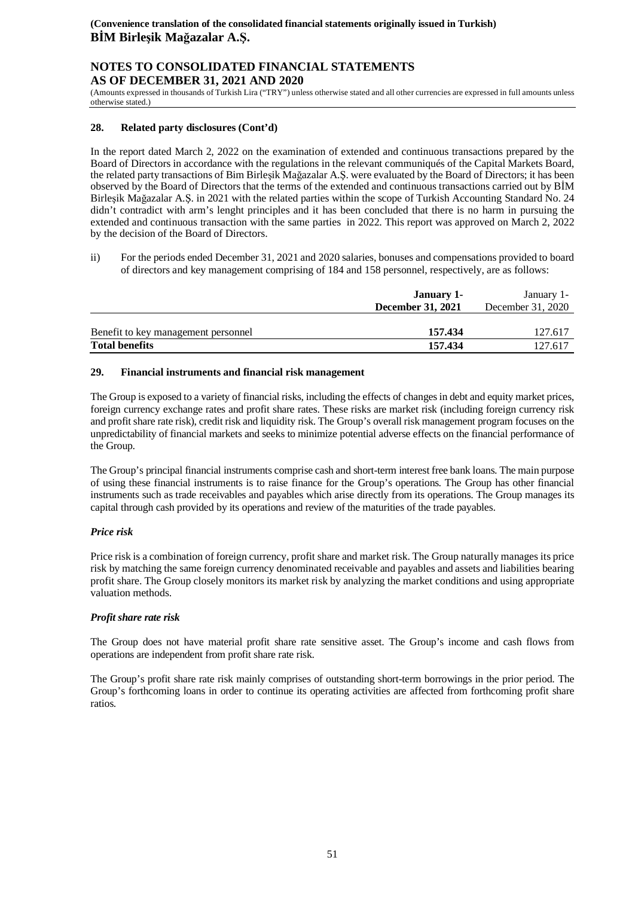## **NOTES TO CONSOLIDATED FINANCIAL STATEMENTS AS OF DECEMBER 31, 2021 AND 2020**

(Amounts expressed in thousands of Turkish Lira ("TRY") unless otherwise stated and all other currencies are expressed in full amounts unless otherwise stated.)

## **28. Related party disclosures (Cont'd)**

In the report dated March 2, 2022 on the examination of extended and continuous transactions prepared by the Board of Directors in accordance with the regulations in the relevant communiqués of the Capital Markets Board, the related party transactions of Bim Birleşik Mağazalar A.Ş. were evaluated by the Board of Directors; it has been observed by the Board of Directors that the terms of the extended and continuous transactions carried out by BİM Birleşik Mağazalar A.Ş. in 2021 with the related parties within the scope of Turkish Accounting Standard No. 24 didn't contradict with arm's lenght principles and it has been concluded that there is no harm in pursuing the extended and continuous transaction with the same parties in 2022. This report was approved on March 2, 2022 by the decision of the Board of Directors.

ii) For the periods ended December 31, 2021 and 2020 salaries, bonuses and compensations provided to board of directors and key management comprising of 184 and 158 personnel, respectively, are as follows:

|                                     | January 1-<br>December 31, 2021 | January 1-<br>December 31, 2020 |
|-------------------------------------|---------------------------------|---------------------------------|
| Benefit to key management personnel | 157.434                         | 127.617                         |
| <b>Total benefits</b>               | 157.434                         | 127.617                         |

#### **29. Financial instruments and financial risk management**

The Group is exposed to a variety of financial risks, including the effects of changes in debt and equity market prices, foreign currency exchange rates and profit share rates. These risks are market risk (including foreign currency risk and profit share rate risk), credit risk and liquidity risk. The Group's overall risk management program focuses on the unpredictability of financial markets and seeks to minimize potential adverse effects on the financial performance of the Group.

The Group's principal financial instruments comprise cash and short-term interest free bank loans. The main purpose of using these financial instruments is to raise finance for the Group's operations. The Group has other financial instruments such as trade receivables and payables which arise directly from its operations. The Group manages its capital through cash provided by its operations and review of the maturities of the trade payables.

#### *Price risk*

Price risk is a combination of foreign currency, profit share and market risk. The Group naturally manages its price risk by matching the same foreign currency denominated receivable and payables and assets and liabilities bearing profit share. The Group closely monitors its market risk by analyzing the market conditions and using appropriate valuation methods.

#### *Profit share rate risk*

The Group does not have material profit share rate sensitive asset. The Group's income and cash flows from operations are independent from profit share rate risk.

The Group's profit share rate risk mainly comprises of outstanding short-term borrowings in the prior period. The Group's forthcoming loans in order to continue its operating activities are affected from forthcoming profit share ratios.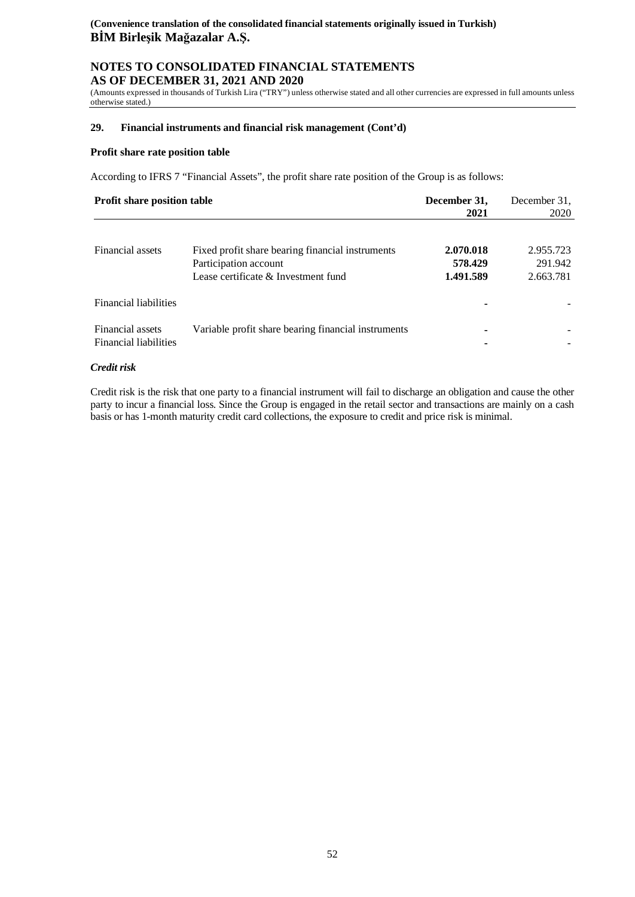## **NOTES TO CONSOLIDATED FINANCIAL STATEMENTS AS OF DECEMBER 31, 2021 AND 2020**

(Amounts expressed in thousands of Turkish Lira ("TRY") unless otherwise stated and all other currencies are expressed in full amounts unless otherwise stated.)

#### **29. Financial instruments and financial risk management (Cont'd)**

#### **Profit share rate position table**

According to IFRS 7 "Financial Assets", the profit share rate position of the Group is as follows:

| <b>Profit share position table</b>               |                                                                                                                  | December 31,<br>2021              | December 31,<br>2020              |
|--------------------------------------------------|------------------------------------------------------------------------------------------------------------------|-----------------------------------|-----------------------------------|
| Financial assets                                 | Fixed profit share bearing financial instruments<br>Participation account<br>Lease certificate & Investment fund | 2.070.018<br>578.429<br>1.491.589 | 2.955.723<br>291.942<br>2.663.781 |
| <b>Financial liabilities</b>                     |                                                                                                                  |                                   |                                   |
| Financial assets<br><b>Financial liabilities</b> | Variable profit share bearing financial instruments                                                              |                                   |                                   |

#### *Credit risk*

Credit risk is the risk that one party to a financial instrument will fail to discharge an obligation and cause the other party to incur a financial loss. Since the Group is engaged in the retail sector and transactions are mainly on a cash basis or has 1-month maturity credit card collections, the exposure to credit and price risk is minimal.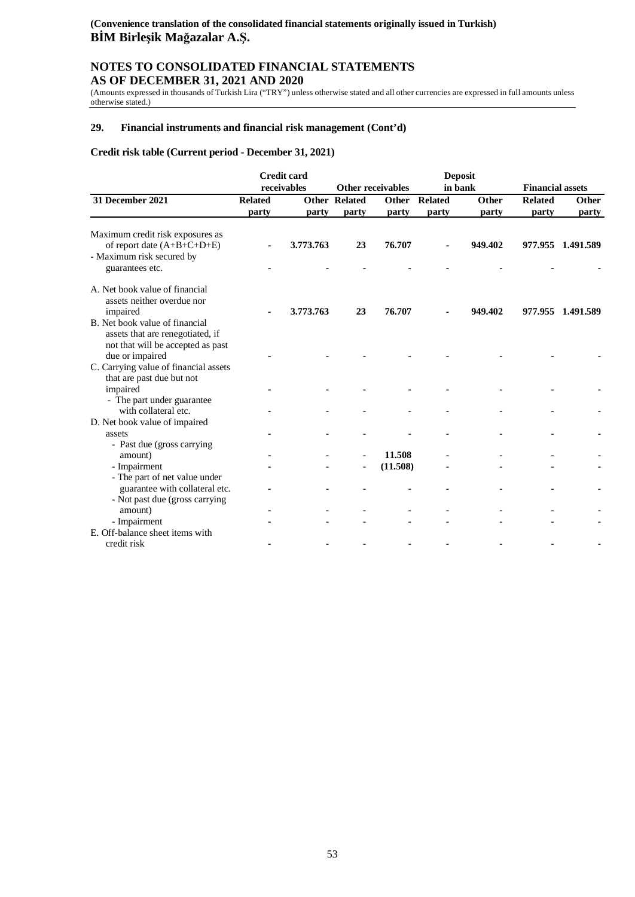## **NOTES TO CONSOLIDATED FINANCIAL STATEMENTS AS OF DECEMBER 31, 2021 AND 2020**

(Amounts expressed in thousands of Turkish Lira ("TRY") unless otherwise stated and all other currencies are expressed in full amounts unless otherwise stated.)

## **29. Financial instruments and financial risk management (Cont'd)**

## **Credit risk table (Current period - December 31, 2021)**

|                                       |                | <b>Credit card</b> |                      |                          |                | <b>Deposit</b> |                         |                   |
|---------------------------------------|----------------|--------------------|----------------------|--------------------------|----------------|----------------|-------------------------|-------------------|
|                                       |                | receivables        |                      | <b>Other receivables</b> |                | in bank        | <b>Financial assets</b> |                   |
| 31 December 2021                      | <b>Related</b> |                    | <b>Other Related</b> | Other                    | <b>Related</b> | Other          | <b>Related</b>          | Other             |
|                                       | party          | party              | party                | party                    | party          | party          | party                   | party             |
|                                       |                |                    |                      |                          |                |                |                         |                   |
| Maximum credit risk exposures as      |                |                    |                      |                          |                |                |                         |                   |
| of report date (A+B+C+D+E)            |                | 3.773.763          | 23                   | 76.707                   |                | 949.402        |                         | 977.955 1.491.589 |
| - Maximum risk secured by             |                |                    |                      |                          |                |                |                         |                   |
| guarantees etc.                       |                |                    |                      |                          |                |                |                         |                   |
| A. Net book value of financial        |                |                    |                      |                          |                |                |                         |                   |
| assets neither overdue nor            |                |                    |                      |                          |                |                |                         |                   |
| impaired                              |                | 3.773.763          | 23                   | 76.707                   |                | 949.402        |                         | 977.955 1.491.589 |
| B. Net book value of financial        |                |                    |                      |                          |                |                |                         |                   |
| assets that are renegotiated, if      |                |                    |                      |                          |                |                |                         |                   |
| not that will be accepted as past     |                |                    |                      |                          |                |                |                         |                   |
| due or impaired                       |                |                    |                      |                          |                |                |                         |                   |
| C. Carrying value of financial assets |                |                    |                      |                          |                |                |                         |                   |
| that are past due but not             |                |                    |                      |                          |                |                |                         |                   |
| impaired                              |                |                    |                      |                          |                |                |                         |                   |
| - The part under guarantee            |                |                    |                      |                          |                |                |                         |                   |
| with collateral etc.                  |                |                    |                      |                          |                |                |                         |                   |
| D. Net book value of impaired         |                |                    |                      |                          |                |                |                         |                   |
|                                       |                |                    |                      |                          |                |                |                         |                   |
| assets                                |                |                    |                      |                          |                |                |                         |                   |
| - Past due (gross carrying            |                |                    |                      | 11.508                   |                |                |                         |                   |
| amount)                               |                |                    |                      |                          |                |                |                         |                   |
| - Impairment                          |                |                    |                      | (11.508)                 |                |                |                         |                   |
| - The part of net value under         |                |                    |                      |                          |                |                |                         |                   |
| guarantee with collateral etc.        |                |                    |                      |                          |                |                |                         |                   |
| - Not past due (gross carrying        |                |                    |                      |                          |                |                |                         |                   |
| amount)                               |                |                    |                      |                          |                |                |                         |                   |
| - Impairment                          |                |                    |                      |                          |                |                |                         |                   |
| E. Off-balance sheet items with       |                |                    |                      |                          |                |                |                         |                   |
| credit risk                           |                |                    |                      |                          |                |                |                         |                   |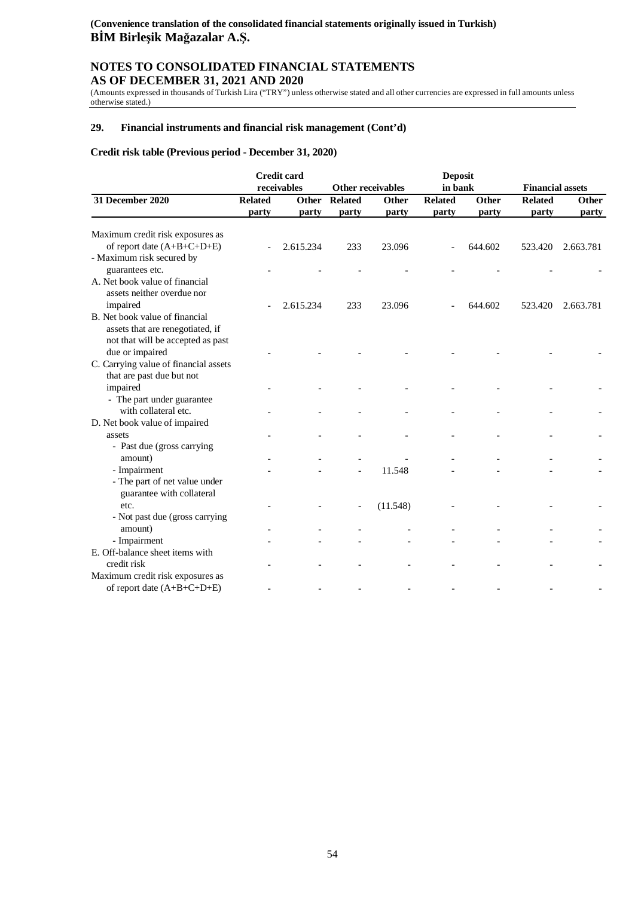## **NOTES TO CONSOLIDATED FINANCIAL STATEMENTS AS OF DECEMBER 31, 2021 AND 2020**

(Amounts expressed in thousands of Turkish Lira ("TRY") unless otherwise stated and all other currencies are expressed in full amounts unless otherwise stated.)

## **29. Financial instruments and financial risk management (Cont'd)**

#### **Credit risk table (Previous period - December 31, 2020)**

|                                                                |                | <b>Credit card</b> |                          |                   | <b>Deposit</b> |         |                         |              |
|----------------------------------------------------------------|----------------|--------------------|--------------------------|-------------------|----------------|---------|-------------------------|--------------|
|                                                                |                | receivables        |                          | Other receivables | in bank        |         | <b>Financial assets</b> |              |
| 31 December 2020                                               | <b>Related</b> | <b>Other</b>       | <b>Related</b>           | Other             | <b>Related</b> | Other   | <b>Related</b>          | <b>Other</b> |
|                                                                | party          | party              | party                    | party             | party          | party   | party                   | party        |
|                                                                |                |                    |                          |                   |                |         |                         |              |
| Maximum credit risk exposures as<br>of report date (A+B+C+D+E) |                |                    |                          |                   |                |         |                         |              |
| - Maximum risk secured by                                      |                | 2.615.234          | 233                      | 23.096            |                | 644.602 | 523.420                 | 2.663.781    |
|                                                                |                |                    |                          |                   |                |         |                         |              |
| guarantees etc.<br>A. Net book value of financial              |                |                    |                          |                   |                |         |                         |              |
| assets neither overdue nor                                     |                |                    |                          |                   |                |         |                         |              |
|                                                                |                |                    |                          |                   |                |         |                         |              |
| impaired<br>B. Net book value of financial                     |                | 2.615.234          | 233                      | 23.096            |                | 644.602 | 523.420                 | 2.663.781    |
|                                                                |                |                    |                          |                   |                |         |                         |              |
| assets that are renegotiated, if                               |                |                    |                          |                   |                |         |                         |              |
| not that will be accepted as past<br>due or impaired           |                |                    |                          |                   |                |         |                         |              |
| C. Carrying value of financial assets                          |                |                    |                          |                   |                |         |                         |              |
| that are past due but not                                      |                |                    |                          |                   |                |         |                         |              |
|                                                                |                |                    |                          |                   |                |         |                         |              |
| impaired                                                       |                |                    |                          |                   |                |         |                         |              |
| - The part under guarantee<br>with collateral etc.             |                |                    |                          |                   |                |         |                         |              |
|                                                                |                |                    |                          |                   |                |         |                         |              |
| D. Net book value of impaired                                  |                |                    |                          |                   |                |         |                         |              |
| assets                                                         |                |                    |                          |                   |                |         |                         |              |
| - Past due (gross carrying                                     |                |                    |                          |                   |                |         |                         |              |
| amount)                                                        |                |                    |                          |                   |                |         |                         |              |
| - Impairment                                                   |                |                    |                          | 11.548            |                |         |                         |              |
| - The part of net value under                                  |                |                    |                          |                   |                |         |                         |              |
| guarantee with collateral                                      |                |                    |                          |                   |                |         |                         |              |
| etc.                                                           |                |                    | $\overline{\phantom{a}}$ | (11.548)          |                |         |                         |              |
| - Not past due (gross carrying                                 |                |                    |                          |                   |                |         |                         |              |
| amount)                                                        |                |                    |                          |                   |                |         |                         |              |
| - Impairment                                                   |                |                    |                          |                   |                |         |                         |              |
| E. Off-balance sheet items with                                |                |                    |                          |                   |                |         |                         |              |
| credit risk                                                    |                |                    |                          |                   |                |         |                         |              |
| Maximum credit risk exposures as                               |                |                    |                          |                   |                |         |                         |              |
| of report date (A+B+C+D+E)                                     |                |                    |                          |                   |                |         |                         |              |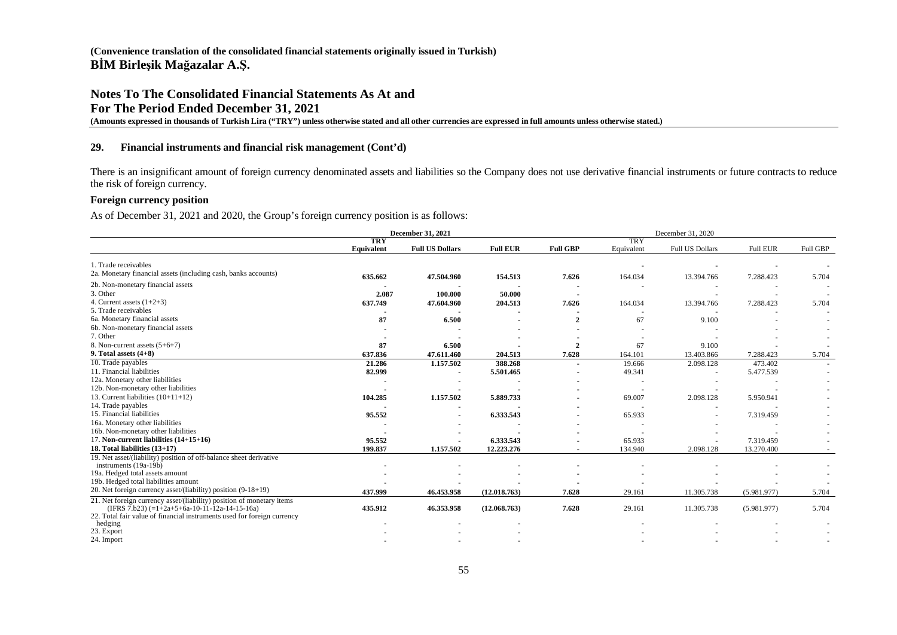## **Notes To The Consolidated Financial Statements As At and For The Period Ended December 31, 2021 (Amounts expressed in thousands of Turkish Lira ("TRY") unless otherwise stated and all other currencies are expressed in full amounts unless otherwise stated.)**

#### **29. Financial instruments and financial risk management (Cont'd)**

There is an insignificant amount of foreign currency denominated assets and liabilities so the Company does not use derivative financial instruments or future contracts to reduce the risk of foreign currency.

#### **Foreign currency position**

As of December 31, 2021 and 2020, the Group's foreign currency position is as follows:

|                                                                                                                           | <b>December 31, 2021</b> |                        |                 |                 | December 31, 2020        |                        |                 |          |
|---------------------------------------------------------------------------------------------------------------------------|--------------------------|------------------------|-----------------|-----------------|--------------------------|------------------------|-----------------|----------|
|                                                                                                                           | <b>TRY</b><br>Equivalent | <b>Full US Dollars</b> | <b>Full EUR</b> | <b>Full GBP</b> | <b>TRY</b><br>Equivalent | <b>Full US Dollars</b> | <b>Full EUR</b> | Full GBP |
| 1. Trade receivables                                                                                                      |                          |                        |                 |                 |                          |                        |                 |          |
| 2a. Monetary financial assets (including cash, banks accounts)                                                            | 635.662                  | 47.504.960             | 154.513         | 7.626           | 164.034                  | 13.394.766             | 7.288.423       | 5.704    |
| 2b. Non-monetary financial assets                                                                                         |                          |                        |                 |                 |                          |                        |                 |          |
| 3. Other                                                                                                                  | 2.087                    | 100.000                | 50.000          |                 |                          |                        |                 |          |
| 4. Current assets $(1+2+3)$                                                                                               | 637.749                  | 47.604.960             | 204.513         | 7.626           | 164.034                  | 13.394.766             | 7.288.423       | 5.704    |
| 5. Trade receivables                                                                                                      |                          |                        |                 |                 |                          |                        |                 |          |
| 6a. Monetary financial assets                                                                                             | 87                       | 6.500                  |                 | $\mathbf{2}$    | 67                       | 9.100                  |                 |          |
| 6b. Non-monetary financial assets                                                                                         |                          |                        |                 |                 |                          |                        |                 |          |
| 7. Other                                                                                                                  |                          |                        |                 |                 |                          |                        |                 |          |
| 8. Non-current assets $(5+6+7)$                                                                                           | 87                       | 6.500                  |                 | $\overline{2}$  | 67                       | 9.100                  |                 |          |
| 9. Total assets $(4+8)$                                                                                                   | 637.836                  | 47.611.460             | 204.513         | 7.628           | 164.101                  | 13.403.866             | 7.288.423       | 5.704    |
| 10. Trade payables                                                                                                        | 21.286                   | 1.157.502              | 388.268         |                 | 19.666                   | 2.098.128              | 473.402         |          |
| 11. Financial liabilities                                                                                                 | 82.999                   |                        | 5.501.465       |                 | 49.341                   |                        | 5.477.539       |          |
| 12a. Monetary other liabilities                                                                                           |                          |                        |                 |                 |                          |                        |                 |          |
| 12b. Non-monetary other liabilities                                                                                       |                          |                        |                 |                 |                          |                        |                 |          |
| 13. Current liabilities $(10+11+12)$                                                                                      | 104.285                  | 1.157.502              | 5.889.733       |                 | 69.007                   | 2.098.128              | 5.950.941       |          |
| 14. Trade payables                                                                                                        |                          |                        |                 |                 |                          |                        |                 |          |
| 15. Financial liabilities                                                                                                 | 95.552                   |                        | 6.333.543       |                 | 65.933                   |                        | 7.319.459       |          |
| 16a. Monetary other liabilities                                                                                           |                          |                        |                 |                 |                          |                        |                 |          |
| 16b. Non-monetary other liabilities                                                                                       |                          |                        |                 |                 |                          |                        |                 |          |
| 17. Non-current liabilities $(14+15+16)$                                                                                  | 95.552                   |                        | 6.333.543       |                 | 65.933                   |                        | 7.319.459       |          |
| 18. Total liabilities (13+17)                                                                                             | 199.837                  | 1.157.502              | 12.223.276      |                 | 134.940                  | 2.098.128              | 13.270.400      |          |
| 19. Net asset/(liability) position of off-balance sheet derivative                                                        |                          |                        |                 |                 |                          |                        |                 |          |
| instruments (19a-19b)                                                                                                     |                          |                        |                 |                 |                          |                        |                 |          |
| 19a. Hedged total assets amount                                                                                           |                          |                        |                 |                 |                          |                        |                 |          |
| 19b. Hedged total liabilities amount                                                                                      |                          |                        |                 |                 |                          |                        |                 |          |
| 20. Net foreign currency asset/(liability) position (9-18+19)                                                             | 437.999                  | 46.453.958             | (12.018.763)    | 7.628           | 29.161                   | 11.305.738             | (5.981.977)     | 5.704    |
| 21. Net foreign currency asset/(liability) position of monetary items<br>$(IFRS 7. b23) (=1+2a+5+6a-10-11-12a-14-15-16a)$ | 435.912                  | 46.353.958             | (12.068.763)    | 7.628           | 29.161                   | 11.305.738             | (5.981.977)     | 5.704    |
| 22. Total fair value of financial instruments used for foreign currency                                                   |                          |                        |                 |                 |                          |                        |                 |          |
| hedging                                                                                                                   |                          |                        |                 |                 |                          |                        |                 |          |
| 23. Export                                                                                                                |                          |                        |                 |                 |                          |                        |                 |          |
| 24. Import                                                                                                                |                          |                        |                 |                 |                          |                        |                 |          |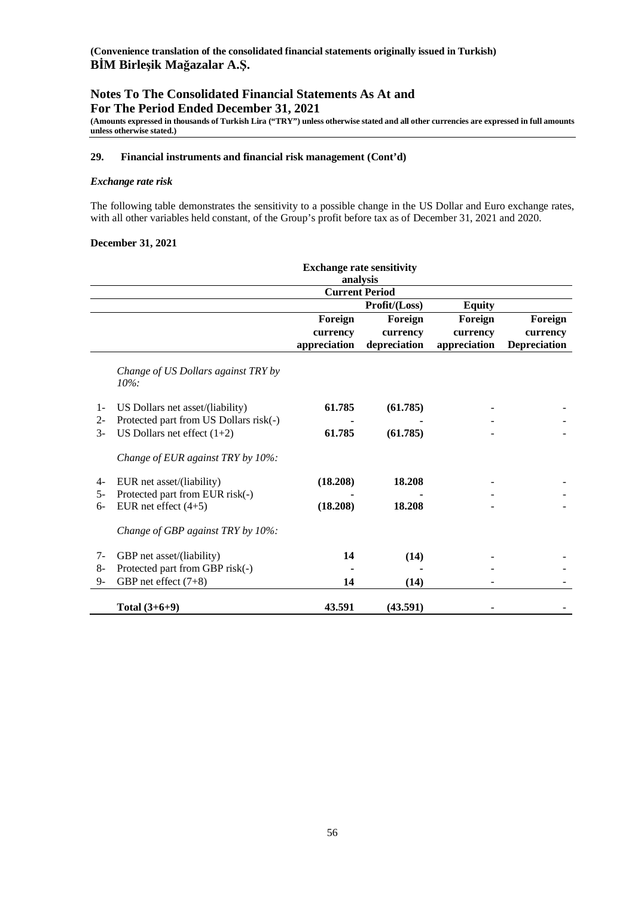**For The Period Ended December 31, 2021**

**(Amounts expressed in thousands of Turkish Lira ("TRY") unless otherwise stated and all other currencies are expressed in full amounts unless otherwise stated.)**

#### **29. Financial instruments and financial risk management (Cont'd)**

#### *Exchange rate risk*

The following table demonstrates the sensitivity to a possible change in the US Dollar and Euro exchange rates, with all other variables held constant, of the Group's profit before tax as of December 31, 2021 and 2020.

#### **December 31, 2021**

|       | <b>Exchange rate sensitivity</b>                |              |               |               |                     |  |  |  |  |
|-------|-------------------------------------------------|--------------|---------------|---------------|---------------------|--|--|--|--|
|       | analysis                                        |              |               |               |                     |  |  |  |  |
|       | <b>Current Period</b>                           |              |               |               |                     |  |  |  |  |
|       |                                                 |              | Profit/(Loss) | <b>Equity</b> |                     |  |  |  |  |
|       |                                                 | Foreign      | Foreign       | Foreign       | Foreign             |  |  |  |  |
|       |                                                 | currency     | currency      | currency      | currency            |  |  |  |  |
|       |                                                 | appreciation | depreciation  | appreciation  | <b>Depreciation</b> |  |  |  |  |
|       | Change of US Dollars against TRY by<br>$10\%$ : |              |               |               |                     |  |  |  |  |
| $1-$  | US Dollars net asset/(liability)                | 61.785       | (61.785)      |               |                     |  |  |  |  |
| $2 -$ | Protected part from US Dollars risk(-)          |              |               |               |                     |  |  |  |  |
| $3-$  | US Dollars net effect $(1+2)$                   | 61.785       | (61.785)      |               |                     |  |  |  |  |
|       | Change of EUR against TRY by 10%:               |              |               |               |                     |  |  |  |  |
| 4-    | EUR net asset/(liability)                       | (18.208)     | 18.208        |               |                     |  |  |  |  |
| $5-$  | Protected part from EUR risk(-)                 |              |               |               |                     |  |  |  |  |
| 6-    | EUR net effect $(4+5)$                          | (18.208)     | 18.208        |               |                     |  |  |  |  |
|       | Change of GBP against TRY by 10%:               |              |               |               |                     |  |  |  |  |
| $7-$  | GBP net asset/(liability)                       | 14           | (14)          |               |                     |  |  |  |  |
| $8-$  | Protected part from GBP risk(-)                 |              |               |               |                     |  |  |  |  |
| $9-$  | GBP net effect $(7+8)$                          | 14           | (14)          |               |                     |  |  |  |  |
|       | Total $(3+6+9)$                                 | 43.591       | (43.591)      |               |                     |  |  |  |  |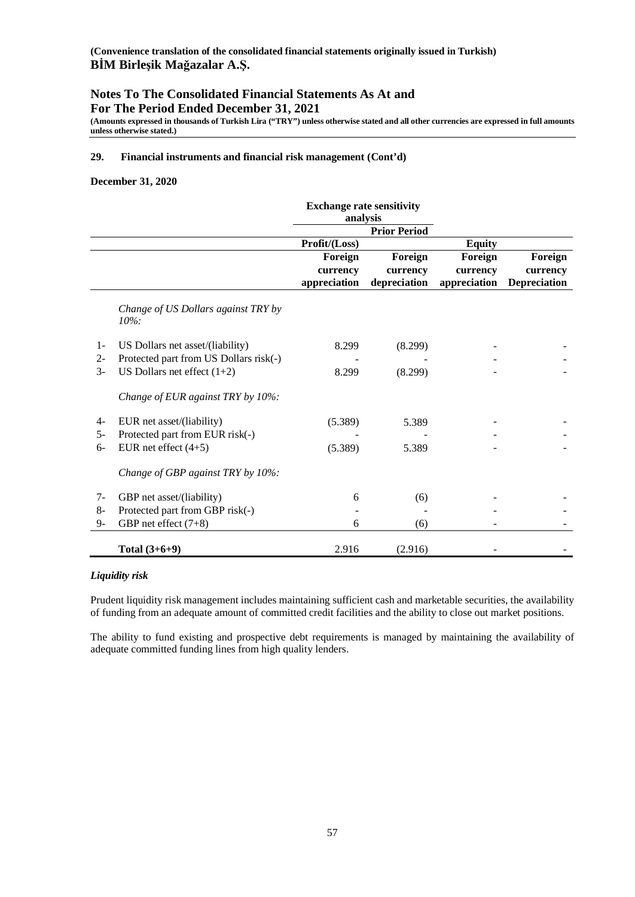**For The Period Ended December 31, 2021**

**(Amounts expressed in thousands of Turkish Lira ("TRY") unless otherwise stated and all other currencies are expressed in full amounts unless otherwise stated.)**

#### **29. Financial instruments and financial risk management (Cont'd)**

#### **December 31, 2020**

|       |                                                 | <b>Exchange rate sensitivity</b> |                     |               |                     |
|-------|-------------------------------------------------|----------------------------------|---------------------|---------------|---------------------|
|       |                                                 | analysis                         |                     |               |                     |
|       |                                                 |                                  | <b>Prior Period</b> |               |                     |
|       |                                                 | Profit/(Loss)                    |                     | <b>Equity</b> |                     |
|       |                                                 | Foreign                          | Foreign             | Foreign       | Foreign             |
|       |                                                 | currency                         | currency            | currency      | currency            |
|       |                                                 | appreciation                     | depreciation        | appreciation  | <b>Depreciation</b> |
|       | Change of US Dollars against TRY by<br>$10\%$ : |                                  |                     |               |                     |
| $1-$  | US Dollars net asset/(liability)                | 8.299                            | (8.299)             |               |                     |
| $2 -$ | Protected part from US Dollars risk(-)          |                                  |                     |               |                     |
| $3-$  | US Dollars net effect $(1+2)$                   | 8.299                            | (8.299)             |               |                     |
|       | Change of EUR against TRY by 10%:               |                                  |                     |               |                     |
| 4-    | EUR net asset/(liability)                       | (5.389)                          | 5.389               |               |                     |
| $5-$  | Protected part from EUR risk(-)                 |                                  |                     |               |                     |
| $6-$  | EUR net effect $(4+5)$                          | (5.389)                          | 5.389               |               |                     |
|       | Change of GBP against TRY by 10%:               |                                  |                     |               |                     |
| $7 -$ | GBP net asset/(liability)                       | 6                                | (6)                 |               |                     |
| $8-$  | Protected part from GBP risk(-)                 |                                  |                     |               |                     |
| $9-$  | GBP net effect $(7+8)$                          | 6                                | (6)                 |               |                     |
|       | Total $(3+6+9)$                                 | 2.916                            | (2.916)             |               |                     |

## *Liquidity risk*

Prudent liquidity risk management includes maintaining sufficient cash and marketable securities, the availability of funding from an adequate amount of committed credit facilities and the ability to close out market positions.

The ability to fund existing and prospective debt requirements is managed by maintaining the availability of adequate committed funding lines from high quality lenders.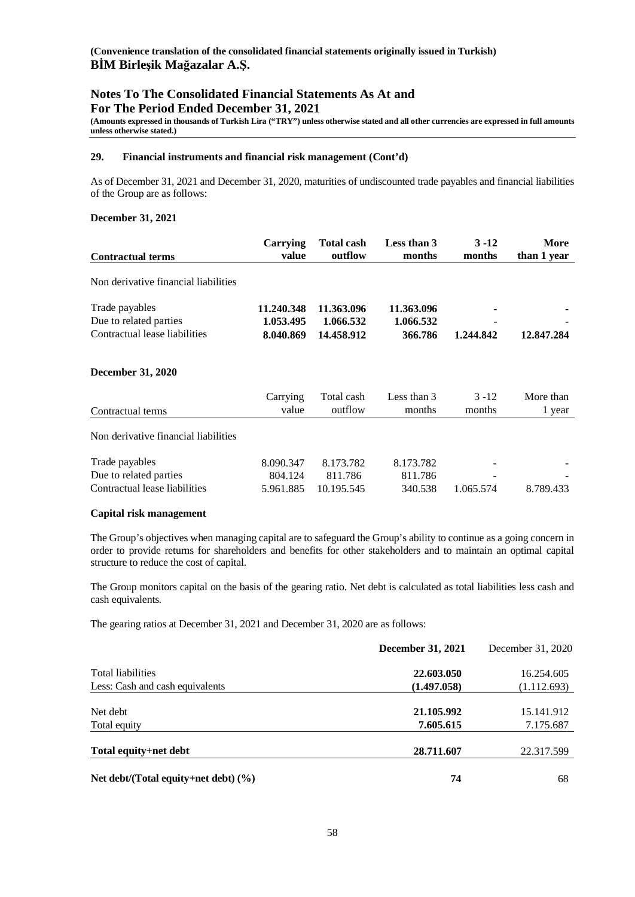## **For The Period Ended December 31, 2021**

**(Amounts expressed in thousands of Turkish Lira ("TRY") unless otherwise stated and all other currencies are expressed in full amounts unless otherwise stated.)**

#### **29. Financial instruments and financial risk management (Cont'd)**

As of December 31, 2021 and December 31, 2020, maturities of undiscounted trade payables and financial liabilities of the Group are as follows:

#### **December 31, 2021**

| <b>Contractual terms</b>                                                  | Carrying<br>value                 | <b>Total cash</b><br>outflow       | Less than 3<br>months           | $3 - 12$<br>months | More<br>than 1 year |
|---------------------------------------------------------------------------|-----------------------------------|------------------------------------|---------------------------------|--------------------|---------------------|
| Non derivative financial liabilities                                      |                                   |                                    |                                 |                    |                     |
| Trade payables                                                            | 11.240.348                        | 11.363.096                         | 11.363.096                      |                    |                     |
| Due to related parties<br>Contractual lease liabilities                   | 1.053.495<br>8.040.869            | 1.066.532<br>14.458.912            | 1.066.532<br>366.786            | 1.244.842          | 12.847.284          |
| <b>December 31, 2020</b>                                                  |                                   |                                    |                                 |                    |                     |
| Contractual terms                                                         | Carrying<br>value                 | Total cash<br>outflow              | Less than 3<br>months           | $3 - 12$<br>months | More than<br>1 year |
| Non derivative financial liabilities                                      |                                   |                                    |                                 |                    |                     |
| Trade payables<br>Due to related parties<br>Contractual lease liabilities | 8.090.347<br>804.124<br>5.961.885 | 8.173.782<br>811.786<br>10.195.545 | 8.173.782<br>811.786<br>340.538 | 1.065.574          | 8.789.433           |

#### **Capital risk management**

The Group's objectives when managing capital are to safeguard the Group's ability to continue as a going concern in order to provide returns for shareholders and benefits for other stakeholders and to maintain an optimal capital structure to reduce the cost of capital.

The Group monitors capital on the basis of the gearing ratio. Net debt is calculated as total liabilities less cash and cash equivalents.

The gearing ratios at December 31, 2021 and December 31, 2020 are as follows:

|                                          | December 31, 2021 | December 31, 2020 |
|------------------------------------------|-------------------|-------------------|
| Total liabilities                        | 22.603.050        | 16.254.605        |
| Less: Cash and cash equivalents          | (1.497.058)       | (1.112.693)       |
| Net debt                                 | 21.105.992        | 15.141.912        |
| Total equity                             | 7.605.615         | 7.175.687         |
| Total equity+net debt                    | 28.711.607        | 22.317.599        |
| Net debt/(Total equity+net debt) $(\% )$ | 74                | 68                |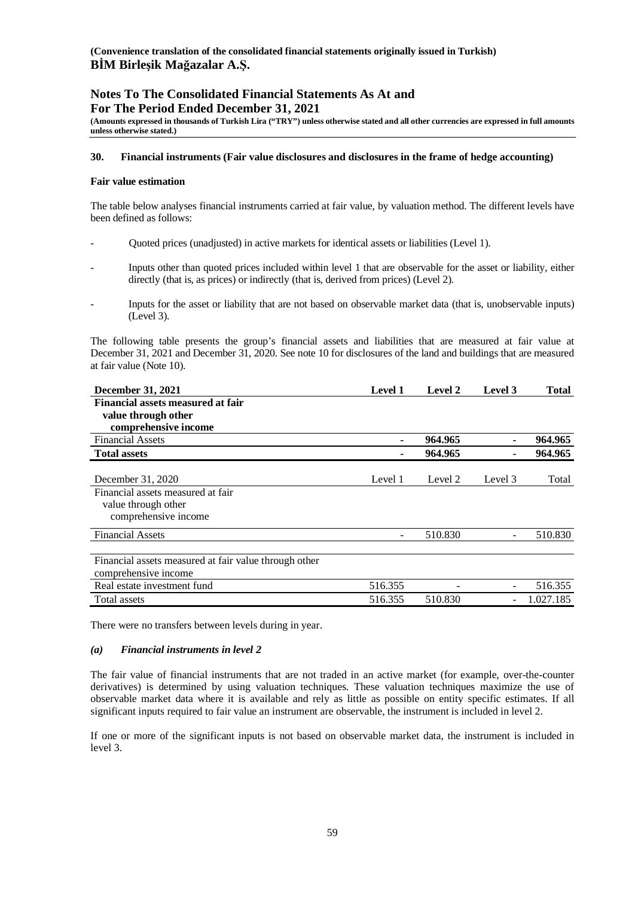## **For The Period Ended December 31, 2021**

**(Amounts expressed in thousands of Turkish Lira ("TRY") unless otherwise stated and all other currencies are expressed in full amounts unless otherwise stated.)**

#### **30. Financial instruments (Fair value disclosures and disclosures in the frame of hedge accounting)**

#### **Fair value estimation**

The table below analyses financial instruments carried at fair value, by valuation method. The different levels have been defined as follows:

- Quoted prices (unadjusted) in active markets for identical assets or liabilities (Level 1).
- Inputs other than quoted prices included within level 1 that are observable for the asset or liability, either directly (that is, as prices) or indirectly (that is, derived from prices) (Level 2).
- Inputs for the asset or liability that are not based on observable market data (that is, unobservable inputs) (Level 3).

The following table presents the group's financial assets and liabilities that are measured at fair value at December 31, 2021 and December 31, 2020. See note 10 for disclosures of the land and buildings that are measured at fair value (Note 10).

| December 31, 2021                                                                                     | <b>Level 1</b> | Level 2 | Level 3 | <b>Total</b> |
|-------------------------------------------------------------------------------------------------------|----------------|---------|---------|--------------|
| Financial assets measured at fair<br>value through other<br>comprehensive income                      |                |         |         |              |
| <b>Financial Assets</b>                                                                               |                | 964.965 |         | 964.965      |
| <b>Total assets</b>                                                                                   | ۰              | 964.965 |         | 964.965      |
| December 31, 2020<br>Financial assets measured at fair<br>value through other<br>comprehensive income | Level 1        | Level 2 | Level 3 | Total        |
| <b>Financial Assets</b>                                                                               | -              | 510.830 |         | 510.830      |
| Financial assets measured at fair value through other<br>comprehensive income                         |                |         |         |              |
| Real estate investment fund                                                                           | 516.355        |         |         | 516.355      |
| Total assets                                                                                          | 516.355        | 510.830 |         | 1.027.185    |

There were no transfers between levels during in year.

#### *(a) Financial instruments in level 2*

The fair value of financial instruments that are not traded in an active market (for example, over-the-counter derivatives) is determined by using valuation techniques. These valuation techniques maximize the use of observable market data where it is available and rely as little as possible on entity specific estimates. If all significant inputs required to fair value an instrument are observable, the instrument is included in level 2.

If one or more of the significant inputs is not based on observable market data, the instrument is included in level 3.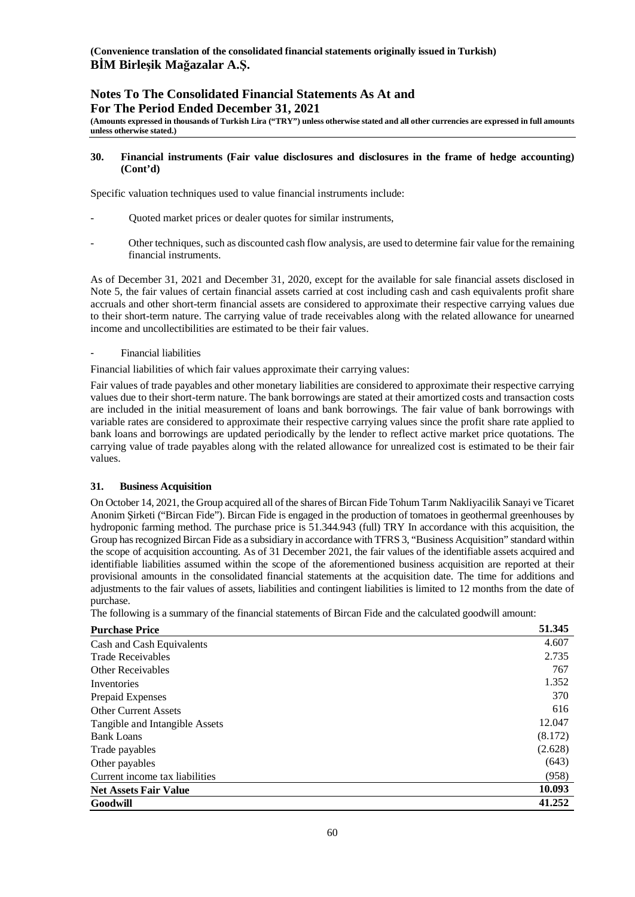## **For The Period Ended December 31, 2021**

**(Amounts expressed in thousands of Turkish Lira ("TRY") unless otherwise stated and all other currencies are expressed in full amounts unless otherwise stated.)**

#### **30. Financial instruments (Fair value disclosures and disclosures in the frame of hedge accounting) (Cont'd)**

Specific valuation techniques used to value financial instruments include:

- Quoted market prices or dealer quotes for similar instruments,
- Other techniques, such as discounted cash flow analysis, are used to determine fair value for the remaining financial instruments.

As of December 31, 2021 and December 31, 2020, except for the available for sale financial assets disclosed in Note 5, the fair values of certain financial assets carried at cost including cash and cash equivalents profit share accruals and other short-term financial assets are considered to approximate their respective carrying values due to their short-term nature. The carrying value of trade receivables along with the related allowance for unearned income and uncollectibilities are estimated to be their fair values.

#### - Financial liabilities

Financial liabilities of which fair values approximate their carrying values:

Fair values of trade payables and other monetary liabilities are considered to approximate their respective carrying values due to their short-term nature. The bank borrowings are stated at their amortized costs and transaction costs are included in the initial measurement of loans and bank borrowings. The fair value of bank borrowings with variable rates are considered to approximate their respective carrying values since the profit share rate applied to bank loans and borrowings are updated periodically by the lender to reflect active market price quotations. The carrying value of trade payables along with the related allowance for unrealized cost is estimated to be their fair values.

#### **31. Business Acquisition**

On October 14, 2021, the Group acquired all of the shares of Bircan Fide Tohum Tarım Nakliyacilik Sanayi ve Ticaret Anonim Şirketi ("Bircan Fide"). Bircan Fide is engaged in the production of tomatoes in geothermal greenhouses by hydroponic farming method. The purchase price is 51.344.943 (full) TRY In accordance with this acquisition, the Group has recognized Bircan Fide as a subsidiary in accordance with TFRS 3, "Business Acquisition" standard within the scope of acquisition accounting. As of 31 December 2021, the fair values of the identifiable assets acquired and identifiable liabilities assumed within the scope of the aforementioned business acquisition are reported at their provisional amounts in the consolidated financial statements at the acquisition date. The time for additions and adjustments to the fair values of assets, liabilities and contingent liabilities is limited to 12 months from the date of purchase.

The following is a summary of the financial statements of Bircan Fide and the calculated goodwill amount:

| <b>Purchase Price</b>          | 51.345  |
|--------------------------------|---------|
| Cash and Cash Equivalents      | 4.607   |
| <b>Trade Receivables</b>       | 2.735   |
| <b>Other Receivables</b>       | 767     |
| Inventories                    | 1.352   |
| Prepaid Expenses               | 370     |
| <b>Other Current Assets</b>    | 616     |
| Tangible and Intangible Assets | 12.047  |
| <b>Bank Loans</b>              | (8.172) |
| Trade payables                 | (2.628) |
| Other payables                 | (643)   |
| Current income tax liabilities | (958)   |
| <b>Net Assets Fair Value</b>   | 10.093  |
| Goodwill                       | 41.252  |